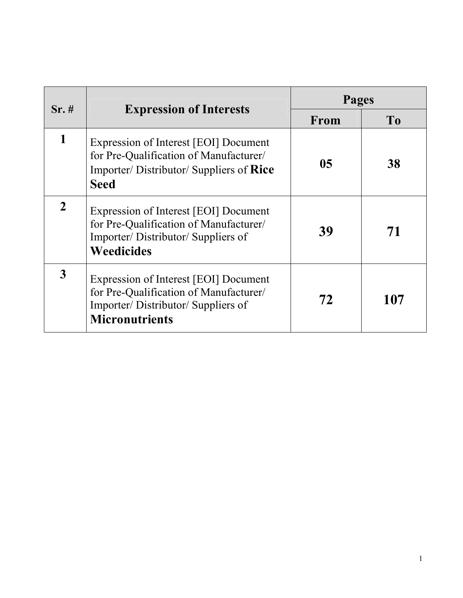| $Sr. \#$     |                                                                                                                                               | Pages          |     |
|--------------|-----------------------------------------------------------------------------------------------------------------------------------------------|----------------|-----|
|              | <b>Expression of Interests</b>                                                                                                                | From           | To  |
| 1            | Expression of Interest [EOI] Document<br>for Pre-Qualification of Manufacturer/<br>Importer/Distributor/Suppliers of Rice<br><b>Seed</b>      | 0 <sub>5</sub> | 38  |
| $\mathbf{2}$ | Expression of Interest [EOI] Document<br>for Pre-Qualification of Manufacturer/<br>Importer/Distributor/Suppliers of<br><b>Weedicides</b>     | 39             | 71  |
| 3            | Expression of Interest [EOI] Document<br>for Pre-Qualification of Manufacturer/<br>Importer/Distributor/Suppliers of<br><b>Micronutrients</b> | 72             | 107 |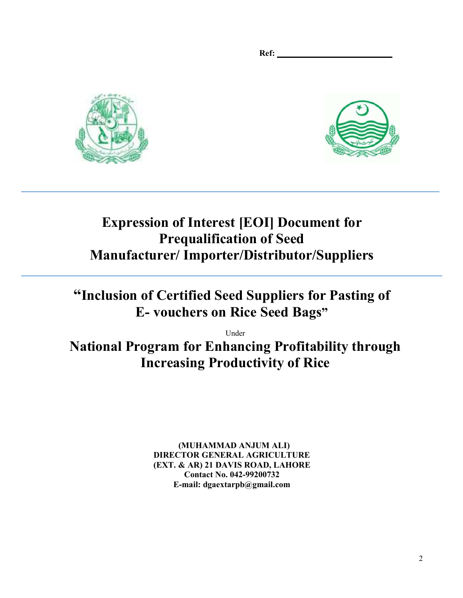**Ref:** 





# **Expression of Interest [EOI] Document for Prequalification of Seed Manufacturer/ Importer/Distributor/Suppliers**

# **"Inclusion of Certified Seed Suppliers for Pasting of E- vouchers on Rice Seed Bags"**

Under

**National Program for Enhancing Profitability through Increasing Productivity of Rice** 

> **(MUHAMMAD ANJUM ALI) DIRECTOR GENERAL AGRICULTURE (EXT. & AR) 21 DAVIS ROAD, LAHORE Contact No. 042-99200732 E-mail: dgaextarpb@gmail.com**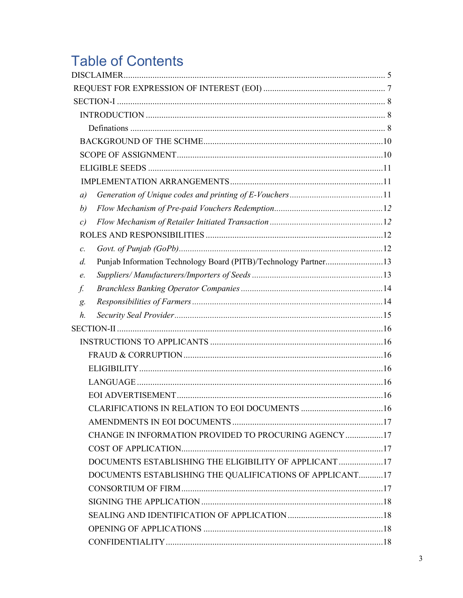# **Table of Contents**

| a)              |                                                                 |  |
|-----------------|-----------------------------------------------------------------|--|
| b)              |                                                                 |  |
| c)              |                                                                 |  |
|                 |                                                                 |  |
| $\mathcal{C}$ . |                                                                 |  |
| d.              | Punjab Information Technology Board (PITB)/Technology Partner13 |  |
| e.              |                                                                 |  |
| f.              |                                                                 |  |
| g.              |                                                                 |  |
| h.              |                                                                 |  |
|                 |                                                                 |  |
|                 |                                                                 |  |
|                 |                                                                 |  |
|                 |                                                                 |  |
|                 |                                                                 |  |
|                 |                                                                 |  |
|                 |                                                                 |  |
|                 |                                                                 |  |
|                 | CHANGE IN INFORMATION PROVIDED TO PROCURING AGENCY 17           |  |
|                 |                                                                 |  |
|                 | DOCUMENTS ESTABLISHING THE ELIGIBILITY OF APPLICANT17           |  |
|                 | DOCUMENTS ESTABLISHING THE QUALIFICATIONS OF APPLICANT17        |  |
|                 |                                                                 |  |
|                 |                                                                 |  |
|                 |                                                                 |  |
|                 |                                                                 |  |
|                 |                                                                 |  |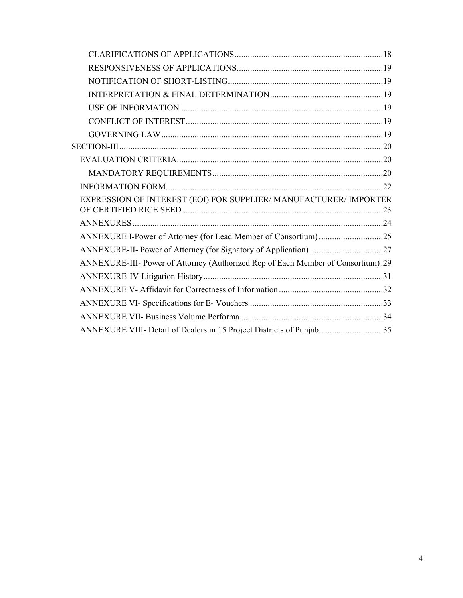| EXPRESSION OF INTEREST (EOI) FOR SUPPLIER/ MANUFACTURER/ IMPORTER                |
|----------------------------------------------------------------------------------|
|                                                                                  |
| ANNEXURE I-Power of Attorney (for Lead Member of Consortium)25                   |
| ANNEXURE-II- Power of Attorney (for Signatory of Application) 27                 |
| ANNEXURE-III- Power of Attorney (Authorized Rep of Each Member of Consortium).29 |
|                                                                                  |
|                                                                                  |
|                                                                                  |
|                                                                                  |
| ANNEXURE VIII- Detail of Dealers in 15 Project Districts of Punjab35             |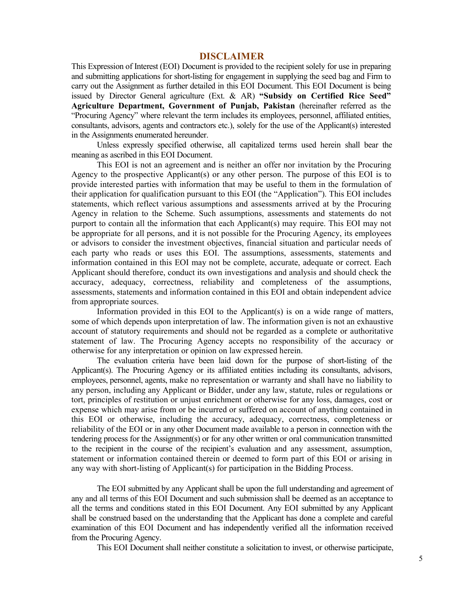#### **DISCLAIMER**

This Expression of Interest (EOI) Document is provided to the recipient solely for use in preparing and submitting applications for short-listing for engagement in supplying the seed bag and Firm to carry out the Assignment as further detailed in this EOI Document. This EOI Document is being issued by Director General agriculture (Ext. & AR) **"Subsidy on Certified Rice Seed" Agriculture Department, Government of Punjab, Pakistan** (hereinafter referred as the "Procuring Agency" where relevant the term includes its employees, personnel, affiliated entities, consultants, advisors, agents and contractors etc.), solely for the use of the Applicant(s) interested in the Assignments enumerated hereunder.

Unless expressly specified otherwise, all capitalized terms used herein shall bear the meaning as ascribed in this EOI Document.

This EOI is not an agreement and is neither an offer nor invitation by the Procuring Agency to the prospective Applicant(s) or any other person. The purpose of this EOI is to provide interested parties with information that may be useful to them in the formulation of their application for qualification pursuant to this EOI (the "Application"). This EOI includes statements, which reflect various assumptions and assessments arrived at by the Procuring Agency in relation to the Scheme. Such assumptions, assessments and statements do not purport to contain all the information that each Applicant(s) may require. This EOI may not be appropriate for all persons, and it is not possible for the Procuring Agency, its employees or advisors to consider the investment objectives, financial situation and particular needs of each party who reads or uses this EOI. The assumptions, assessments, statements and information contained in this EOI may not be complete, accurate, adequate or correct. Each Applicant should therefore, conduct its own investigations and analysis and should check the accuracy, adequacy, correctness, reliability and completeness of the assumptions, assessments, statements and information contained in this EOI and obtain independent advice from appropriate sources.

Information provided in this EOI to the Applicant(s) is on a wide range of matters, some of which depends upon interpretation of law. The information given is not an exhaustive account of statutory requirements and should not be regarded as a complete or authoritative statement of law. The Procuring Agency accepts no responsibility of the accuracy or otherwise for any interpretation or opinion on law expressed herein.

The evaluation criteria have been laid down for the purpose of short-listing of the Applicant(s). The Procuring Agency or its affiliated entities including its consultants, advisors, employees, personnel, agents, make no representation or warranty and shall have no liability to any person, including any Applicant or Bidder, under any law, statute, rules or regulations or tort, principles of restitution or unjust enrichment or otherwise for any loss, damages, cost or expense which may arise from or be incurred or suffered on account of anything contained in this EOI or otherwise, including the accuracy, adequacy, correctness, completeness or reliability of the EOI or in any other Document made available to a person in connection with the tendering process for the Assignment(s) or for any other written or oral communication transmitted to the recipient in the course of the recipient's evaluation and any assessment, assumption, statement or information contained therein or deemed to form part of this EOI or arising in any way with short-listing of Applicant(s) for participation in the Bidding Process.

The EOI submitted by any Applicant shall be upon the full understanding and agreement of any and all terms of this EOI Document and such submission shall be deemed as an acceptance to all the terms and conditions stated in this EOI Document. Any EOI submitted by any Applicant shall be construed based on the understanding that the Applicant has done a complete and careful examination of this EOI Document and has independently verified all the information received from the Procuring Agency.

This EOI Document shall neither constitute a solicitation to invest, or otherwise participate,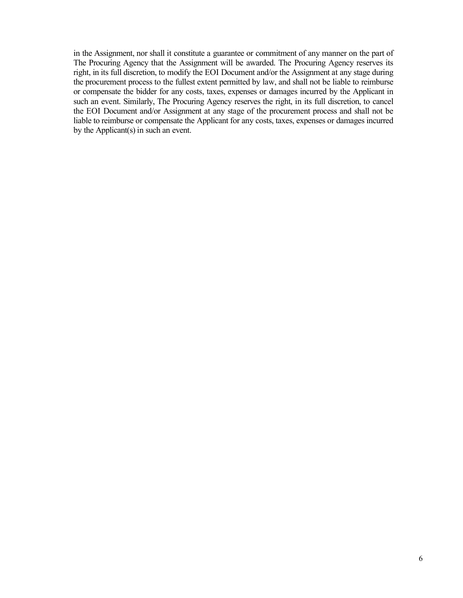in the Assignment, nor shall it constitute a guarantee or commitment of any manner on the part of The Procuring Agency that the Assignment will be awarded. The Procuring Agency reserves its right, in its full discretion, to modify the EOI Document and/or the Assignment at any stage during the procurement process to the fullest extent permitted by law, and shall not be liable to reimburse or compensate the bidder for any costs, taxes, expenses or damages incurred by the Applicant in such an event. Similarly, The Procuring Agency reserves the right, in its full discretion, to cancel the EOI Document and/or Assignment at any stage of the procurement process and shall not be liable to reimburse or compensate the Applicant for any costs, taxes, expenses or damages incurred by the Applicant(s) in such an event.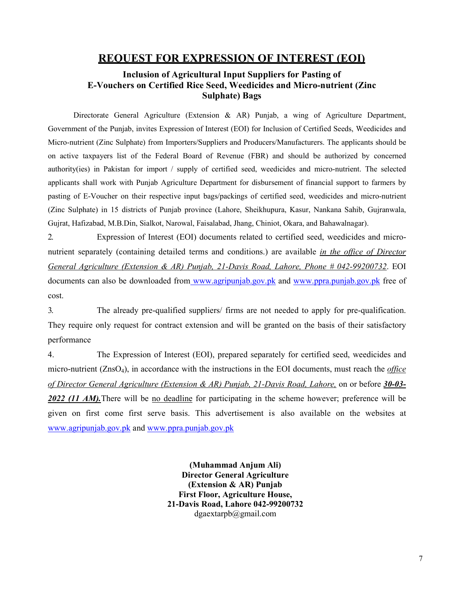## **REQUEST FOR EXPRESSION OF INTEREST (EOI)**

## **Inclusion of Agricultural Input Suppliers for Pasting of E-Vouchers on Certified Rice Seed, Weedicides and Micro-nutrient (Zinc Sulphate) Bags**

Directorate General Agriculture (Extension & AR) Punjab, a wing of Agriculture Department, Government of the Punjab, invites Expression of Interest (EOI) for Inclusion of Certified Seeds, Weedicides and Micro-nutrient (Zinc Sulphate) from Importers/Suppliers and Producers/Manufacturers. The applicants should be on active taxpayers list of the Federal Board of Revenue (FBR) and should be authorized by concerned authority(ies) in Pakistan for import / supply of certified seed, weedicides and micro-nutrient. The selected applicants shall work with Punjab Agriculture Department for disbursement of financial support to farmers by pasting of E-Voucher on their respective input bags/packings of certified seed, weedicides and micro-nutrient (Zinc Sulphate) in 15 districts of Punjab province (Lahore, Sheikhupura, Kasur, Nankana Sahib, Gujranwala, Gujrat, Hafizabad, M.B.Din, Sialkot, Narowal, Faisalabad, Jhang, Chiniot, Okara, and Bahawalnagar).

2. Expression of Interest (EOI) documents related to certified seed, weedicides and micronutrient separately (containing detailed terms and conditions.) are available *in the office of Director General Agriculture (Extension & AR) Punjab, 21-Davis Road, Lahore, Phone # 042-99200732*. EOI documents can also be downloaded from www.agripunjab.gov.pk and www.ppra.punjab.gov.pk free of cost.

3. The already pre-qualified suppliers/ firms are not needed to apply for pre-qualification. They require only request for contract extension and will be granted on the basis of their satisfactory performance

4. The Expression of Interest (EOI), prepared separately for certified seed, weedicides and micro-nutrient (ZnsO4), in accordance with the instructions in the EOI documents, must reach the *office of Director General Agriculture (Extension & AR) Punjab, 21-Davis Road, Lahore,* on or before *30-03-* 2022 (11 AM). There will be no deadline for participating in the scheme however; preference will be given on first come first serve basis. This advertisement is also available on the websites at www.agripunjab.gov.pk and www.ppra.punjab.gov.pk

> **(Muhammad Anjum Ali) Director General Agriculture (Extension & AR) Punjab First Floor, Agriculture House, 21-Davis Road, Lahore 042-99200732**  dgaextarpb@gmail.com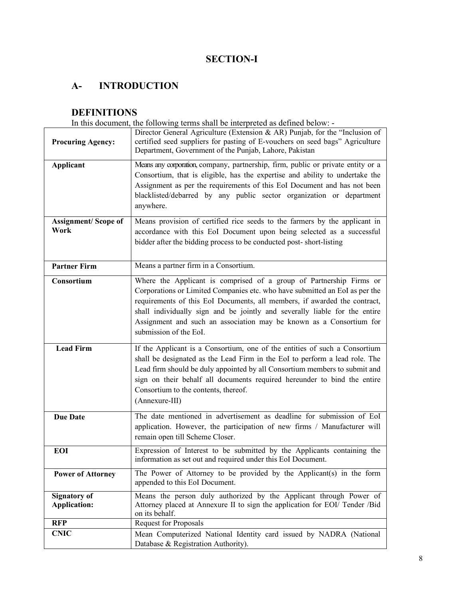## **SECTION-I**

## **A- INTRODUCTION**

## **DEFINITIONS**

In this document, the following terms shall be interpreted as defined below: -

| <b>Procuring Agency:</b>                   | Director General Agriculture (Extension & AR) Punjab, for the "Inclusion of<br>certified seed suppliers for pasting of E-vouchers on seed bags" Agriculture<br>Department, Government of the Punjab, Lahore, Pakistan                                                                                                                                                                                          |
|--------------------------------------------|----------------------------------------------------------------------------------------------------------------------------------------------------------------------------------------------------------------------------------------------------------------------------------------------------------------------------------------------------------------------------------------------------------------|
| <b>Applicant</b>                           | Means any corporation, company, partnership, firm, public or private entity or a<br>Consortium, that is eligible, has the expertise and ability to undertake the<br>Assignment as per the requirements of this EoI Document and has not been<br>blacklisted/debarred by any public sector organization or department<br>anywhere.                                                                              |
| <b>Assignment/Scope of</b><br>Work         | Means provision of certified rice seeds to the farmers by the applicant in<br>accordance with this EoI Document upon being selected as a successful<br>bidder after the bidding process to be conducted post-short-listing                                                                                                                                                                                     |
| <b>Partner Firm</b>                        | Means a partner firm in a Consortium.                                                                                                                                                                                                                                                                                                                                                                          |
| Consortium                                 | Where the Applicant is comprised of a group of Partnership Firms or<br>Corporations or Limited Companies etc. who have submitted an EoI as per the<br>requirements of this EoI Documents, all members, if awarded the contract,<br>shall individually sign and be jointly and severally liable for the entire<br>Assignment and such an association may be known as a Consortium for<br>submission of the EoI. |
| <b>Lead Firm</b>                           | If the Applicant is a Consortium, one of the entities of such a Consortium<br>shall be designated as the Lead Firm in the EoI to perform a lead role. The<br>Lead firm should be duly appointed by all Consortium members to submit and<br>sign on their behalf all documents required hereunder to bind the entire<br>Consortium to the contents, thereof.<br>(Annexure-III)                                  |
| <b>Due Date</b>                            | The date mentioned in advertisement as deadline for submission of EoI<br>application. However, the participation of new firms / Manufacturer will<br>remain open till Scheme Closer.                                                                                                                                                                                                                           |
| <b>EOI</b>                                 | Expression of Interest to be submitted by the Applicants containing the<br>information as set out and required under this EoI Document.                                                                                                                                                                                                                                                                        |
| <b>Power of Attorney</b>                   | The Power of Attorney to be provided by the Applicant(s) in the form<br>appended to this EoI Document.                                                                                                                                                                                                                                                                                                         |
| <b>Signatory of</b><br><b>Application:</b> | Means the person duly authorized by the Applicant through Power of<br>Attorney placed at Annexure II to sign the application for EOI/ Tender /Bid<br>on its behalf.                                                                                                                                                                                                                                            |
| <b>RFP</b>                                 | <b>Request for Proposals</b>                                                                                                                                                                                                                                                                                                                                                                                   |
| <b>CNIC</b>                                | Mean Computerized National Identity card issued by NADRA (National<br>Database & Registration Authority).                                                                                                                                                                                                                                                                                                      |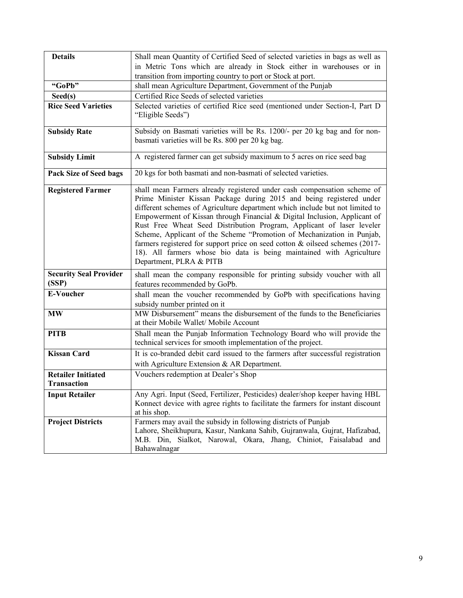| <b>Details</b>                         | Shall mean Quantity of Certified Seed of selected varieties in bags as well as                                                                                                                                                                                                                                                                                                                                                                                                                                                                                                                                                                     |  |  |
|----------------------------------------|----------------------------------------------------------------------------------------------------------------------------------------------------------------------------------------------------------------------------------------------------------------------------------------------------------------------------------------------------------------------------------------------------------------------------------------------------------------------------------------------------------------------------------------------------------------------------------------------------------------------------------------------------|--|--|
|                                        | in Metric Tons which are already in Stock either in warehouses or in                                                                                                                                                                                                                                                                                                                                                                                                                                                                                                                                                                               |  |  |
|                                        | transition from importing country to port or Stock at port.                                                                                                                                                                                                                                                                                                                                                                                                                                                                                                                                                                                        |  |  |
| "GoPb"                                 | shall mean Agriculture Department, Government of the Punjab                                                                                                                                                                                                                                                                                                                                                                                                                                                                                                                                                                                        |  |  |
| $\text{Seed}(s)$                       | Certified Rice Seeds of selected varieties                                                                                                                                                                                                                                                                                                                                                                                                                                                                                                                                                                                                         |  |  |
| <b>Rice Seed Varieties</b>             | Selected varieties of certified Rice seed (mentioned under Section-I, Part D                                                                                                                                                                                                                                                                                                                                                                                                                                                                                                                                                                       |  |  |
|                                        | "Eligible Seeds")                                                                                                                                                                                                                                                                                                                                                                                                                                                                                                                                                                                                                                  |  |  |
| <b>Subsidy Rate</b>                    | Subsidy on Basmati varieties will be Rs. 1200/- per 20 kg bag and for non-                                                                                                                                                                                                                                                                                                                                                                                                                                                                                                                                                                         |  |  |
|                                        | basmati varieties will be Rs. 800 per 20 kg bag.                                                                                                                                                                                                                                                                                                                                                                                                                                                                                                                                                                                                   |  |  |
| <b>Subsidy Limit</b>                   | A registered farmer can get subsidy maximum to 5 acres on rice seed bag                                                                                                                                                                                                                                                                                                                                                                                                                                                                                                                                                                            |  |  |
| <b>Pack Size of Seed bags</b>          | 20 kgs for both basmati and non-basmati of selected varieties.                                                                                                                                                                                                                                                                                                                                                                                                                                                                                                                                                                                     |  |  |
| <b>Registered Farmer</b>               | shall mean Farmers already registered under cash compensation scheme of<br>Prime Minister Kissan Package during 2015 and being registered under<br>different schemes of Agriculture department which include but not limited to<br>Empowerment of Kissan through Financial & Digital Inclusion, Applicant of<br>Rust Free Wheat Seed Distribution Program, Applicant of laser leveler<br>Scheme, Applicant of the Scheme "Promotion of Mechanization in Punjab,<br>farmers registered for support price on seed cotton & oilseed schemes (2017-<br>18). All farmers whose bio data is being maintained with Agriculture<br>Department, PLRA & PITB |  |  |
| <b>Security Seal Provider</b><br>(SSP) | shall mean the company responsible for printing subsidy voucher with all<br>features recommended by GoPb.                                                                                                                                                                                                                                                                                                                                                                                                                                                                                                                                          |  |  |
| <b>E-Voucher</b>                       | shall mean the voucher recommended by GoPb with specifications having<br>subsidy number printed on it                                                                                                                                                                                                                                                                                                                                                                                                                                                                                                                                              |  |  |
| <b>MW</b>                              | MW Disbursement" means the disbursement of the funds to the Beneficiaries<br>at their Mobile Wallet/ Mobile Account                                                                                                                                                                                                                                                                                                                                                                                                                                                                                                                                |  |  |
| <b>PITB</b>                            | Shall mean the Punjab Information Technology Board who will provide the<br>technical services for smooth implementation of the project.                                                                                                                                                                                                                                                                                                                                                                                                                                                                                                            |  |  |
| <b>Kissan Card</b>                     | It is co-branded debit card issued to the farmers after successful registration                                                                                                                                                                                                                                                                                                                                                                                                                                                                                                                                                                    |  |  |
|                                        | with Agriculture Extension & AR Department.                                                                                                                                                                                                                                                                                                                                                                                                                                                                                                                                                                                                        |  |  |
| Retailer Initiated                     | Vouchers redemption at Dealer's Shop                                                                                                                                                                                                                                                                                                                                                                                                                                                                                                                                                                                                               |  |  |
| <b>Transaction</b>                     |                                                                                                                                                                                                                                                                                                                                                                                                                                                                                                                                                                                                                                                    |  |  |
| <b>Input Retailer</b>                  | Any Agri. Input (Seed, Fertilizer, Pesticides) dealer/shop keeper having HBL<br>Konnect device with agree rights to facilitate the farmers for instant discount<br>at his shop.                                                                                                                                                                                                                                                                                                                                                                                                                                                                    |  |  |
| <b>Project Districts</b>               | Farmers may avail the subsidy in following districts of Punjab<br>Lahore, Sheikhupura, Kasur, Nankana Sahib, Gujranwala, Gujrat, Hafizabad,<br>M.B. Din, Sialkot, Narowal, Okara, Jhang, Chiniot, Faisalabad and<br>Bahawalnagar                                                                                                                                                                                                                                                                                                                                                                                                                   |  |  |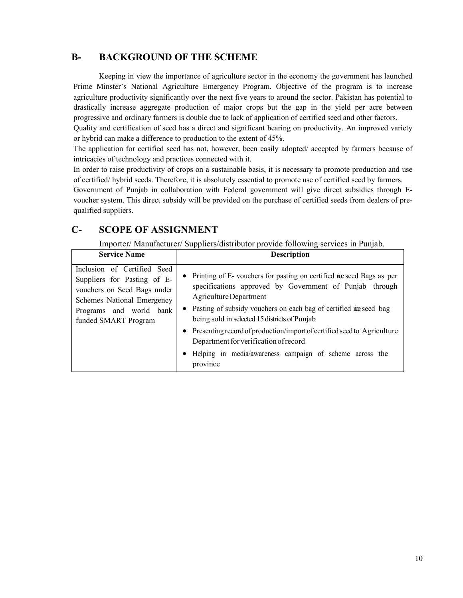## **B- BACKGROUND OF THE SCHEME**

Keeping in view the importance of agriculture sector in the economy the government has launched Prime Minster's National Agriculture Emergency Program. Objective of the program is to increase agriculture productivity significantly over the next five years to around the sector. Pakistan has potential to drastically increase aggregate production of major crops but the gap in the yield per acre between progressive and ordinary farmers is double due to lack of application of certified seed and other factors.

Quality and certification of seed has a direct and significant bearing on productivity. An improved variety or hybrid can make a difference to production to the extent of 45%.

The application for certified seed has not, however, been easily adopted/ accepted by farmers because of intricacies of technology and practices connected with it.

In order to raise productivity of crops on a sustainable basis, it is necessary to promote production and use of certified/ hybrid seeds. Therefore, it is absolutely essential to promote use of certified seed by farmers.

Government of Punjab in collaboration with Federal government will give direct subsidies through Evoucher system. This direct subsidy will be provided on the purchase of certified seeds from dealers of prequalified suppliers.

## **C- SCOPE OF ASSIGNMENT**

Importer/ Manufacturer/ Suppliers/distributor provide following services in Punjab.

| <b>Service Name</b>                                                                                                                                                        | * *<br><b>Description</b>                                                                                                                                                                                                                                                                                                                                                                                                                                                           |
|----------------------------------------------------------------------------------------------------------------------------------------------------------------------------|-------------------------------------------------------------------------------------------------------------------------------------------------------------------------------------------------------------------------------------------------------------------------------------------------------------------------------------------------------------------------------------------------------------------------------------------------------------------------------------|
| Inclusion of Certified Seed<br>Suppliers for Pasting of E-<br>vouchers on Seed Bags under<br>Schemes National Emergency<br>Programs and world bank<br>funded SMART Program | • Printing of E-vouchers for pasting on certified neered Bags as per<br>specifications approved by Government of Punjab through<br>Agriculture Department<br>• Pasting of subsidy vouchers on each bag of certified ne seed bag<br>being sold in selected 15 districts of Punjab<br>• Presenting record of production/import of certified seed to Agriculture<br>Department for verification of record<br>Helping in media/awareness campaign of scheme across the<br>٠<br>province |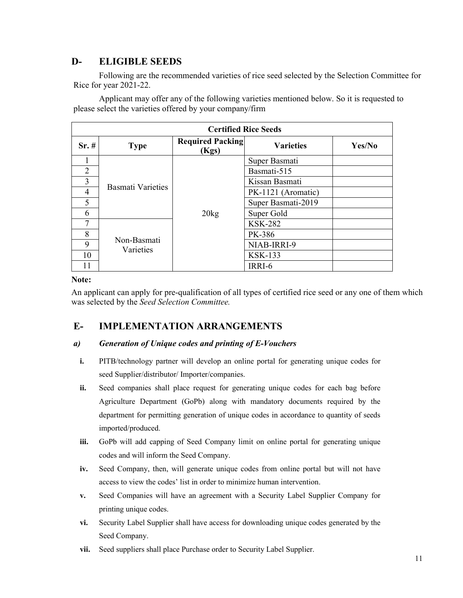## **D- ELIGIBLE SEEDS**

Following are the recommended varieties of rice seed selected by the Selection Committee for Rice for year 2021-22.

Applicant may offer any of the following varieties mentioned below. So it is requested to please select the varieties offered by your company/firm

| <b>Certified Rice Seeds</b> |                          |                                  |                    |        |  |
|-----------------------------|--------------------------|----------------------------------|--------------------|--------|--|
| $Sr. \#$                    | <b>Type</b>              | <b>Required Packing</b><br>(Kgs) | <b>Varieties</b>   | Yes/No |  |
|                             |                          |                                  | Super Basmati      |        |  |
| $\overline{2}$              |                          |                                  | Basmati-515        |        |  |
| 3                           | <b>Basmati Varieties</b> |                                  | Kissan Basmati     |        |  |
| 4                           |                          |                                  | PK-1121 (Aromatic) |        |  |
| 5                           |                          |                                  | Super Basmati-2019 |        |  |
| 6                           |                          | $20\text{kg}$                    | Super Gold         |        |  |
| 7                           |                          |                                  | <b>KSK-282</b>     |        |  |
| 8                           | Non-Basmati<br>Varieties |                                  | PK-386             |        |  |
| 9                           |                          |                                  | NIAB-IRRI-9        |        |  |
| 10                          |                          |                                  | <b>KSK-133</b>     |        |  |
| 11                          |                          |                                  | IRRI-6             |        |  |

#### **Note:**

An applicant can apply for pre-qualification of all types of certified rice seed or any one of them which was selected by the *Seed Selection Committee.*

## **E- IMPLEMENTATION ARRANGEMENTS**

#### *a) Generation of Unique codes and printing of E-Vouchers*

- **i.** PITB/technology partner will develop an online portal for generating unique codes for seed Supplier/distributor/ Importer/companies.
- **ii.** Seed companies shall place request for generating unique codes for each bag before Agriculture Department (GoPb) along with mandatory documents required by the department for permitting generation of unique codes in accordance to quantity of seeds imported/produced.
- **iii.** GoPb will add capping of Seed Company limit on online portal for generating unique codes and will inform the Seed Company.
- **iv.** Seed Company, then, will generate unique codes from online portal but will not have access to view the codes' list in order to minimize human intervention.
- **v.** Seed Companies will have an agreement with a Security Label Supplier Company for printing unique codes.
- **vi.** Security Label Supplier shall have access for downloading unique codes generated by the Seed Company.
- **vii.** Seed suppliers shall place Purchase order to Security Label Supplier.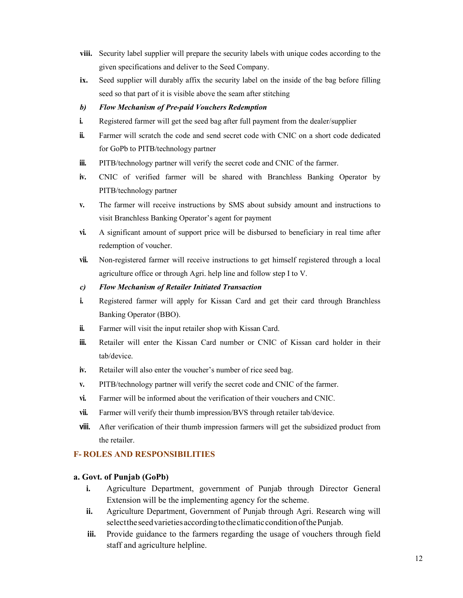- **viii.** Security label supplier will prepare the security labels with unique codes according to the given specifications and deliver to the Seed Company.
- **ix.** Seed supplier will durably affix the security label on the inside of the bag before filling seed so that part of it is visible above the seam after stitching

#### *b) Flow Mechanism of Pre-paid Vouchers Redemption*

- **i.** Registered farmer will get the seed bag after full payment from the dealer/supplier
- **ii.** Farmer will scratch the code and send secret code with CNIC on a short code dedicated for GoPb to PITB/technology partner
- **iii.** PITB/technology partner will verify the secret code and CNIC of the farmer.
- **iv.** CNIC of verified farmer will be shared with Branchless Banking Operator by PITB/technology partner
- **v.** The farmer will receive instructions by SMS about subsidy amount and instructions to visit Branchless Banking Operator's agent for payment
- **vi.** A significant amount of support price will be disbursed to beneficiary in real time after redemption of voucher.
- **vii.** Non-registered farmer will receive instructions to get himself registered through a local agriculture office or through Agri. help line and follow step I to V.
- *c) Flow Mechanism of Retailer Initiated Transaction*
- **i.** Registered farmer will apply for Kissan Card and get their card through Branchless Banking Operator (BBO).
- **ii.** Farmer will visit the input retailer shop with Kissan Card.
- **iii.** Retailer will enter the Kissan Card number or CNIC of Kissan card holder in their tab/device.
- **iv.** Retailer will also enter the voucher's number of rice seed bag.
- **v.** PITB/technology partner will verify the secret code and CNIC of the farmer.
- **vi.** Farmer will be informed about the verification of their vouchers and CNIC.
- **vii.** Farmer will verify their thumb impression/BVS through retailer tab/device.
- **viii.** After verification of their thumb impression farmers will get the subsidized product from the retailer.

#### **F- ROLES AND RESPONSIBILITIES**

#### **a. Govt. of Punjab (GoPb)**

- **i.** Agriculture Department, government of Punjab through Director General Extension will be the implementing agency for the scheme.
- **ii.** Agriculture Department, Government of Punjab through Agri. Research wing will select the seed varieties according to the climatic condition of the Punjab.
- **iii.** Provide guidance to the farmers regarding the usage of vouchers through field staff and agriculture helpline.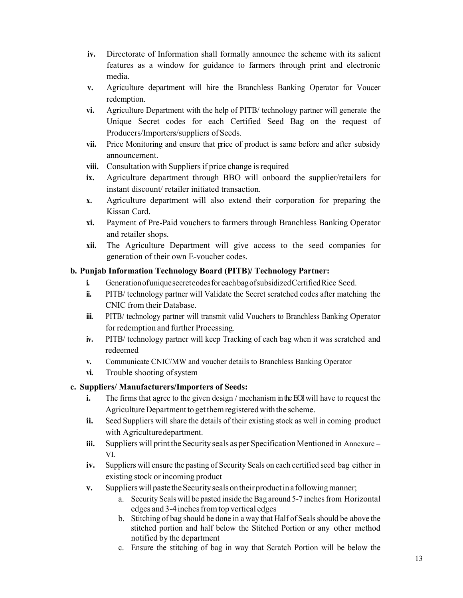- **iv.** Directorate of Information shall formally announce the scheme with its salient features as a window for guidance to farmers through print and electronic media.
- **v.** Agriculture department will hire the Branchless Banking Operator for Voucer redemption.
- **vi.** Agriculture Department with the help of PITB/ technology partner will generate the Unique Secret codes for each Certified Seed Bag on the request of Producers/Importers/suppliers of Seeds.
- **vii.** Price Monitoring and ensure that price of product is same before and after subsidy announcement.
- **viii.** Consultation with Suppliers if price change is required
- **ix.** Agriculture department through BBO will onboard the supplier/retailers for instant discount/ retailer initiated transaction.
- **x.** Agriculture department will also extend their corporation for preparing the Kissan Card.
- **xi.** Payment of Pre-Paid vouchers to farmers through Branchless Banking Operator and retailer shops.
- **xii.** The Agriculture Department will give access to the seed companies for generation of their own E-voucher codes.

## **b. Punjab Information Technology Board (PITB)/ Technology Partner:**

- **i.** Generation of unique secret codes for each bag of subsidized Certified Rice Seed.
- **ii.** PITB/ technology partner will Validate the Secret scratched codes after matching the CNIC from their Database.
- **iii.** PITB/ technology partner will transmit valid Vouchers to Branchless Banking Operator for redemption and further Processing.
- **iv.** PITB/ technology partner will keep Tracking of each bag when it was scratched and redeemed
- **v.** Communicate CNIC/MW and voucher details to Branchless Banking Operator
- **vi.** Trouble shooting of system

## **c. Suppliers/ Manufacturers/Importers of Seeds:**

- **i.** The firms that agree to the given design / mechanism in the EOI will have to request the Agriculture Department to get them registered with the scheme.
- **ii.** Seed Suppliers will share the details of their existing stock as well in coming product with Agriculture department.
- **iii.** Suppliers will print the Security seals as per Specification Mentioned in Annexure VI.
- **iv.** Suppliers will ensure the pasting of Security Seals on each certified seed bag either in existing stock or incoming product
- **v.** Suppliers will paste the Security seals on their product in a following manner;
	- a. Security Seals will be pasted inside the Bag around 5-7 inches from Horizontal edges and 3-4 inches from top vertical edges
	- b. Stitching of bag should be done in a way that Half of Seals should be above the stitched portion and half below the Stitched Portion or any other method notified by the department
	- c. Ensure the stitching of bag in way that Scratch Portion will be below the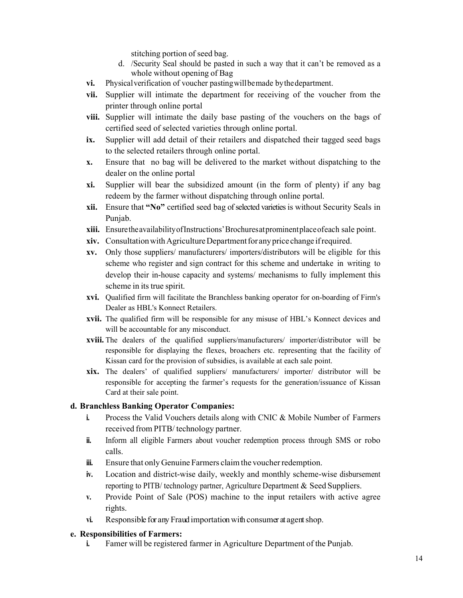stitching portion of seed bag.

- d. /Security Seal should be pasted in such a way that it can't be removed as a whole without opening of Bag
- **vi.** Physical verification of voucher pasting will be made by the department.
- **vii.** Supplier will intimate the department for receiving of the voucher from the printer through online portal
- **viii.** Supplier will intimate the daily base pasting of the vouchers on the bags of certified seed of selected varieties through online portal.
- **ix.** Supplier will add detail of their retailers and dispatched their tagged seed bags to the selected retailers through online portal.
- **x.** Ensure that no bag will be delivered to the market without dispatching to the dealer on the online portal
- **xi.** Supplier will bear the subsidized amount (in the form of plenty) if any bag redeem by the farmer without dispatching through online portal.
- **xii.** Ensure that **"No"** certified seed bag of selected varieties is without Security Seals in Punjab.
- **xiii.** Ensure the availability of Instructions' Brochures at prominent place of each sale point.
- **xiv.** Consultation with Agriculture Department for any price change if required.
- **xv.** Only those suppliers/ manufacturers/ importers/distributors will be eligible for this scheme who register and sign contract for this scheme and undertake in writing to develop their in-house capacity and systems/ mechanisms to fully implement this scheme in its true spirit.
- **xvi.** Qualified firm will facilitate the Branchless banking operator for on-boarding of Firm's Dealer as HBL's Konnect Retailers.
- **xvii.** The qualified firm will be responsible for any misuse of HBL's Konnect devices and will be accountable for any misconduct.
- **xviii.** The dealers of the qualified suppliers/manufacturers/ importer/distributor will be responsible for displaying the flexes, broachers etc. representing that the facility of Kissan card for the provision of subsidies, is available at each sale point.
- **xix.** The dealers' of qualified suppliers/ manufacturers/ importer/ distributor will be responsible for accepting the farmer's requests for the generation/issuance of Kissan Card at their sale point.

## **d. Branchless Banking Operator Companies:**

- **i.** Process the Valid Vouchers details along with CNIC & Mobile Number of Farmers received from PITB/ technology partner.
- **ii.** Inform all eligible Farmers about voucher redemption process through SMS or robo calls.
- **iii.** Ensure that only Genuine Farmers claim the voucher redemption.
- **iv.** Location and district-wise daily, weekly and monthly scheme-wise disbursement reporting to PITB/ technology partner, Agriculture Department & Seed Suppliers.
- **v.** Provide Point of Sale (POS) machine to the input retailers with active agree rights.
- **vi.** Responsible for any Fraud importation with consumer at agent shop.

#### **e. Responsibilities of Farmers:**

**i.** Famer will be registered farmer in Agriculture Department of the Punjab.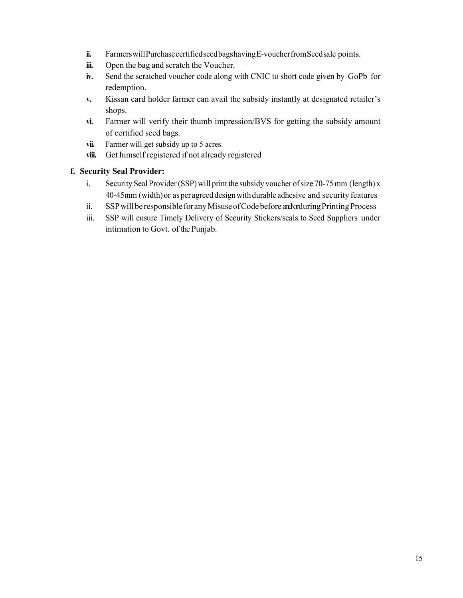- ii. Farmers will Purchase certified seed bags having E-voucher from Seed sale points.
- **iii.** Open the bag and scratch the Voucher.
- **iv.** Send the scratched voucher code along with CNIC to short code given by GoPb for redemption.
- **v.** Kissan card holder farmer can avail the subsidy instantly at designated retailer's shops.
- **vi.** Farmer will verify their thumb impression/BVS for getting the subsidy amount of certified seed bags.
- **vii.** Farmer will get subsidy up to 5 acres.
- **viii.** Get himself registered if not already registered

## **f. Security Seal Provider:**

- i. Security Seal Provider (SSP) will print the subsidy voucher of size 70-75 mm (length) x 40-45mm (width) or as per agreed design with durable adhesive and security features
- ii. SSP will be responsible for any Misuse of Code before and/ or during Printing Process
- iii. SSP will ensure Timely Delivery of Security Stickers/seals to Seed Suppliers under intimation to Govt. of the Punjab.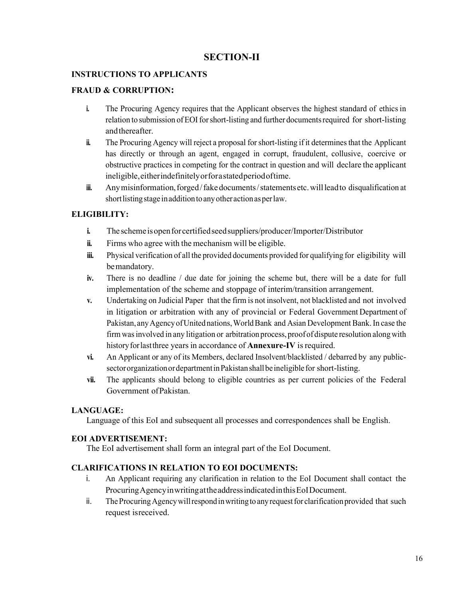## **SECTION-II**

#### **INSTRUCTIONS TO APPLICANTS**

#### **FRAUD & CORRUPTION:**

- **i.** The Procuring Agency requires that the Applicant observes the highest standard of ethics in relation to submission of EOI for short-listing and further documents required for short-listing and thereafter.
- **ii.** The Procuring Agency will reject a proposal for short-listing if it determines that the Applicant has directly or through an agent, engaged in corrupt, fraudulent, collusive, coercive or obstructive practices in competing for the contract in question and will declare the applicant ineligible, either indefinitely or for a stated period of time.
- **iii.** Any misinformation, forged / fake documents / statements etc. will lead to disqualification at short listing stage in addition to any other action as per law.

#### **ELIGIBILITY:**

- **i.** The scheme is open for certifiedseed suppliers/producer/Importer/Distributor
- **ii.** Firms who agree with the mechanism will be eligible.
- **iii.** Physical verification of all the provided documents provided for qualifying for eligibility will be mandatory.
- **iv.** There is no deadline / due date for joining the scheme but, there will be a date for full implementation of the scheme and stoppage of interim/transition arrangement.
- **v.** Undertaking on Judicial Paper that the firm is not insolvent, not blacklisted and not involved in litigation or arbitration with any of provincial or Federal Government Department of Pakistan, any Agency of United nations, World Bank and Asian Development Bank. In case the firm was involved in any litigation or arbitration process, proof of dispute resolution along with history for last three years in accordance of **Annexure-IV** is required.
- **vi.** An Applicant or any of its Members, declared Insolvent/blacklisted / debarred by any publicsector organization or department in Pakistan shall be ineligible for short-listing.
- **vii.** The applicants should belong to eligible countries as per current policies of the Federal Government of Pakistan.

#### **LANGUAGE:**

Language of this EoI and subsequent all processes and correspondences shall be English.

#### **EOI ADVERTISEMENT:**

The EoI advertisement shall form an integral part of the EoI Document.

#### **CLARIFICATIONS IN RELATION TO EOI DOCUMENTS:**

- i. An Applicant requiring any clarification in relation to the EoI Document shall contact the Procuring Agency in writing at the address indicated in this EoI Document.
- ii. The Procuring Agency will respond in writing to any request for clarification provided that such request is received.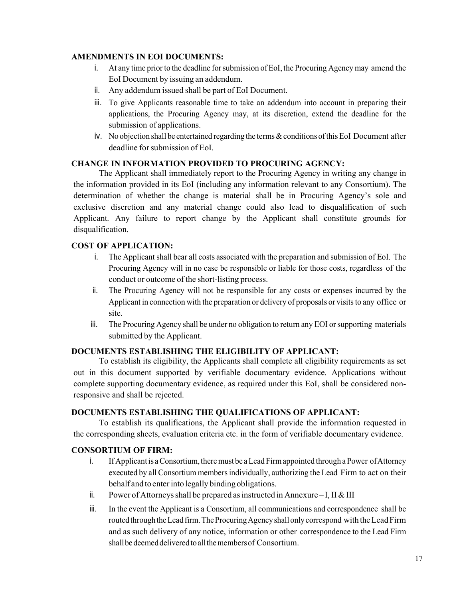#### **AMENDMENTS IN EOI DOCUMENTS:**

- i. At any time prior to the deadline for submission of EoI, the Procuring Agency may amend the EoI Document by issuing an addendum.
- ii. Any addendum issued shall be part of EoI Document.
- iii. To give Applicants reasonable time to take an addendum into account in preparing their applications, the Procuring Agency may, at its discretion, extend the deadline for the submission of applications.
- iv. No objection shall be entertained regarding the terms & conditions of this EoI Document after deadline for submission of EoI.

#### **CHANGE IN INFORMATION PROVIDED TO PROCURING AGENCY:**

The Applicant shall immediately report to the Procuring Agency in writing any change in the information provided in its EoI (including any information relevant to any Consortium). The determination of whether the change is material shall be in Procuring Agency's sole and exclusive discretion and any material change could also lead to disqualification of such Applicant. Any failure to report change by the Applicant shall constitute grounds for disqualification.

#### **COST OF APPLICATION:**

- i. The Applicant shall bear all costs associated with the preparation and submission of EoI. The Procuring Agency will in no case be responsible or liable for those costs, regardless of the conduct or outcome of the short-listing process.
- ii. The Procuring Agency will not be responsible for any costs or expenses incurred by the Applicant in connection with the preparation or delivery of proposals or visits to any office or site.
- iii. The Procuring Agency shall be under no obligation to return any EOI or supporting materials submitted by the Applicant.

#### **DOCUMENTS ESTABLISHING THE ELIGIBILITY OF APPLICANT:**

 To establish its eligibility, the Applicants shall complete all eligibility requirements as set out in this document supported by verifiable documentary evidence. Applications without complete supporting documentary evidence, as required under this EoI, shall be considered nonresponsive and shall be rejected.

#### **DOCUMENTS ESTABLISHING THE QUALIFICATIONS OF APPLICANT:**

To establish its qualifications, the Applicant shall provide the information requested in the corresponding sheets, evaluation criteria etc. in the form of verifiable documentary evidence.

#### **CONSORTIUM OF FIRM:**

- i. If Applicant is a Consortium, there must be a Lead Firm appointed through a Power of Attorney executed by all Consortium members individually, authorizing the Lead Firm to act on their behalf and to enter into legally binding obligations.
- ii. Power of Attorneys shall be prepared as instructed in Annexure I, II & III
- iii. In the event the Applicant is a Consortium, all communications and correspondence shall be routed through the Lead firm. The Procuring Agency shall only correspond with the Lead Firm and as such delivery of any notice, information or other correspondence to the Lead Firm shall be deemed delivered to all the members of Consortium.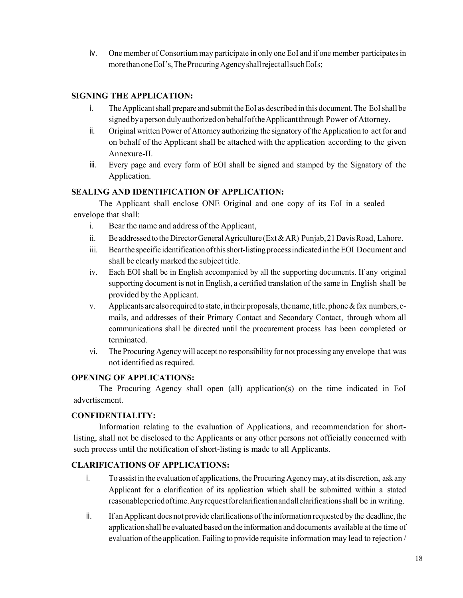iv. One member of Consortium may participate in only one EoI and if one member participates in more than one EoI's, The Procuring Agency shall reject all such EoIs;

## **SIGNING THE APPLICATION:**

- i. The Applicant shall prepare and submit the EoI as described in this document. The EoI shall be signed by a person duly authorized on behalf of the Applicant through Power of Attorney.
- ii. Original written Power of Attorney authorizing the signatory of the Application to act for and on behalf of the Applicant shall be attached with the application according to the given Annexure-II.
- iii. Every page and every form of EOI shall be signed and stamped by the Signatory of the Application.

#### **SEALING AND IDENTIFICATION OF APPLICATION:**

The Applicant shall enclose ONE Original and one copy of its EoI in a sealed envelope that shall:

- i. Bear the name and address of the Applicant,
- ii. Be addressed to the Director General Agriculture (Ext & AR) Punjab, 21 Davis Road, Lahore.
- iii. Bear the specific identification of this short-listing process indicated in the EOI Document and shall be clearly marked the subject title.
- iv. Each EOI shall be in English accompanied by all the supporting documents. If any original supporting document is not in English, a certified translation of the same in English shall be provided by the Applicant.
- v. Applicants are also required to state, in their proposals, the name, title, phone  $\&$  fax numbers, emails, and addresses of their Primary Contact and Secondary Contact, through whom all communications shall be directed until the procurement process has been completed or terminated.
- vi. The Procuring Agency will accept no responsibility for not processing any envelope that was not identified as required.

## **OPENING OF APPLICATIONS:**

The Procuring Agency shall open (all) application(s) on the time indicated in EoI advertisement.

## **CONFIDENTIALITY:**

Information relating to the evaluation of Applications, and recommendation for shortlisting, shall not be disclosed to the Applicants or any other persons not officially concerned with such process until the notification of short-listing is made to all Applicants.

## **CLARIFICATIONS OF APPLICATIONS:**

- i. To assist in the evaluation of applications, the Procuring Agency may, at its discretion, ask any Applicant for a clarification of its application which shall be submitted within a stated reasonable period of time. Any request for clarification and all clarifications shall be in writing.
- ii. If an Applicant does not provide clarifications of the information requested by the deadline, the application shall be evaluated based on the information and documents available at the time of evaluation of the application. Failing to provide requisite information may lead to rejection /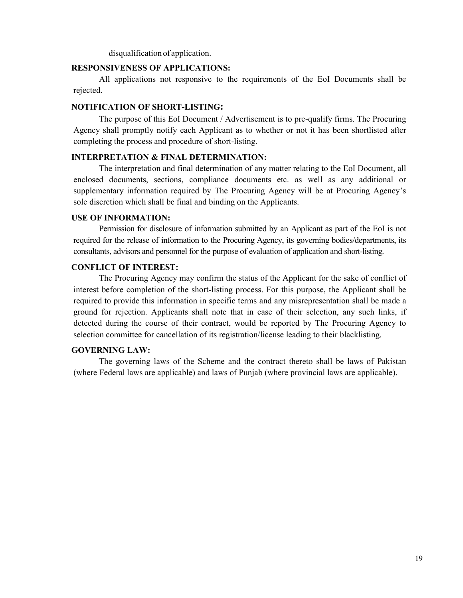disqualification of application.

#### **RESPONSIVENESS OF APPLICATIONS:**

All applications not responsive to the requirements of the EoI Documents shall be rejected.

#### **NOTIFICATION OF SHORT-LISTING:**

The purpose of this EoI Document / Advertisement is to pre-qualify firms. The Procuring Agency shall promptly notify each Applicant as to whether or not it has been shortlisted after completing the process and procedure of short-listing.

#### **INTERPRETATION & FINAL DETERMINATION:**

The interpretation and final determination of any matter relating to the EoI Document, all enclosed documents, sections, compliance documents etc. as well as any additional or supplementary information required by The Procuring Agency will be at Procuring Agency's sole discretion which shall be final and binding on the Applicants.

#### **USE OF INFORMATION:**

Permission for disclosure of information submitted by an Applicant as part of the EoI is not required for the release of information to the Procuring Agency, its governing bodies/departments, its consultants, advisors and personnel for the purpose of evaluation of application and short-listing.

#### **CONFLICT OF INTEREST:**

The Procuring Agency may confirm the status of the Applicant for the sake of conflict of interest before completion of the short-listing process. For this purpose, the Applicant shall be required to provide this information in specific terms and any misrepresentation shall be made a ground for rejection. Applicants shall note that in case of their selection, any such links, if detected during the course of their contract, would be reported by The Procuring Agency to selection committee for cancellation of its registration/license leading to their blacklisting.

#### **GOVERNING LAW:**

The governing laws of the Scheme and the contract thereto shall be laws of Pakistan (where Federal laws are applicable) and laws of Punjab (where provincial laws are applicable).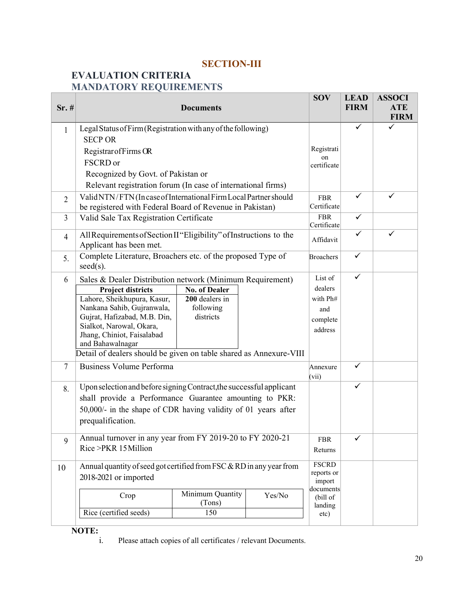## **SECTION-III**

## **EVALUATION CRITERIA MANDATORY REQUIREMENTS**

| Sr.#           | <b>Documents</b>                                                                      |                      |        |                           | <b>LEAD</b><br><b>FIRM</b> | <b>ASSOCI</b><br><b>ATE</b><br><b>FIRM</b> |
|----------------|---------------------------------------------------------------------------------------|----------------------|--------|---------------------------|----------------------------|--------------------------------------------|
| 1              | Legal Status of Firm (Registration with any of the following)                         |                      |        |                           | ✓                          | $\checkmark$                               |
|                | <b>SECP OR</b>                                                                        |                      |        |                           |                            |                                            |
|                | Registrar of Firms OR                                                                 |                      |        | Registrati                |                            |                                            |
|                | FSCRD or                                                                              |                      |        | on<br>certificate         |                            |                                            |
|                | Recognized by Govt. of Pakistan or                                                    |                      |        |                           |                            |                                            |
|                | Relevant registration forum (In case of international firms)                          |                      |        |                           |                            |                                            |
| $\overline{2}$ | Valid NTN/FTN (In case of International Firm Local Partner should                     |                      |        | <b>FBR</b>                | $\checkmark$               | $\checkmark$                               |
|                | be registered with Federal Board of Revenue in Pakistan)                              |                      |        | Certificate               |                            |                                            |
| 3              | Valid Sale Tax Registration Certificate                                               |                      |        | <b>FBR</b><br>Certificate | ✓                          |                                            |
| $\overline{4}$ | All Requirements of Section II "Eligibility" of Instructions to the                   |                      |        |                           | $\checkmark$               | ✓                                          |
|                | Applicant has been met.                                                               |                      |        | Affidavit                 |                            |                                            |
| 5.             | Complete Literature, Broachers etc. of the proposed Type of<br>$seed(s)$ .            |                      |        | <b>Broachers</b>          | $\checkmark$               |                                            |
| 6              |                                                                                       |                      |        | List of                   | ✓                          |                                            |
|                | Sales & Dealer Distribution network (Minimum Requirement)<br><b>Project districts</b> | <b>No. of Dealer</b> |        | dealers                   |                            |                                            |
|                | Lahore, Sheikhupura, Kasur,                                                           | 200 dealers in       |        | with Ph#                  |                            |                                            |
|                | Nankana Sahib, Gujranwala,                                                            | following            |        | and                       |                            |                                            |
|                | Gujrat, Hafizabad, M.B. Din,                                                          | districts            |        | complete                  |                            |                                            |
|                | Sialkot, Narowal, Okara,<br>Jhang, Chiniot, Faisalabad                                |                      |        | address                   |                            |                                            |
|                | and Bahawalnagar                                                                      |                      |        |                           |                            |                                            |
|                | Detail of dealers should be given on table shared as Annexure-VIII                    |                      |        |                           |                            |                                            |
| $\overline{7}$ | <b>Business Volume Performa</b>                                                       |                      |        | Annexure<br>(vii)         | ✓                          |                                            |
| 8.             | Upon selection and before signing Contract, the successful applicant                  |                      |        |                           | $\checkmark$               |                                            |
|                | shall provide a Performance Guarantee amounting to PKR:                               |                      |        |                           |                            |                                            |
|                | 50,000/- in the shape of CDR having validity of 01 years after                        |                      |        |                           |                            |                                            |
|                | prequalification.                                                                     |                      |        |                           |                            |                                            |
| 9              | Annual turnover in any year from FY 2019-20 to FY 2020-21                             |                      |        | <b>FBR</b>                | $\checkmark$               |                                            |
|                | Rice >PKR 15 Million                                                                  |                      |        | Returns                   |                            |                                            |
| 10             | Annual quantity of seed got certified from FSC & RD in any year from                  |                      |        | <b>FSCRD</b>              |                            |                                            |
|                | 2018-2021 or imported                                                                 |                      |        | reports or<br>import      |                            |                                            |
|                |                                                                                       | Minimum Quantity     |        | documents                 |                            |                                            |
|                | Crop                                                                                  | (Tons)               | Yes/No | (bill of<br>landing       |                            |                                            |
|                | Rice (certified seeds)                                                                | 150                  |        | etc)                      |                            |                                            |
|                |                                                                                       |                      |        |                           |                            |                                            |

 $\frac{1}{\text{NOTE:}}$ <br>i.

Please attach copies of all certificates / relevant Documents.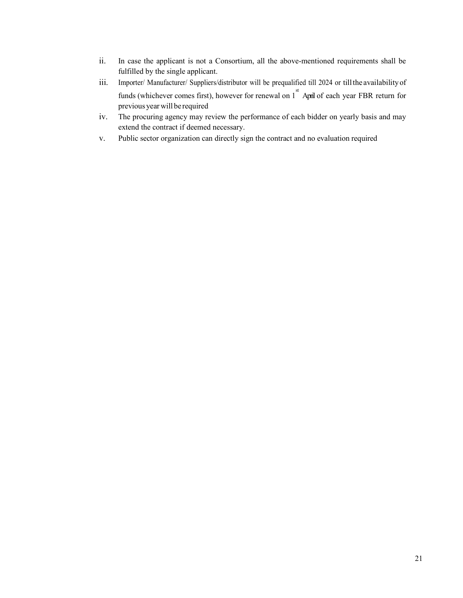- ii. In case the applicant is not a Consortium, all the above-mentioned requirements shall be fulfilled by the single applicant.
- iii. Importer/ Manufacturer/ Suppliers/distributor will be prequalified till 2024 or till the availability of funds (whichever comes first), however for renewal on 1<sup>st</sup> April of each year FBR return for previous year will be required
- iv. The procuring agency may review the performance of each bidder on yearly basis and may extend the contract if deemed necessary.
- v. Public sector organization can directly sign the contract and no evaluation required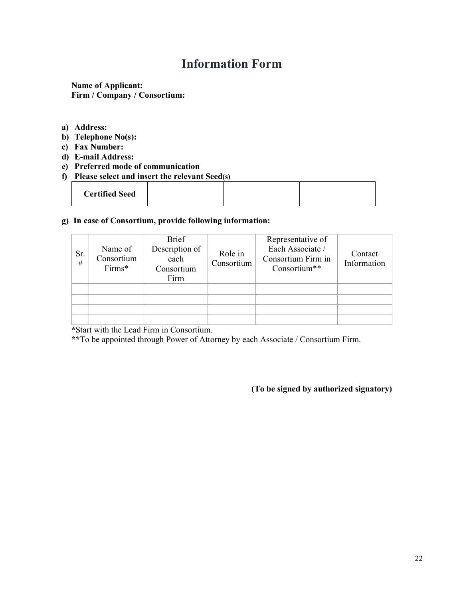## **Information Form**

**Name of Applicant: Firm / Company / Consortium:** 

- **a) Address:**
- **b) Telephone No(s):**
- **c) Fax Number:**
- **d) E-mail Address:**
- **e) Preferred mode of communication**
- **f) Please select and insert the relevant Seed(s)**

| <b>Certified Seed</b> |  |
|-----------------------|--|
|-----------------------|--|

#### **g) In case of Consortium, provide following information:**

| Sr.<br># | Name of<br>Consortium<br>Firms* | <b>Brief</b><br>Description of<br>each<br>Consortium<br>Firm | Role in<br>Consortium | Representative of<br>Each Associate /<br>Consortium Firm in<br>Consortium** | Contact<br>Information |
|----------|---------------------------------|--------------------------------------------------------------|-----------------------|-----------------------------------------------------------------------------|------------------------|
|          |                                 |                                                              |                       |                                                                             |                        |

**\***Start with the Lead Firm in Consortium.

**\*\***To be appointed through Power of Attorney by each Associate / Consortium Firm.

**(To be signed by authorized signatory)**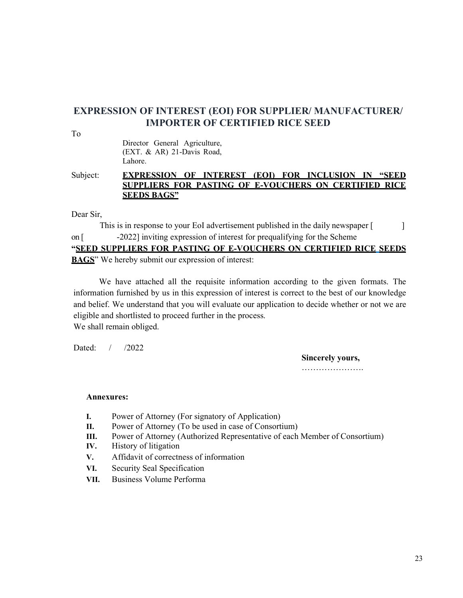## **EXPRESSION OF INTEREST (EOI) FOR SUPPLIER/ MANUFACTURER/ IMPORTER OF CERTIFIED RICE SEED**

To

Director General Agriculture, (EXT. & AR) 21-Davis Road, Lahore.

Subject: **EXPRESSION OF INTEREST (EOI) FOR INCLUSION IN "SEED SUPPLIERS FOR PASTING OF E-VOUCHERS ON CERTIFIED RICE SEEDS BAGS"**

Dear Sir,

This is in response to your EoI advertisement published in the daily newspaper [ on [ -2022] inviting expression of interest for prequalifying for the Scheme **"SEED SUPPLIERS FOR PASTING OF E-VOUCHERS ON CERTIFIED RICE SEEDS BAGS**" We hereby submit our expression of interest:

We have attached all the requisite information according to the given formats. The information furnished by us in this expression of interest is correct to the best of our knowledge and belief. We understand that you will evaluate our application to decide whether or not we are eligible and shortlisted to proceed further in the process. We shall remain obliged.

Dated: / /2022

**Sincerely yours,** 

………………………

#### **Annexures:**

- **I.** Power of Attorney (For signatory of Application)
- **II.** Power of Attorney (To be used in case of Consortium)
- **III.** Power of Attorney (Authorized Representative of each Member of Consortium)
- **IV.** History of litigation
- **V.** Affidavit of correctness of information
- **VI.** Security Seal Specification
- **VII.** Business Volume Performa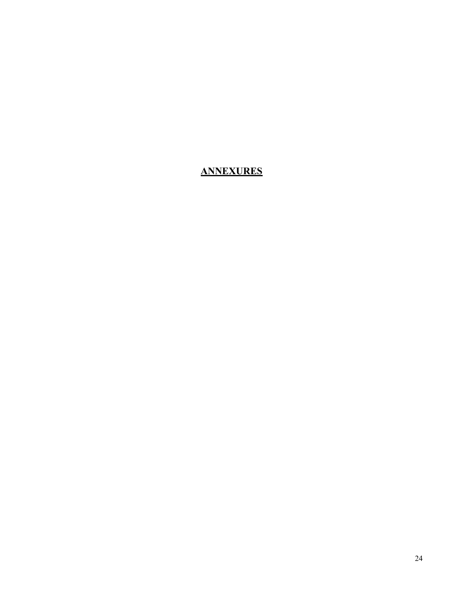## **ANNEXURES**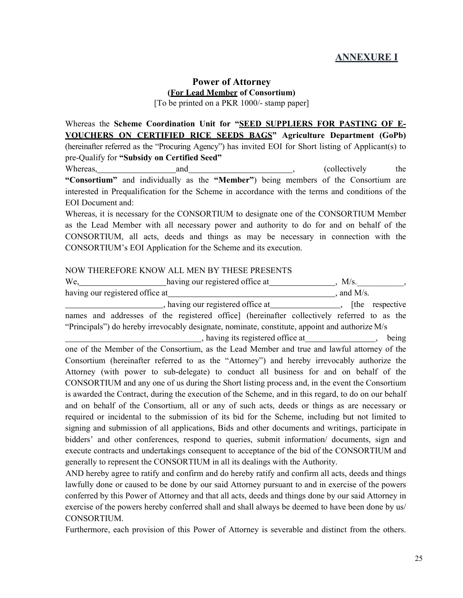## **ANNEXURE I**

## **Power of Attorney (For Lead Member of Consortium)**

[To be printed on a PKR 1000/- stamp paper]

Whereas the **Scheme Coordination Unit for "SEED SUPPLIERS FOR PASTING OF E-VOUCHERS ON CERTIFIED RICE SEEDS BAGS" Agriculture Department (GoPb)**  (hereinafter referred as the "Procuring Agency") has invited EOI for Short listing of Applicant(s) to pre-Qualify for **"Subsidy on Certified Seed"** 

Whereas, and and , (collectively the set of the set of the set of the set of the set of the set of the set of the set of the set of the set of the set of the set of the set of the set of the set of the set of the set of th **"Consortium"** and individually as the **"Member"**) being members of the Consortium are interested in Prequalification for the Scheme in accordance with the terms and conditions of the EOI Document and:

Whereas, it is necessary for the CONSORTIUM to designate one of the CONSORTIUM Member as the Lead Member with all necessary power and authority to do for and on behalf of the CONSORTIUM, all acts, deeds and things as may be necessary in connection with the CONSORTIUM's EOI Application for the Scheme and its execution.

#### NOW THEREFORE KNOW ALL MEN BY THESE PRESENTS

| names and addresses of the registered office] (hereinafter collectively referred to as the           |  |
|------------------------------------------------------------------------------------------------------|--|
| "Principals") do hereby irrevocably designate, nominate, constitute, appoint and authorize M/s       |  |
| having its registered office at _______________, being                                               |  |
| one of the Member of the Consortium, as the Lead Member and true and lawful attorney of the          |  |
| Consortium (hereinafter referred to as the "Attorney") and hereby irrevocably authorize the          |  |
| Attorney (with power to sub-delegate) to conduct all business for and on behalf of the               |  |
| CONSORTIUM and any one of us during the Short listing process and, in the event the Consortium       |  |
| is awarded the Contract, during the execution of the Scheme, and in this regard, to do on our behalf |  |
| and on behalf of the Consortium, all or any of such acts, deeds or things as are necessary or        |  |
| required or incidental to the submission of its bid for the Scheme, including but not limited to     |  |
| signing and submission of all applications, Bids and other documents and writings, participate in    |  |
| bidders' and other conferences, respond to queries, submit information/ documents, sign and          |  |
| execute contracts and undertakings consequent to acceptance of the bid of the CONSORTIUM and         |  |
| generally to represent the CONSORTIUM in all its dealings with the Authority.                        |  |
| AMD housker souss to write and souting and do housker write and souting all sate. deads and thin so  |  |

AND hereby agree to ratify and confirm and do hereby ratify and confirm all acts, deeds and things lawfully done or caused to be done by our said Attorney pursuant to and in exercise of the powers conferred by this Power of Attorney and that all acts, deeds and things done by our said Attorney in exercise of the powers hereby conferred shall and shall always be deemed to have been done by us/ CONSORTIUM.

Furthermore, each provision of this Power of Attorney is severable and distinct from the others.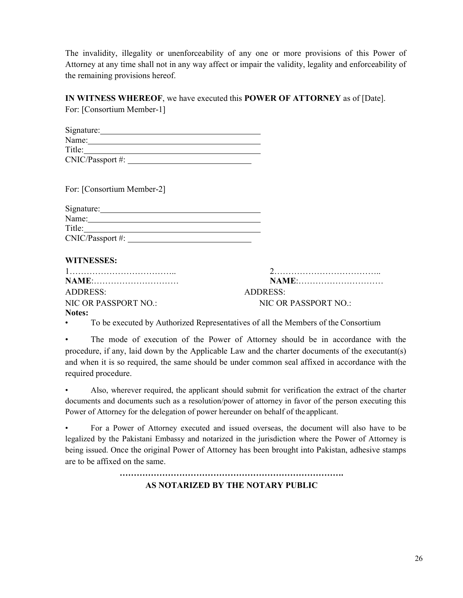The invalidity, illegality or unenforceability of any one or more provisions of this Power of Attorney at any time shall not in any way affect or impair the validity, legality and enforceability of the remaining provisions hereof.

#### **IN WITNESS WHEREOF**, we have executed this **POWER OF ATTORNEY** as of [Date]. For: [Consortium Member-1]

| Signature:       |  |
|------------------|--|
| Name:            |  |
| Title:           |  |
| CNIC/Passport #: |  |

For: [Consortium Member-2]

| Signature:       |  |
|------------------|--|
| Name:            |  |
| Title:           |  |
| CNIC/Passport #: |  |

#### **WITNESSES:**

|                      | NAME:                |
|----------------------|----------------------|
| ADDRESS              | ADDRESS:             |
| NIC OR PASSPORT NO.: | NIC OR PASSPORT NO.: |
| Notes:               |                      |

• To be executed by Authorized Representatives of all the Members of the Consortium

The mode of execution of the Power of Attorney should be in accordance with the procedure, if any, laid down by the Applicable Law and the charter documents of the executant(s) and when it is so required, the same should be under common seal affixed in accordance with the required procedure.

• Also, wherever required, the applicant should submit for verification the extract of the charter documents and documents such as a resolution/power of attorney in favor of the person executing this Power of Attorney for the delegation of power hereunder on behalf of the applicant.

• For a Power of Attorney executed and issued overseas, the document will also have to be legalized by the Pakistani Embassy and notarized in the jurisdiction where the Power of Attorney is being issued. Once the original Power of Attorney has been brought into Pakistan, adhesive stamps are to be affixed on the same.

> **……………………………………………………………………. AS NOTARIZED BY THE NOTARY PUBLIC**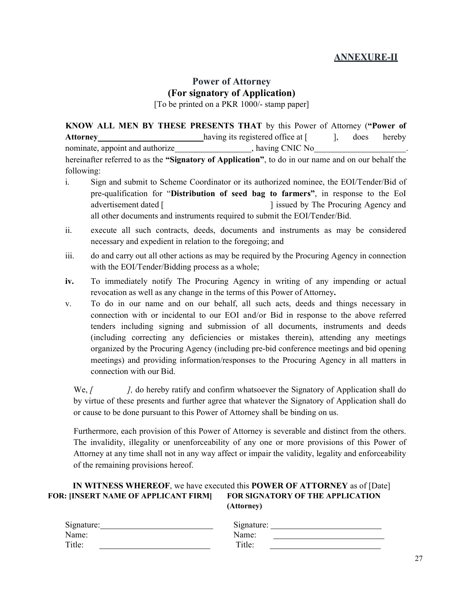## **ANNEXURE-II**

## **Power of Attorney (For signatory of Application)**

[To be printed on a PKR 1000/- stamp paper]

**KNOW ALL MEN BY THESE PRESENTS THAT** by this Power of Attorney (**"Power of**  Attorney having its registered office at [ ], does hereby nominate, appoint and authorize , having CNIC No hereinafter referred to as the **"Signatory of Application"**, to do in our name and on our behalf the following:

- i. Sign and submit to Scheme Coordinator or its authorized nominee, the EOI/Tender/Bid of pre-qualification for "**Distribution of seed bag to farmers"**, in response to the EoI advertisement dated [  $\qquad$  ] issued by The Procuring Agency and all other documents and instruments required to submit the EOI/Tender/Bid.
- ii. execute all such contracts, deeds, documents and instruments as may be considered necessary and expedient in relation to the foregoing; and
- iii. do and carry out all other actions as may be required by the Procuring Agency in connection with the EOI/Tender/Bidding process as a whole;
- **iv.** To immediately notify The Procuring Agency in writing of any impending or actual revocation as well as any change in the terms of this Power of Attorney**.**
- v. To do in our name and on our behalf, all such acts, deeds and things necessary in connection with or incidental to our EOI and/or Bid in response to the above referred tenders including signing and submission of all documents, instruments and deeds (including correcting any deficiencies or mistakes therein), attending any meetings organized by the Procuring Agency (including pre-bid conference meetings and bid opening meetings) and providing information/responses to the Procuring Agency in all matters in connection with our Bid.

We, *[ ], do hereby ratify and confirm whatsoever the Signatory of Application shall do* by virtue of these presents and further agree that whatever the Signatory of Application shall do or cause to be done pursuant to this Power of Attorney shall be binding on us.

Furthermore, each provision of this Power of Attorney is severable and distinct from the others. The invalidity, illegality or unenforceability of any one or more provisions of this Power of Attorney at any time shall not in any way affect or impair the validity, legality and enforceability of the remaining provisions hereof.

#### **IN WITNESS WHEREOF**, we have executed this **POWER OF ATTORNEY** as of [Date] **FOR: [INSERT NAME OF APPLICANT FIRM] FOR SIGNATORY OF THE APPLICATION (Attorney)**

| Signature: | Signature: |
|------------|------------|
| Name:      | Name:      |
| Title:     | Title:     |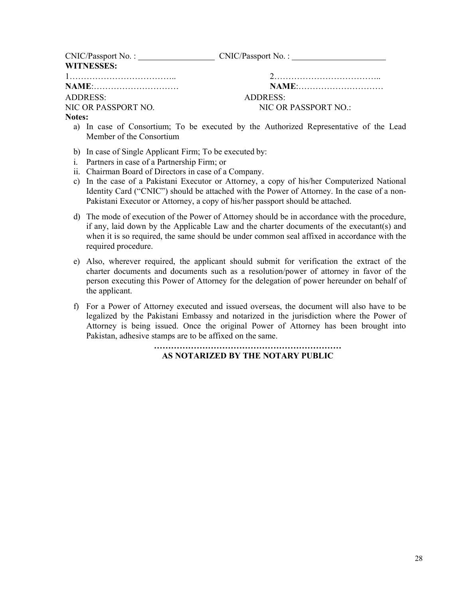| CNIC/Passport No. : |                      |
|---------------------|----------------------|
| <b>WITNESSES:</b>   |                      |
|                     |                      |
|                     | NAME:                |
| ADDRESS:            | ADDRESS:             |
| NIC OR PASSPORT NO. | NIC OR PASSPORT NO.: |

#### **Notes:**

- a) In case of Consortium; To be executed by the Authorized Representative of the Lead Member of the Consortium
- b) In case of Single Applicant Firm; To be executed by:
- i. Partners in case of a Partnership Firm; or
- ii. Chairman Board of Directors in case of a Company.
- c) In the case of a Pakistani Executor or Attorney, a copy of his/her Computerized National Identity Card ("CNIC") should be attached with the Power of Attorney. In the case of a non-Pakistani Executor or Attorney, a copy of his/her passport should be attached.
- d) The mode of execution of the Power of Attorney should be in accordance with the procedure, if any, laid down by the Applicable Law and the charter documents of the executant(s) and when it is so required, the same should be under common seal affixed in accordance with the required procedure.
- e) Also, wherever required, the applicant should submit for verification the extract of the charter documents and documents such as a resolution/power of attorney in favor of the person executing this Power of Attorney for the delegation of power hereunder on behalf of the applicant.
- f) For a Power of Attorney executed and issued overseas, the document will also have to be legalized by the Pakistani Embassy and notarized in the jurisdiction where the Power of Attorney is being issued. Once the original Power of Attorney has been brought into Pakistan, adhesive stamps are to be affixed on the same.

#### **………………………………………………………… AS NOTARIZED BY THE NOTARY PUBLIC**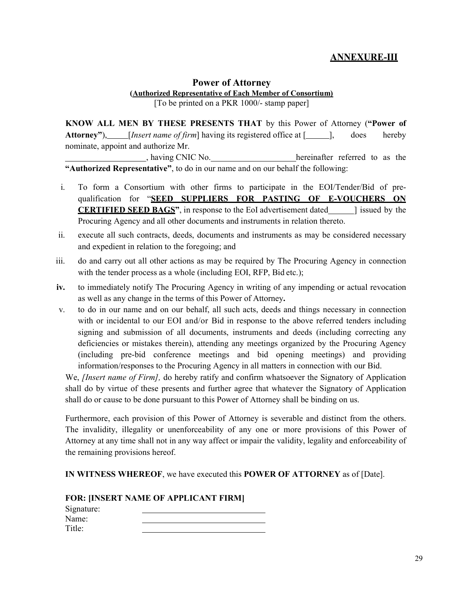## **ANNEXURE-III**

#### **Power of Attorney (Authorized Representative of Each Member of Consortium)** [To be printed on a PKR 1000/- stamp paper]

**KNOW ALL MEN BY THESE PRESENTS THAT** by this Power of Attorney (**"Power of**  Attorney"), [*Insert name of firm*] having its registered office at [ ], does hereby nominate, appoint and authorize Mr.

hereinafter referred to as the hereinafter referred to as the **"Authorized Representative"**, to do in our name and on our behalf the following:

- i. To form a Consortium with other firms to participate in the EOI/Tender/Bid of prequalification for "**SEED SUPPLIERS FOR PASTING OF E-VOUCHERS ON CERTIFIED SEED BAGS**", in response to the EoI advertisement dated also lissued by the Procuring Agency and all other documents and instruments in relation thereto.
- ii. execute all such contracts, deeds, documents and instruments as may be considered necessary and expedient in relation to the foregoing; and
- iii. do and carry out all other actions as may be required by The Procuring Agency in connection with the tender process as a whole (including EOI, RFP, Bid etc.);
- **iv.** to immediately notify The Procuring Agency in writing of any impending or actual revocation as well as any change in the terms of this Power of Attorney**.**
- v. to do in our name and on our behalf, all such acts, deeds and things necessary in connection with or incidental to our EOI and/or Bid in response to the above referred tenders including signing and submission of all documents, instruments and deeds (including correcting any deficiencies or mistakes therein), attending any meetings organized by the Procuring Agency (including pre-bid conference meetings and bid opening meetings) and providing information/responses to the Procuring Agency in all matters in connection with our Bid.

We, *[Insert name of Firm],* do hereby ratify and confirm whatsoever the Signatory of Application shall do by virtue of these presents and further agree that whatever the Signatory of Application shall do or cause to be done pursuant to this Power of Attorney shall be binding on us.

Furthermore, each provision of this Power of Attorney is severable and distinct from the others. The invalidity, illegality or unenforceability of any one or more provisions of this Power of Attorney at any time shall not in any way affect or impair the validity, legality and enforceability of the remaining provisions hereof.

**IN WITNESS WHEREOF**, we have executed this **POWER OF ATTORNEY** as of [Date].

#### **FOR: [INSERT NAME OF APPLICANT FIRM]**

| Signature: |  |
|------------|--|
| Name:      |  |
| Title:     |  |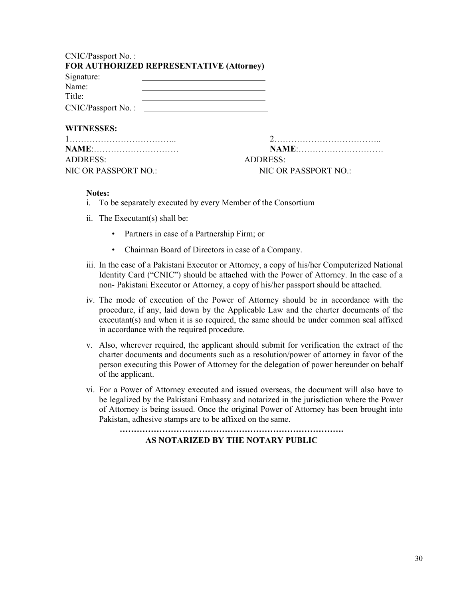| CNIC/Passport No. :                                                                                                             |                 |
|---------------------------------------------------------------------------------------------------------------------------------|-----------------|
| FOR AUTHORIZED REPRESENTATIVE (Attorney)                                                                                        |                 |
| Signature:                                                                                                                      |                 |
| Name:<br><u> 1980 - Johann Stein, marwolaethau a bhann an t-Albann ann an t-Albann an t-Albann an t-Albann an t-Albann an</u>   |                 |
| Title:<br><u> 1989 - Johann Barn, mars and de Branch Barn, mars and de Branch Barn, mars and de Branch Barn, mars and de Br</u> |                 |
| CNIC/Passport No. :                                                                                                             |                 |
| <b>WITNESSES:</b>                                                                                                               |                 |
|                                                                                                                                 |                 |
|                                                                                                                                 | <b>NAME:</b>    |
| <b>ADDRESS:</b>                                                                                                                 | <b>ADDRESS:</b> |

NIC OR PASSPORT NO.: NIC OR PASSPORT NO.:

#### **Notes:**

- i. To be separately executed by every Member of the Consortium
- ii. The Executant(s) shall be:
	- Partners in case of a Partnership Firm; or
	- Chairman Board of Directors in case of a Company.
- iii. In the case of a Pakistani Executor or Attorney, a copy of his/her Computerized National Identity Card ("CNIC") should be attached with the Power of Attorney. In the case of a non- Pakistani Executor or Attorney, a copy of his/her passport should be attached.
- iv. The mode of execution of the Power of Attorney should be in accordance with the procedure, if any, laid down by the Applicable Law and the charter documents of the executant(s) and when it is so required, the same should be under common seal affixed in accordance with the required procedure.
- v. Also, wherever required, the applicant should submit for verification the extract of the charter documents and documents such as a resolution/power of attorney in favor of the person executing this Power of Attorney for the delegation of power hereunder on behalf of the applicant.
- vi. For a Power of Attorney executed and issued overseas, the document will also have to be legalized by the Pakistani Embassy and notarized in the jurisdiction where the Power of Attorney is being issued. Once the original Power of Attorney has been brought into Pakistan, adhesive stamps are to be affixed on the same.

**…………………………………………………………………….** 

**AS NOTARIZED BY THE NOTARY PUBLIC**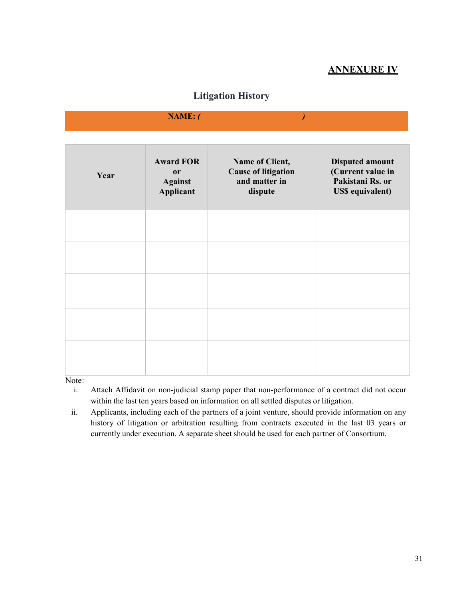## **ANNEXURE IV**

## **Litigation History**

|                                    | NAME: (                                               |                                                                           |                                                                                            |
|------------------------------------|-------------------------------------------------------|---------------------------------------------------------------------------|--------------------------------------------------------------------------------------------|
|                                    |                                                       |                                                                           |                                                                                            |
| Year                               | <b>Award FOR</b><br>or<br><b>Against</b><br>Applicant | Name of Client,<br><b>Cause of litigation</b><br>and matter in<br>dispute | <b>Disputed amount</b><br>(Current value in<br>Pakistani Rs. or<br><b>US\$</b> equivalent) |
|                                    |                                                       |                                                                           |                                                                                            |
|                                    |                                                       |                                                                           |                                                                                            |
|                                    |                                                       |                                                                           |                                                                                            |
|                                    |                                                       |                                                                           |                                                                                            |
|                                    |                                                       |                                                                           |                                                                                            |
| $N_{\alpha\uparrow\alpha\uparrow}$ |                                                       |                                                                           |                                                                                            |

Note:

- i. Attach Affidavit on non-judicial stamp paper that non-performance of a contract did not occur within the last ten years based on information on all settled disputes or litigation.
- ii. Applicants, including each of the partners of a joint venture, should provide information on any history of litigation or arbitration resulting from contracts executed in the last 03 years or currently under execution. A separate sheet should be used for each partner of Consortium.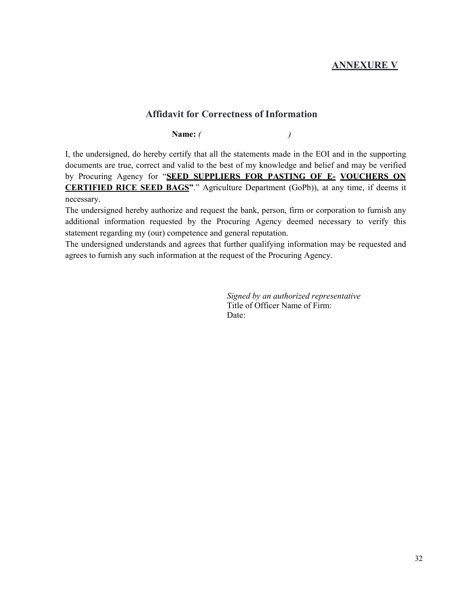## **ANNEXURE V**

#### **Affidavit for Correctness of Information**

**Name:** *( )* 

I, the undersigned, do hereby certify that all the statements made in the EOI and in the supporting documents are true, correct and valid to the best of my knowledge and belief and may be verified by Procuring Agency for "**SEED SUPPLIERS FOR PASTING OF E- VOUCHERS ON CERTIFIED RICE SEED BAGS"**." Agriculture Department (GoPb)), at any time, if deems it necessary.

The undersigned hereby authorize and request the bank, person, firm or corporation to furnish any additional information requested by the Procuring Agency deemed necessary to verify this statement regarding my (our) competence and general reputation.

The undersigned understands and agrees that further qualifying information may be requested and agrees to furnish any such information at the request of the Procuring Agency.

> *Signed by an authorized representative*  Title of Officer Name of Firm: Date: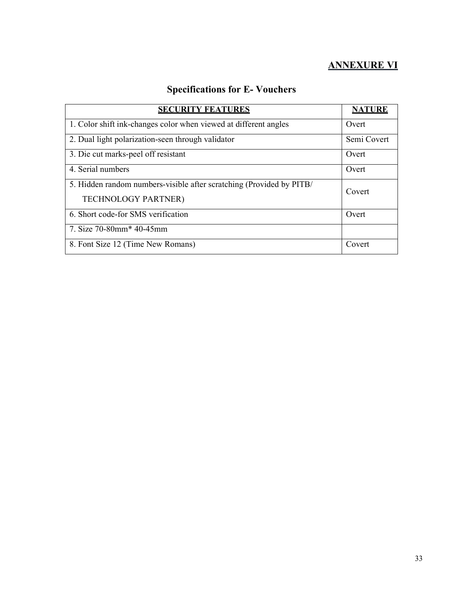## **ANNEXURE VI**

## **Specifications for E- Vouchers**

| <b>SECURITY FEATURES</b>                                             | <b>NATURE</b> |
|----------------------------------------------------------------------|---------------|
| 1. Color shift ink-changes color when viewed at different angles     | Overt         |
| 2. Dual light polarization-seen through validator                    | Semi Covert   |
| 3. Die cut marks-peel off resistant                                  | Overt         |
| 4. Serial numbers                                                    | Overt         |
| 5. Hidden random numbers-visible after scratching (Provided by PITB/ | Covert        |
| <b>TECHNOLOGY PARTNER)</b>                                           |               |
| 6. Short code-for SMS verification                                   | Overt         |
| 7. Size 70-80mm* 40-45mm                                             |               |
| 8. Font Size 12 (Time New Romans)                                    | Covert        |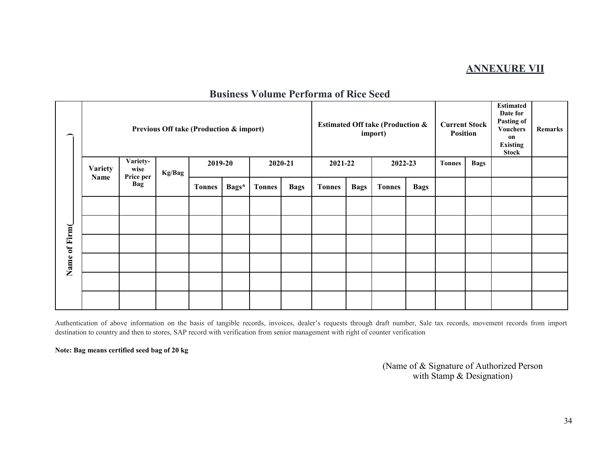## **ANNEXURE VII**

| <b>Business Volume Performa of Rice Seed</b> |  |  |
|----------------------------------------------|--|--|
|----------------------------------------------|--|--|

|               | Previous Off take (Production & import) |                  |  |               |         |               | <b>Estimated Off take (Production &amp;</b><br>import) |               |             | <b>Current Stock</b><br><b>Position</b> |             | <b>Estimated</b><br>Date for<br>Pasting of<br><b>Vouchers</b><br>on<br><b>Existing</b><br><b>Stock</b> | <b>Remarks</b> |             |  |  |
|---------------|-----------------------------------------|------------------|--|---------------|---------|---------------|--------------------------------------------------------|---------------|-------------|-----------------------------------------|-------------|--------------------------------------------------------------------------------------------------------|----------------|-------------|--|--|
|               | <b>Variety</b>                          | Variety-<br>wise |  | Kg/Bag        | 2019-20 |               | 2020-21                                                |               | 2021-22     |                                         | 2022-23     |                                                                                                        | <b>Tonnes</b>  | <b>Bags</b> |  |  |
|               | Name                                    | Price per<br>Bag |  | <b>Tonnes</b> | Bags*   | <b>Tonnes</b> | <b>Bags</b>                                            | <b>Tonnes</b> | <b>Bags</b> | <b>Tonnes</b>                           | <b>Bags</b> |                                                                                                        |                |             |  |  |
|               |                                         |                  |  |               |         |               |                                                        |               |             |                                         |             |                                                                                                        |                |             |  |  |
|               |                                         |                  |  |               |         |               |                                                        |               |             |                                         |             |                                                                                                        |                |             |  |  |
|               |                                         |                  |  |               |         |               |                                                        |               |             |                                         |             |                                                                                                        |                |             |  |  |
| Name of Firm( |                                         |                  |  |               |         |               |                                                        |               |             |                                         |             |                                                                                                        |                |             |  |  |
|               |                                         |                  |  |               |         |               |                                                        |               |             |                                         |             |                                                                                                        |                |             |  |  |
|               |                                         |                  |  |               |         |               |                                                        |               |             |                                         |             |                                                                                                        |                |             |  |  |

Authentication of above information on the basis of tangible records, invoices, dealer's requests through draft number, Sale tax records, movement records from import destination to country and then to stores, SAP record with verification from senior management with right of counter verification

**Note: Bag means certified seed bag of 20 kg** 

(Name of & Signature of Authorized Person with Stamp & Designation)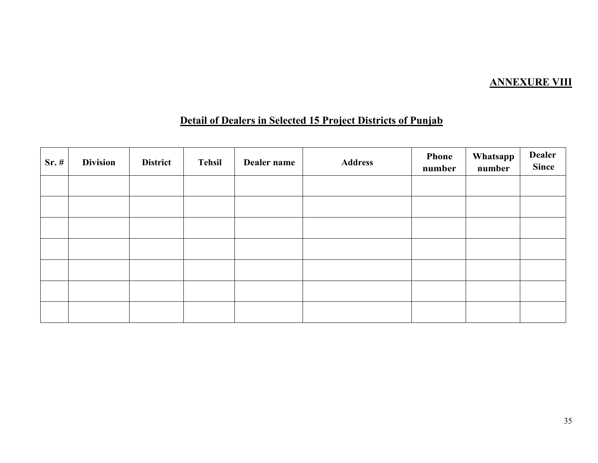## **ANNEXURE VIII**

## **Detail of Dealers in Selected 15 Project Districts of Punjab**

| $Sr.$ # | <b>Division</b> | <b>District</b> | <b>Tehsil</b> | Dealer name | <b>Address</b> | <b>Phone</b><br>number | Whatsapp<br>number | <b>Dealer</b><br>Since |
|---------|-----------------|-----------------|---------------|-------------|----------------|------------------------|--------------------|------------------------|
|         |                 |                 |               |             |                |                        |                    |                        |
|         |                 |                 |               |             |                |                        |                    |                        |
|         |                 |                 |               |             |                |                        |                    |                        |
|         |                 |                 |               |             |                |                        |                    |                        |
|         |                 |                 |               |             |                |                        |                    |                        |
|         |                 |                 |               |             |                |                        |                    |                        |
|         |                 |                 |               |             |                |                        |                    |                        |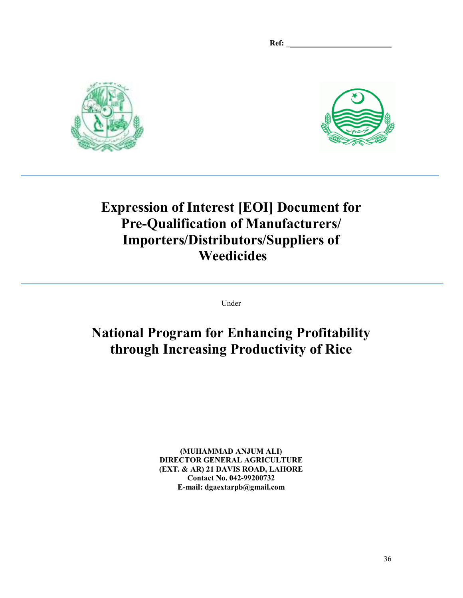**Ref: \_\_\_\_\_\_\_\_\_\_\_\_\_\_\_\_\_\_\_\_\_\_\_\_\_\_\_**





# **Expression of Interest [EOI] Document for Pre-Qualification of Manufacturers/ Importers/Distributors/Suppliers of Weedicides**

Under

# **National Program for Enhancing Profitability through Increasing Productivity of Rice**

**(MUHAMMAD ANJUM ALI) DIRECTOR GENERAL AGRICULTURE (EXT. & AR) 21 DAVIS ROAD, LAHORE Contact No. 042-99200732 E-mail: dgaextarpb@gmail.com**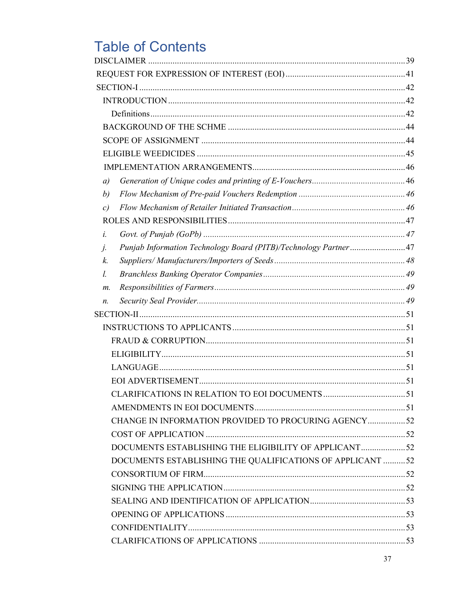# **Table of Contents**

| a) |                                                                 |  |
|----|-----------------------------------------------------------------|--|
| b) |                                                                 |  |
| c) |                                                                 |  |
|    |                                                                 |  |
| i. |                                                                 |  |
| j. | Punjab Information Technology Board (PITB)/Technology Partner47 |  |
| k. |                                                                 |  |
| l. |                                                                 |  |
| m. |                                                                 |  |
| n. |                                                                 |  |
|    |                                                                 |  |
|    |                                                                 |  |
|    |                                                                 |  |
|    |                                                                 |  |
|    |                                                                 |  |
|    |                                                                 |  |
|    |                                                                 |  |
|    |                                                                 |  |
|    | CHANGE IN INFORMATION PROVIDED TO PROCURING AGENCY52            |  |
|    |                                                                 |  |
|    | DOCUMENTS ESTABLISHING THE ELIGIBILITY OF APPLICANT52           |  |
|    | DOCUMENTS ESTABLISHING THE QUALIFICATIONS OF APPLICANT 52       |  |
|    |                                                                 |  |
|    |                                                                 |  |
|    |                                                                 |  |
|    |                                                                 |  |
|    |                                                                 |  |
|    |                                                                 |  |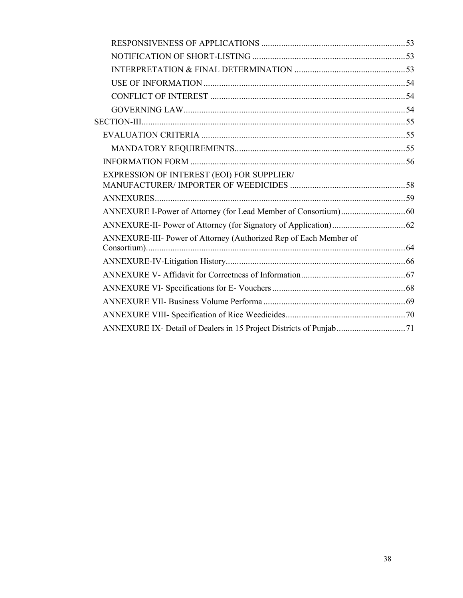| EXPRESSION OF INTEREST (EOI) FOR SUPPLIER/                        |  |
|-------------------------------------------------------------------|--|
|                                                                   |  |
|                                                                   |  |
|                                                                   |  |
|                                                                   |  |
| ANNEXURE-III- Power of Attorney (Authorized Rep of Each Member of |  |
|                                                                   |  |
|                                                                   |  |
|                                                                   |  |
|                                                                   |  |
|                                                                   |  |
|                                                                   |  |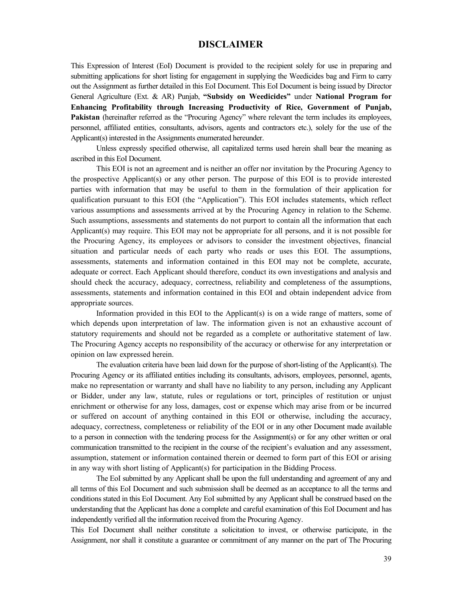#### **DISCLAIMER**

This Expression of Interest (EoI) Document is provided to the recipient solely for use in preparing and submitting applications for short listing for engagement in supplying the Weedicides bag and Firm to carry out the Assignment as further detailed in this EoI Document. This EoI Document is being issued by Director General Agriculture (Ext. & AR) Punjab, **"Subsidy on Weedicides"** under **National Program for Enhancing Profitability through Increasing Productivity of Rice, Government of Punjab, Pakistan** (hereinafter referred as the "Procuring Agency" where relevant the term includes its employees, personnel, affiliated entities, consultants, advisors, agents and contractors etc.), solely for the use of the Applicant(s) interested in the Assignments enumerated hereunder.

Unless expressly specified otherwise, all capitalized terms used herein shall bear the meaning as ascribed in this EoI Document.

This EOI is not an agreement and is neither an offer nor invitation by the Procuring Agency to the prospective Applicant(s) or any other person. The purpose of this EOI is to provide interested parties with information that may be useful to them in the formulation of their application for qualification pursuant to this EOI (the "Application"). This EOI includes statements, which reflect various assumptions and assessments arrived at by the Procuring Agency in relation to the Scheme. Such assumptions, assessments and statements do not purport to contain all the information that each Applicant(s) may require. This EOI may not be appropriate for all persons, and it is not possible for the Procuring Agency, its employees or advisors to consider the investment objectives, financial situation and particular needs of each party who reads or uses this EOI. The assumptions, assessments, statements and information contained in this EOI may not be complete, accurate, adequate or correct. Each Applicant should therefore, conduct its own investigations and analysis and should check the accuracy, adequacy, correctness, reliability and completeness of the assumptions, assessments, statements and information contained in this EOI and obtain independent advice from appropriate sources.

Information provided in this EOI to the Applicant(s) is on a wide range of matters, some of which depends upon interpretation of law. The information given is not an exhaustive account of statutory requirements and should not be regarded as a complete or authoritative statement of law. The Procuring Agency accepts no responsibility of the accuracy or otherwise for any interpretation or opinion on law expressed herein.

The evaluation criteria have been laid down for the purpose of short-listing of the Applicant(s). The Procuring Agency or its affiliated entities including its consultants, advisors, employees, personnel, agents, make no representation or warranty and shall have no liability to any person, including any Applicant or Bidder, under any law, statute, rules or regulations or tort, principles of restitution or unjust enrichment or otherwise for any loss, damages, cost or expense which may arise from or be incurred or suffered on account of anything contained in this EOI or otherwise, including the accuracy, adequacy, correctness, completeness or reliability of the EOI or in any other Document made available to a person in connection with the tendering process for the Assignment(s) or for any other written or oral communication transmitted to the recipient in the course of the recipient's evaluation and any assessment, assumption, statement or information contained therein or deemed to form part of this EOI or arising in any way with short listing of Applicant(s) for participation in the Bidding Process.

The EoI submitted by any Applicant shall be upon the full understanding and agreement of any and all terms of this EoI Document and such submission shall be deemed as an acceptance to all the terms and conditions stated in this EoI Document. Any EoI submitted by any Applicant shall be construed based on the understanding that the Applicant has done a complete and careful examination of this EoI Document and has independently verified all the information received from the Procuring Agency.

This EoI Document shall neither constitute a solicitation to invest, or otherwise participate, in the Assignment, nor shall it constitute a guarantee or commitment of any manner on the part of The Procuring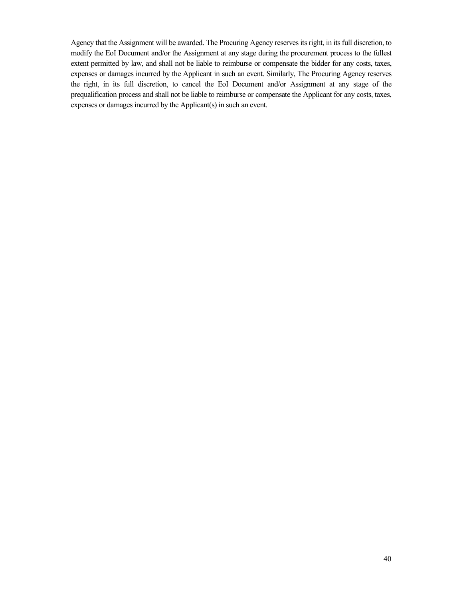Agency that the Assignment will be awarded. The Procuring Agency reserves its right, in its full discretion, to modify the EoI Document and/or the Assignment at any stage during the procurement process to the fullest extent permitted by law, and shall not be liable to reimburse or compensate the bidder for any costs, taxes, expenses or damages incurred by the Applicant in such an event. Similarly, The Procuring Agency reserves the right, in its full discretion, to cancel the EoI Document and/or Assignment at any stage of the prequalification process and shall not be liable to reimburse or compensate the Applicant for any costs, taxes, expenses or damages incurred by the Applicant(s) in such an event.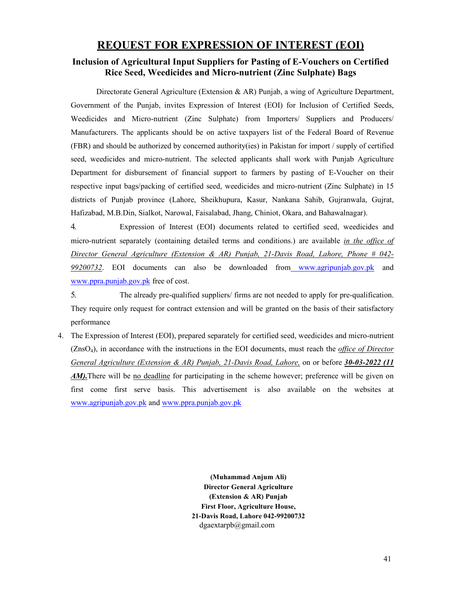## **REQUEST FOR EXPRESSION OF INTEREST (EOI)**

#### **Inclusion of Agricultural Input Suppliers for Pasting of E-Vouchers on Certified Rice Seed, Weedicides and Micro-nutrient (Zinc Sulphate) Bags**

Directorate General Agriculture (Extension & AR) Punjab, a wing of Agriculture Department, Government of the Punjab, invites Expression of Interest (EOI) for Inclusion of Certified Seeds, Weedicides and Micro-nutrient (Zinc Sulphate) from Importers/ Suppliers and Producers/ Manufacturers. The applicants should be on active taxpayers list of the Federal Board of Revenue (FBR) and should be authorized by concerned authority(ies) in Pakistan for import / supply of certified seed, weedicides and micro-nutrient. The selected applicants shall work with Punjab Agriculture Department for disbursement of financial support to farmers by pasting of E-Voucher on their respective input bags/packing of certified seed, weedicides and micro-nutrient (Zinc Sulphate) in 15 districts of Punjab province (Lahore, Sheikhupura, Kasur, Nankana Sahib, Gujranwala, Gujrat, Hafizabad, M.B.Din, Sialkot, Narowal, Faisalabad, Jhang, Chiniot, Okara, and Bahawalnagar).

4. Expression of Interest (EOI) documents related to certified seed, weedicides and micro-nutrient separately (containing detailed terms and conditions.) are available *in the office of Director General Agriculture (Extension & AR) Punjab, 21-Davis Road, Lahore, Phone # 042- 99200732*. EOI documents can also be downloaded from www.agripunjab.gov.pk and www.ppra.punjab.gov.pk free of cost.

5. The already pre-qualified suppliers/ firms are not needed to apply for pre-qualification. They require only request for contract extension and will be granted on the basis of their satisfactory performance

4. The Expression of Interest (EOI), prepared separately for certified seed, weedicides and micro-nutrient (ZnsO4), in accordance with the instructions in the EOI documents, must reach the *office of Director General Agriculture (Extension & AR) Punjab, 21-Davis Road, Lahore,* on or before *30-03-2022 (11 AM*). There will be <u>no deadline</u> for participating in the scheme however; preference will be given on first come first serve basis. This advertisement is also available on the websites at www.agripunjab.gov.pk and www.ppra.punjab.gov.pk

> **(Muhammad Anjum Ali) Director General Agriculture (Extension & AR) Punjab First Floor, Agriculture House, 21-Davis Road, Lahore 042-99200732** dgaextarpb@gmail.com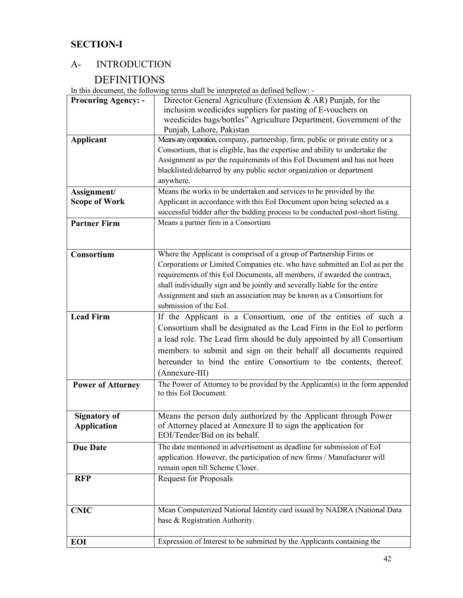## **SECTION-I**

## A- INTRODUCTION

## DEFINITIONS

In this document, the following terms shall be interpreted as defined bellow: -

| <b>Procuring Agency: -</b> | Director General Agriculture (Extension & AR) Punjab, for the                                          |
|----------------------------|--------------------------------------------------------------------------------------------------------|
|                            | inclusion weedicides suppliers for pasting of E-vouchers on                                            |
|                            | weedicides bags/bottles" Agriculture Department, Government of the                                     |
|                            | Punjab, Lahore, Pakistan                                                                               |
| <b>Applicant</b>           | Means any corporation, company, partnership, firm, public or private entity or a                       |
|                            | Consortium, that is eligible, has the expertise and ability to undertake the                           |
|                            | Assignment as per the requirements of this EoI Document and has not been                               |
|                            | blacklisted/debarred by any public sector organization or department                                   |
|                            | anywhere.                                                                                              |
| Assignment/                | Means the works to be undertaken and services to be provided by the                                    |
| <b>Scope of Work</b>       | Applicant in accordance with this EoI Document upon being selected as a                                |
|                            | successful bidder after the bidding process to be conducted post-short listing.                        |
| <b>Partner Firm</b>        | Means a partner firm in a Consortium                                                                   |
|                            |                                                                                                        |
|                            |                                                                                                        |
| Consortium                 | Where the Applicant is comprised of a group of Partnership Firms or                                    |
|                            | Corporations or Limited Companies etc. who have submitted an EoI as per the                            |
|                            | requirements of this EoI Documents, all members, if awarded the contract,                              |
|                            | shall individually sign and be jointly and severally liable for the entire                             |
|                            | Assignment and such an association may be known as a Consortium for                                    |
|                            | submission of the EoI.                                                                                 |
| <b>Lead Firm</b>           | If the Applicant is a Consortium, one of the entities of such a                                        |
|                            |                                                                                                        |
|                            | Consortium shall be designated as the Lead Firm in the EoI to perform                                  |
|                            | a lead role. The Lead firm should be duly appointed by all Consortium                                  |
|                            | members to submit and sign on their behalf all documents required                                      |
|                            | hereunder to bind the entire Consortium to the contents, thereof.                                      |
|                            | (Annexure-III)                                                                                         |
| <b>Power of Attorney</b>   | The Power of Attorney to be provided by the Applicant(s) in the form appended<br>to this EoI Document. |
|                            |                                                                                                        |
| <b>Signatory of</b>        | Means the person duly authorized by the Applicant through Power                                        |
| <b>Application</b>         | of Attorney placed at Annexure II to sign the application for                                          |
|                            | EOI/Tender/Bid on its behalf.                                                                          |
| <b>Due Date</b>            | The date mentioned in advertisement as deadline for submission of EoI                                  |
|                            | application. However, the participation of new firms / Manufacturer will                               |
|                            | remain open till Scheme Closer.                                                                        |
| <b>RFP</b>                 | <b>Request for Proposals</b>                                                                           |
|                            |                                                                                                        |
| <b>CNIC</b>                | Mean Computerized National Identity card issued by NADRA (National Data                                |
|                            | base & Registration Authority.                                                                         |
|                            |                                                                                                        |
| EOI                        | Expression of Interest to be submitted by the Applicants containing the                                |
|                            |                                                                                                        |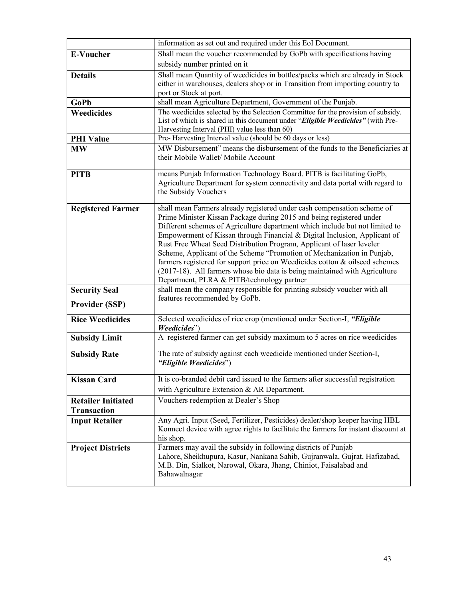|                           | information as set out and required under this EoI Document.                                                                     |
|---------------------------|----------------------------------------------------------------------------------------------------------------------------------|
| <b>E-Voucher</b>          | Shall mean the voucher recommended by GoPb with specifications having                                                            |
|                           | subsidy number printed on it                                                                                                     |
| <b>Details</b>            | Shall mean Quantity of weedicides in bottles/packs which are already in Stock                                                    |
|                           | either in warehouses, dealers shop or in Transition from importing country to                                                    |
|                           | port or Stock at port.                                                                                                           |
| GoPb                      | shall mean Agriculture Department, Government of the Punjab.                                                                     |
| Weedicides                | The weedicides selected by the Selection Committee for the provision of subsidy.                                                 |
|                           | List of which is shared in this document under "Eligible Weedicides" (with Pre-<br>Harvesting Interval (PHI) value less than 60) |
| <b>PHI Value</b>          | Pre- Harvesting Interval value (should be 60 days or less)                                                                       |
| <b>MW</b>                 | MW Disbursement" means the disbursement of the funds to the Beneficiaries at                                                     |
|                           | their Mobile Wallet/ Mobile Account                                                                                              |
| <b>PITB</b>               | means Punjab Information Technology Board. PITB is facilitating GoPb,                                                            |
|                           | Agriculture Department for system connectivity and data portal with regard to                                                    |
|                           | the Subsidy Vouchers                                                                                                             |
| <b>Registered Farmer</b>  | shall mean Farmers already registered under cash compensation scheme of                                                          |
|                           | Prime Minister Kissan Package during 2015 and being registered under                                                             |
|                           | Different schemes of Agriculture department which include but not limited to                                                     |
|                           | Empowerment of Kissan through Financial & Digital Inclusion, Applicant of                                                        |
|                           | Rust Free Wheat Seed Distribution Program, Applicant of laser leveler                                                            |
|                           | Scheme, Applicant of the Scheme "Promotion of Mechanization in Punjab,                                                           |
|                           | farmers registered for support price on Weedicides cotton & oilseed schemes                                                      |
|                           | (2017-18). All farmers whose bio data is being maintained with Agriculture<br>Department, PLRA & PITB/technology partner         |
| <b>Security Seal</b>      | shall mean the company responsible for printing subsidy voucher with all                                                         |
|                           | features recommended by GoPb.                                                                                                    |
| <b>Provider (SSP)</b>     |                                                                                                                                  |
| <b>Rice Weedicides</b>    | Selected weedicides of rice crop (mentioned under Section-I, "Eligible                                                           |
|                           | Weedicides"                                                                                                                      |
| <b>Subsidy Limit</b>      | A registered farmer can get subsidy maximum to 5 acres on rice weedicides                                                        |
| <b>Subsidy Rate</b>       | The rate of subsidy against each weedicide mentioned under Section-I,                                                            |
|                           | "Eligible Weedicides")                                                                                                           |
| <b>Kissan Card</b>        | It is co-branded debit card issued to the farmers after successful registration                                                  |
|                           | with Agriculture Extension & AR Department.                                                                                      |
|                           | Vouchers redemption at Dealer's Shop                                                                                             |
| <b>Retailer Initiated</b> |                                                                                                                                  |
| <b>Transaction</b>        | Any Agri. Input (Seed, Fertilizer, Pesticides) dealer/shop keeper having HBL                                                     |
| <b>Input Retailer</b>     | Konnect device with agree rights to facilitate the farmers for instant discount at                                               |
|                           | his shop.                                                                                                                        |
| <b>Project Districts</b>  | Farmers may avail the subsidy in following districts of Punjab                                                                   |
|                           | Lahore, Sheikhupura, Kasur, Nankana Sahib, Gujranwala, Gujrat, Hafizabad,                                                        |
|                           | M.B. Din, Sialkot, Narowal, Okara, Jhang, Chiniot, Faisalabad and                                                                |
|                           | Bahawalnagar                                                                                                                     |
|                           |                                                                                                                                  |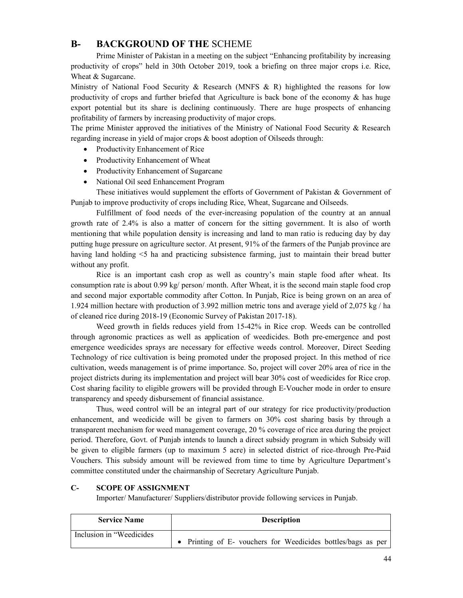### **B- BACKGROUND OF THE** SCHEME

Prime Minister of Pakistan in a meeting on the subject "Enhancing profitability by increasing productivity of crops" held in 30th October 2019, took a briefing on three major crops i.e. Rice, Wheat & Sugarcane.

Ministry of National Food Security & Research (MNFS & R) highlighted the reasons for low productivity of crops and further briefed that Agriculture is back bone of the economy & has huge export potential but its share is declining continuously. There are huge prospects of enhancing profitability of farmers by increasing productivity of major crops.

The prime Minister approved the initiatives of the Ministry of National Food Security & Research regarding increase in yield of major crops & boost adoption of Oilseeds through:

- Productivity Enhancement of Rice
- Productivity Enhancement of Wheat
- Productivity Enhancement of Sugarcane
- National Oil seed Enhancement Program

 These initiatives would supplement the efforts of Government of Pakistan & Government of Punjab to improve productivity of crops including Rice, Wheat, Sugarcane and Oilseeds.

 Fulfillment of food needs of the ever-increasing population of the country at an annual growth rate of 2.4% is also a matter of concern for the sitting government. It is also of worth mentioning that while population density is increasing and land to man ratio is reducing day by day putting huge pressure on agriculture sector. At present, 91% of the farmers of the Punjab province are having land holding <5 ha and practicing subsistence farming, just to maintain their bread butter without any profit.

 Rice is an important cash crop as well as country's main staple food after wheat. Its consumption rate is about 0.99 kg/ person/ month. After Wheat, it is the second main staple food crop and second major exportable commodity after Cotton. In Punjab, Rice is being grown on an area of 1.924 million hectare with production of 3.992 million metric tons and average yield of 2,075 kg / ha of cleaned rice during 2018-19 (Economic Survey of Pakistan 2017-18).

 Weed growth in fields reduces yield from 15-42% in Rice crop. Weeds can be controlled through agronomic practices as well as application of weedicides. Both pre-emergence and post emergence weedicides sprays are necessary for effective weeds control. Moreover, Direct Seeding Technology of rice cultivation is being promoted under the proposed project. In this method of rice cultivation, weeds management is of prime importance. So, project will cover 20% area of rice in the project districts during its implementation and project will bear 30% cost of weedicides for Rice crop. Cost sharing facility to eligible growers will be provided through E-Voucher mode in order to ensure transparency and speedy disbursement of financial assistance.

Thus, weed control will be an integral part of our strategy for rice productivity/production enhancement, and weedicide will be given to farmers on 30% cost sharing basis by through a transparent mechanism for weed management coverage, 20 % coverage of rice area during the project period. Therefore, Govt. of Punjab intends to launch a direct subsidy program in which Subsidy will be given to eligible farmers (up to maximum 5 acre) in selected district of rice through Pre-Paid Vouchers. This subsidy amount will be reviewed from time to time by Agriculture Department's committee constituted under the chairmanship of Secretary Agriculture Punjab.

#### **C- SCOPE OF ASSIGNMENT**

Importer/ Manufacturer/ Suppliers/distributor provide following services in Punjab.

| <b>Service Name</b>       | <b>Description</b>                                           |
|---------------------------|--------------------------------------------------------------|
| Inclusion in "Weedicides" | • Printing of E- vouchers for Weedicides bottles/bags as per |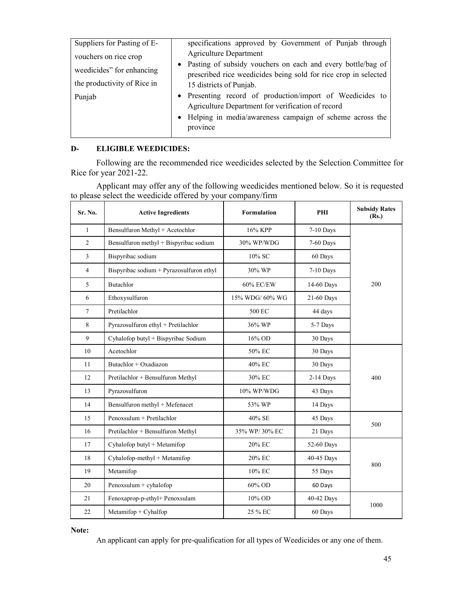| Suppliers for Pasting of E- | specifications approved by Government of Punjab through         |
|-----------------------------|-----------------------------------------------------------------|
| vouchers on rice crop       | <b>Agriculture Department</b>                                   |
| weedicides" for enhancing   | • Pasting of subsidy vouchers on each and every bottle/bag of   |
|                             | prescribed rice weedicides being sold for rice crop in selected |
| the productivity of Rice in | 15 districts of Punjab.                                         |
| Punjab                      | • Presenting record of production/import of Weedicides to       |
|                             | Agriculture Department for verification of record               |
|                             | • Helping in media/awareness campaign of scheme across the      |
|                             | province                                                        |
|                             |                                                                 |

#### **D- ELIGIBLE WEEDICIDES:**

Following are the recommended rice weedicides selected by the Selection Committee for Rice for year 2021-22.

Applicant may offer any of the following weedicides mentioned below. So it is requested to please select the weedicide offered by your company/firm

| Sr. No.         | <b>Active Ingredients</b>                | Formulation    |                 | <b>Subsidy Rates</b><br>(Rs.) |
|-----------------|------------------------------------------|----------------|-----------------|-------------------------------|
| $\mathbf{1}$    | Bensulfuron Methyl + Acetochlor          | 16% KPP        | 7-10 Days       |                               |
| $\overline{2}$  | Bensulfuron methyl + Bispyribac sodium   | 30% WP/WDG     | 7-60 Days       |                               |
| $\overline{3}$  | Bispyribac sodium                        | 10% SC         | 60 Days         |                               |
| $\overline{4}$  | Bispyribac sodium + Pyrazosulfuron ethyl | 30% WP         | 7-10 Days       |                               |
| 5               | Butachlor                                | 60% EC/EW      | 14-60 Days      | 200                           |
| 6               | Ethoxysulfuron                           | 15% WDG/60% WG | 21-60 Days      |                               |
| $7\overline{ }$ | Pretilachlor                             | 500 EC         | 44 days         |                               |
| 8               | Pyrazosulfuron ethyl + Pretilachlor      | 36% WP         | 5-7 Days        |                               |
| 9               | Cyhalofop butyl + Bispyribac Sodium      | 16% OD         | 30 Days         |                               |
| 10              | Acetochlor                               | 50% EC         | 30 Days         |                               |
| 11              | Butachlor + Oxadiazon                    | 40% EC         | 30 Days         |                               |
| 12              | Pretilachlor + Bensulfuron Methyl        | 30% EC         | 2-14 Days       | 400                           |
| 13              | Pyrazosulfuron<br>10% WP/WDG<br>43 Days  |                |                 |                               |
| 14              | Bensulfuron methyl + Mefenacet           | 53% WP         | 14 Days         |                               |
| 15              | Penoxsulum + Pretilachlor                | 40% SE         | 45 Days         | 500                           |
| 16              | Pretilachlor + Bensulfuron Methyl        | 35% WP/30% EC  | 21 Days         |                               |
| 17              | Cyhalofop butyl + Metamifop              | 20% EC         | 52-60 Days      |                               |
| 18              | Cyhalofop-methyl + Metamifop             | 20% EC         | 40-45 Days      |                               |
| 19              | Metamifop                                | 10% EC         | 55 Days         | 800                           |
| 20              | Penoxsulum + cyhalofop                   | 60% OD         | 60 Days         |                               |
| 21              | Fenoxaprop-p-ethyl+ Penoxsulam           | 10% OD         | 40-42 Days      |                               |
| 22              | $Metamifop + Cyhalfop$                   | 25 % EC        | 1000<br>60 Days |                               |

**Note:** 

An applicant can apply for pre-qualification for all types of Weedicides or any one of them.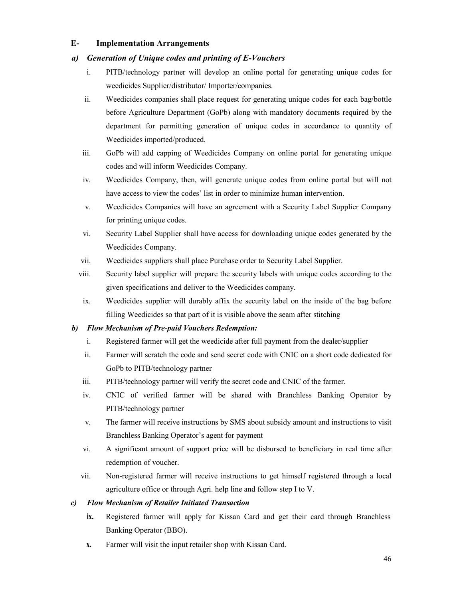#### **E- Implementation Arrangements**

#### *a) Generation of Unique codes and printing of E-Vouchers*

- i. PITB/technology partner will develop an online portal for generating unique codes for weedicides Supplier/distributor/ Importer/companies.
- ii. Weedicides companies shall place request for generating unique codes for each bag/bottle before Agriculture Department (GoPb) along with mandatory documents required by the department for permitting generation of unique codes in accordance to quantity of Weedicides imported/produced.
- iii. GoPb will add capping of Weedicides Company on online portal for generating unique codes and will inform Weedicides Company.
- iv. Weedicides Company, then, will generate unique codes from online portal but will not have access to view the codes' list in order to minimize human intervention.
- v. Weedicides Companies will have an agreement with a Security Label Supplier Company for printing unique codes.
- vi. Security Label Supplier shall have access for downloading unique codes generated by the Weedicides Company.
- vii. Weedicides suppliers shall place Purchase order to Security Label Supplier.
- viii. Security label supplier will prepare the security labels with unique codes according to the given specifications and deliver to the Weedicides company.
- ix. Weedicides supplier will durably affix the security label on the inside of the bag before filling Weedicides so that part of it is visible above the seam after stitching

#### *b) Flow Mechanism of Pre-paid Vouchers Redemption:*

- i. Registered farmer will get the weedicide after full payment from the dealer/supplier
- ii. Farmer will scratch the code and send secret code with CNIC on a short code dedicated for GoPb to PITB/technology partner
- iii. PITB/technology partner will verify the secret code and CNIC of the farmer.
- iv. CNIC of verified farmer will be shared with Branchless Banking Operator by PITB/technology partner
- v. The farmer will receive instructions by SMS about subsidy amount and instructions to visit Branchless Banking Operator's agent for payment
- vi. A significant amount of support price will be disbursed to beneficiary in real time after redemption of voucher.
- vii. Non-registered farmer will receive instructions to get himself registered through a local agriculture office or through Agri. help line and follow step I to V.

#### *c) Flow Mechanism of Retailer Initiated Transaction*

- **ix.** Registered farmer will apply for Kissan Card and get their card through Branchless Banking Operator (BBO).
- **x.** Farmer will visit the input retailer shop with Kissan Card.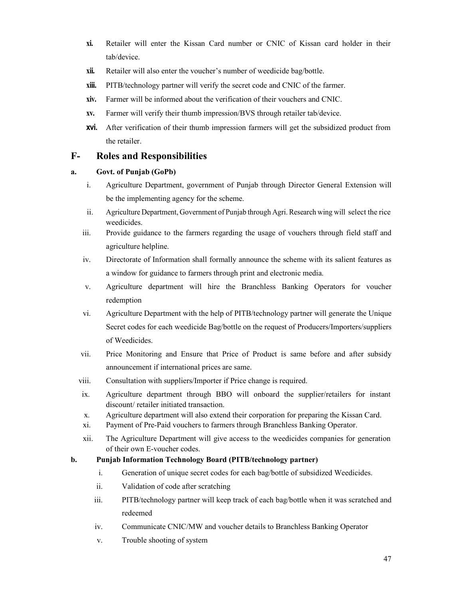- **xi.** Retailer will enter the Kissan Card number or CNIC of Kissan card holder in their tab/device.
- **xii.** Retailer will also enter the voucher's number of weedicide bag/bottle.
- **xiii.** PITB/technology partner will verify the secret code and CNIC of the farmer.
- **xiv.** Farmer will be informed about the verification of their vouchers and CNIC.
- **xv.** Farmer will verify their thumb impression/BVS through retailer tab/device.
- **xvi.** After verification of their thumb impression farmers will get the subsidized product from the retailer.

### **F- Roles and Responsibilities**

#### **a. Govt. of Punjab (GoPb)**

- i. Agriculture Department, government of Punjab through Director General Extension will be the implementing agency for the scheme.
- ii. Agriculture Department, Government of Punjab through Agri. Research wing will select the rice weedicides.
- iii. Provide guidance to the farmers regarding the usage of vouchers through field staff and agriculture helpline.
- iv. Directorate of Information shall formally announce the scheme with its salient features as a window for guidance to farmers through print and electronic media.
- v. Agriculture department will hire the Branchless Banking Operators for voucher redemption
- vi. Agriculture Department with the help of PITB/technology partner will generate the Unique Secret codes for each weedicide Bag/bottle on the request of Producers/Importers/suppliers of Weedicides.
- vii. Price Monitoring and Ensure that Price of Product is same before and after subsidy announcement if international prices are same.
- viii. Consultation with suppliers/Importer if Price change is required.
- ix. Agriculture department through BBO will onboard the supplier/retailers for instant discount/ retailer initiated transaction.
- x. Agriculture department will also extend their corporation for preparing the Kissan Card.
- xi. Payment of Pre-Paid vouchers to farmers through Branchless Banking Operator.
- xii. The Agriculture Department will give access to the weedicides companies for generation of their own E-voucher codes.

#### **b. Punjab Information Technology Board (PITB/technology partner)**

- i. Generation of unique secret codes for each bag/bottle of subsidized Weedicides.
- ii. Validation of code after scratching
- iii. PITB/technology partner will keep track of each bag/bottle when it was scratched and redeemed
- iv. Communicate CNIC/MW and voucher details to Branchless Banking Operator
- v. Trouble shooting of system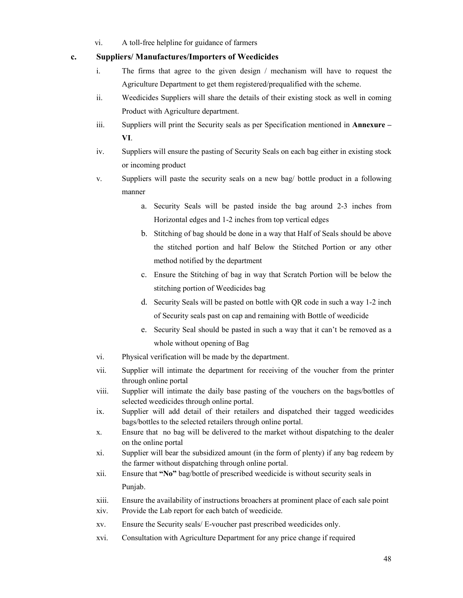vi. A toll-free helpline for guidance of farmers

#### **c. Suppliers/ Manufactures/Importers of Weedicides**

- i. The firms that agree to the given design / mechanism will have to request the Agriculture Department to get them registered/prequalified with the scheme.
- ii. Weedicides Suppliers will share the details of their existing stock as well in coming Product with Agriculture department.
- iii. Suppliers will print the Security seals as per Specification mentioned in **Annexure – VI**.
- iv. Suppliers will ensure the pasting of Security Seals on each bag either in existing stock or incoming product
- v. Suppliers will paste the security seals on a new bag/ bottle product in a following manner
	- a. Security Seals will be pasted inside the bag around 2-3 inches from Horizontal edges and 1-2 inches from top vertical edges
	- b. Stitching of bag should be done in a way that Half of Seals should be above the stitched portion and half Below the Stitched Portion or any other method notified by the department
	- c. Ensure the Stitching of bag in way that Scratch Portion will be below the stitching portion of Weedicides bag
	- d. Security Seals will be pasted on bottle with QR code in such a way 1-2 inch of Security seals past on cap and remaining with Bottle of weedicide
	- e. Security Seal should be pasted in such a way that it can't be removed as a whole without opening of Bag
- vi. Physical verification will be made by the department.
- vii. Supplier will intimate the department for receiving of the voucher from the printer through online portal
- viii. Supplier will intimate the daily base pasting of the vouchers on the bags/bottles of selected weedicides through online portal.
- ix. Supplier will add detail of their retailers and dispatched their tagged weedicides bags/bottles to the selected retailers through online portal.
- x. Ensure that no bag will be delivered to the market without dispatching to the dealer on the online portal
- xi. Supplier will bear the subsidized amount (in the form of plenty) if any bag redeem by the farmer without dispatching through online portal.
- xii. Ensure that **"No"** bag/bottle of prescribed weedicide is without security seals in Punjab.
- xiii. Ensure the availability of instructions broachers at prominent place of each sale point xiv. Provide the Lab report for each batch of weedicide.
- 
- xv. Ensure the Security seals/ E-voucher past prescribed weedicides only.
- xvi. Consultation with Agriculture Department for any price change if required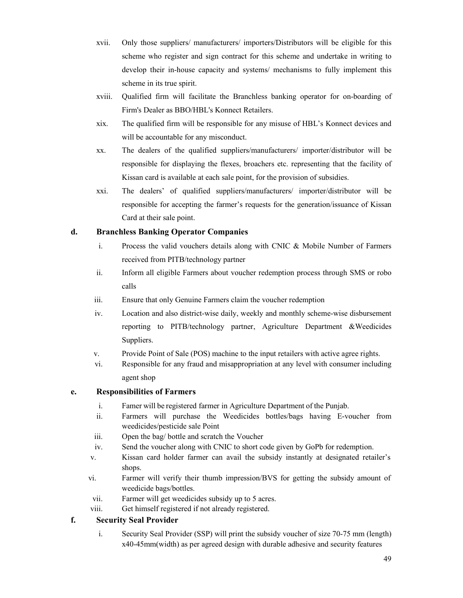- xvii. Only those suppliers/ manufacturers/ importers/Distributors will be eligible for this scheme who register and sign contract for this scheme and undertake in writing to develop their in-house capacity and systems/ mechanisms to fully implement this scheme in its true spirit.
- xviii. Qualified firm will facilitate the Branchless banking operator for on-boarding of Firm's Dealer as BBO/HBL's Konnect Retailers.
- xix. The qualified firm will be responsible for any misuse of HBL's Konnect devices and will be accountable for any misconduct.
- xx. The dealers of the qualified suppliers/manufacturers/ importer/distributor will be responsible for displaying the flexes, broachers etc. representing that the facility of Kissan card is available at each sale point, for the provision of subsidies.
- xxi. The dealers' of qualified suppliers/manufacturers/ importer/distributor will be responsible for accepting the farmer's requests for the generation/issuance of Kissan Card at their sale point.

#### **d. Branchless Banking Operator Companies**

- i. Process the valid vouchers details along with CNIC & Mobile Number of Farmers received from PITB/technology partner
- ii. Inform all eligible Farmers about voucher redemption process through SMS or robo calls
- iii. Ensure that only Genuine Farmers claim the voucher redemption
- iv. Location and also district-wise daily, weekly and monthly scheme-wise disbursement reporting to PITB/technology partner, Agriculture Department &Weedicides Suppliers.
- v. Provide Point of Sale (POS) machine to the input retailers with active agree rights.
- vi. Responsible for any fraud and misappropriation at any level with consumer including agent shop

#### **e. Responsibilities of Farmers**

- i. Famer will be registered farmer in Agriculture Department of the Punjab.
- ii. Farmers will purchase the Weedicides bottles/bags having E-voucher from weedicides/pesticide sale Point
- iii. Open the bag/ bottle and scratch the Voucher
- iv. Send the voucher along with CNIC to short code given by GoPb for redemption.
- v. Kissan card holder farmer can avail the subsidy instantly at designated retailer's shops.
- vi. Farmer will verify their thumb impression/BVS for getting the subsidy amount of weedicide bags/bottles.
- vii. Farmer will get weedicides subsidy up to 5 acres.
- viii. Get himself registered if not already registered.

#### **f. Security Seal Provider**

i. Security Seal Provider (SSP) will print the subsidy voucher of size 70-75 mm (length) x40-45mm(width) as per agreed design with durable adhesive and security features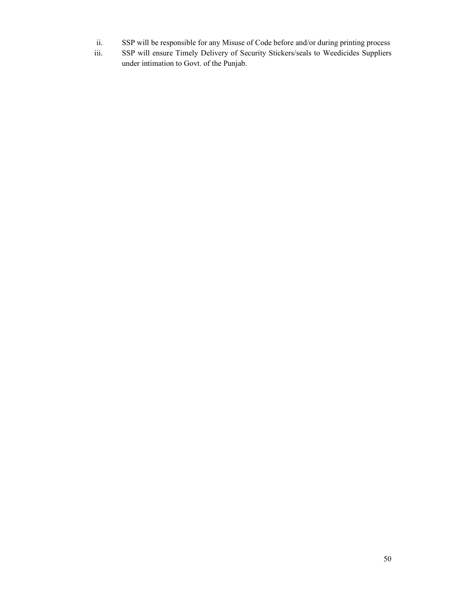- ii. SSP will be responsible for any Misuse of Code before and/or during printing process
- iii. SSP will ensure Timely Delivery of Security Stickers/seals to Weedicides Suppliers under intimation to Govt. of the Punjab.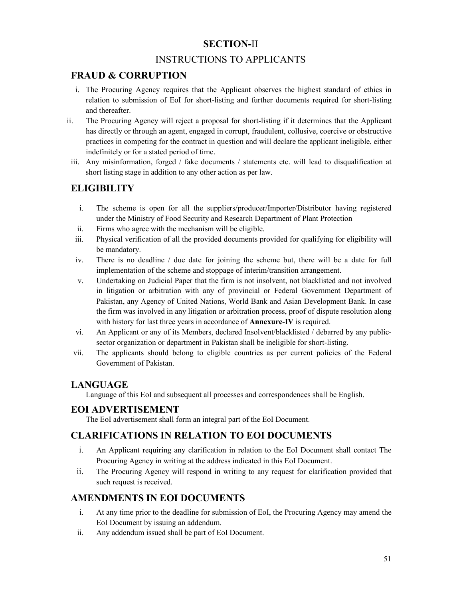## **SECTION-**II

## INSTRUCTIONS TO APPLICANTS

## **FRAUD & CORRUPTION**

- i. The Procuring Agency requires that the Applicant observes the highest standard of ethics in relation to submission of EoI for short-listing and further documents required for short-listing and thereafter.
- ii. The Procuring Agency will reject a proposal for short-listing if it determines that the Applicant has directly or through an agent, engaged in corrupt, fraudulent, collusive, coercive or obstructive practices in competing for the contract in question and will declare the applicant ineligible, either indefinitely or for a stated period of time.
- iii. Any misinformation, forged / fake documents / statements etc. will lead to disqualification at short listing stage in addition to any other action as per law.

## **ELIGIBILITY**

- i. The scheme is open for all the suppliers/producer/Importer/Distributor having registered under the Ministry of Food Security and Research Department of Plant Protection
- ii. Firms who agree with the mechanism will be eligible.
- iii. Physical verification of all the provided documents provided for qualifying for eligibility will be mandatory.
- iv. There is no deadline / due date for joining the scheme but, there will be a date for full implementation of the scheme and stoppage of interim/transition arrangement.
- v. Undertaking on Judicial Paper that the firm is not insolvent, not blacklisted and not involved in litigation or arbitration with any of provincial or Federal Government Department of Pakistan, any Agency of United Nations, World Bank and Asian Development Bank. In case the firm was involved in any litigation or arbitration process, proof of dispute resolution along with history for last three years in accordance of **Annexure-IV** is required.
- vi. An Applicant or any of its Members, declared Insolvent/blacklisted / debarred by any publicsector organization or department in Pakistan shall be ineligible for short-listing.
- vii. The applicants should belong to eligible countries as per current policies of the Federal Government of Pakistan.

## **LANGUAGE**

Language of this EoI and subsequent all processes and correspondences shall be English.

#### **EOI ADVERTISEMENT**

The EoI advertisement shall form an integral part of the EoI Document.

## **CLARIFICATIONS IN RELATION TO EOI DOCUMENTS**

- i. An Applicant requiring any clarification in relation to the EoI Document shall contact The Procuring Agency in writing at the address indicated in this EoI Document.
- ii. The Procuring Agency will respond in writing to any request for clarification provided that such request is received.

## **AMENDMENTS IN EOI DOCUMENTS**

- i. At any time prior to the deadline for submission of EoI, the Procuring Agency may amend the EoI Document by issuing an addendum.
- ii. Any addendum issued shall be part of EoI Document.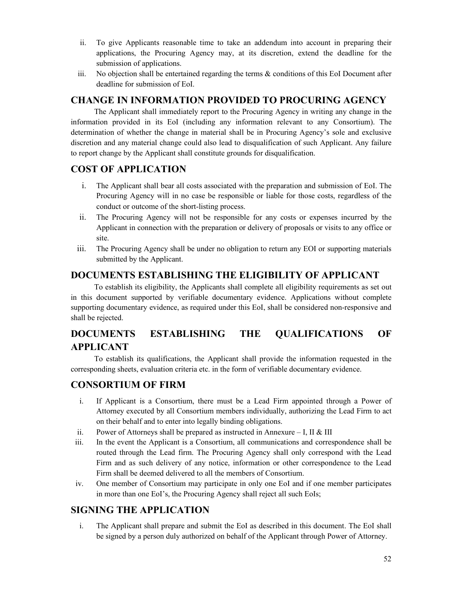- ii. To give Applicants reasonable time to take an addendum into account in preparing their applications, the Procuring Agency may, at its discretion, extend the deadline for the submission of applications.
- iii. No objection shall be entertained regarding the terms  $\&$  conditions of this EoI Document after deadline for submission of EoI.

## **CHANGE IN INFORMATION PROVIDED TO PROCURING AGENCY**

The Applicant shall immediately report to the Procuring Agency in writing any change in the information provided in its EoI (including any information relevant to any Consortium). The determination of whether the change in material shall be in Procuring Agency's sole and exclusive discretion and any material change could also lead to disqualification of such Applicant. Any failure to report change by the Applicant shall constitute grounds for disqualification.

## **COST OF APPLICATION**

- i. The Applicant shall bear all costs associated with the preparation and submission of EoI. The Procuring Agency will in no case be responsible or liable for those costs, regardless of the conduct or outcome of the short-listing process.
- ii. The Procuring Agency will not be responsible for any costs or expenses incurred by the Applicant in connection with the preparation or delivery of proposals or visits to any office or site.
- iii. The Procuring Agency shall be under no obligation to return any EOI or supporting materials submitted by the Applicant.

## **DOCUMENTS ESTABLISHING THE ELIGIBILITY OF APPLICANT**

To establish its eligibility, the Applicants shall complete all eligibility requirements as set out in this document supported by verifiable documentary evidence. Applications without complete supporting documentary evidence, as required under this EoI, shall be considered non-responsive and shall be rejected.

## **DOCUMENTS ESTABLISHING THE QUALIFICATIONS OF APPLICANT**

To establish its qualifications, the Applicant shall provide the information requested in the corresponding sheets, evaluation criteria etc. in the form of verifiable documentary evidence.

## **CONSORTIUM OF FIRM**

- i. If Applicant is a Consortium, there must be a Lead Firm appointed through a Power of Attorney executed by all Consortium members individually, authorizing the Lead Firm to act on their behalf and to enter into legally binding obligations.
- ii. Power of Attorneys shall be prepared as instructed in Annexure I, II & III
- iii. In the event the Applicant is a Consortium, all communications and correspondence shall be routed through the Lead firm. The Procuring Agency shall only correspond with the Lead Firm and as such delivery of any notice, information or other correspondence to the Lead Firm shall be deemed delivered to all the members of Consortium.
- iv. One member of Consortium may participate in only one EoI and if one member participates in more than one EoI's, the Procuring Agency shall reject all such EoIs;

## **SIGNING THE APPLICATION**

i. The Applicant shall prepare and submit the EoI as described in this document. The EoI shall be signed by a person duly authorized on behalf of the Applicant through Power of Attorney.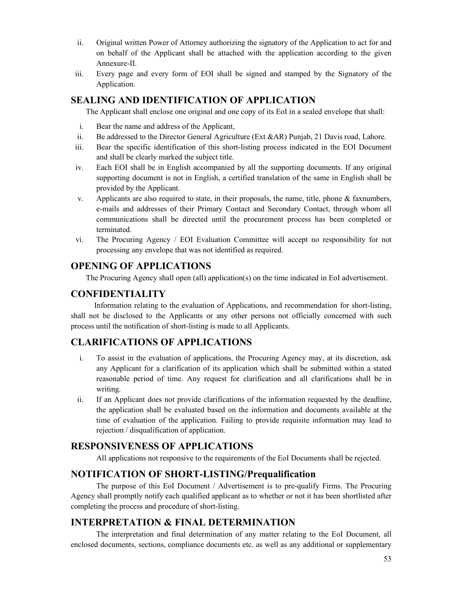- ii. Original written Power of Attorney authorizing the signatory of the Application to act for and on behalf of the Applicant shall be attached with the application according to the given Annexure-II.
- iii. Every page and every form of EOI shall be signed and stamped by the Signatory of the Application.

#### **SEALING AND IDENTIFICATION OF APPLICATION**

The Applicant shall enclose one original and one copy of its EoI in a sealed envelope that shall:

- i. Bear the name and address of the Applicant,
- ii. Be addressed to the Director General Agriculture (Ext &AR) Punjab, 21 Davis road, Lahore.
- iii. Bear the specific identification of this short-listing process indicated in the EOI Document and shall be clearly marked the subject title.
- iv. Each EOI shall be in English accompanied by all the supporting documents. If any original supporting document is not in English, a certified translation of the same in English shall be provided by the Applicant.
- v. Applicants are also required to state, in their proposals, the name, title, phone & faxnumbers, e-mails and addresses of their Primary Contact and Secondary Contact, through whom all communications shall be directed until the procurement process has been completed or terminated.
- vi. The Procuring Agency / EOI Evaluation Committee will accept no responsibility for not processing any envelope that was not identified as required.

#### **OPENING OF APPLICATIONS**

The Procuring Agency shall open (all) application(s) on the time indicated in EoI advertisement.

#### **CONFIDENTIALITY**

Information relating to the evaluation of Applications, and recommendation for short-listing, shall not be disclosed to the Applicants or any other persons not officially concerned with such process until the notification of short-listing is made to all Applicants.

#### **CLARIFICATIONS OF APPLICATIONS**

- i. To assist in the evaluation of applications, the Procuring Agency may, at its discretion, ask any Applicant for a clarification of its application which shall be submitted within a stated reasonable period of time. Any request for clarification and all clarifications shall be in writing.
- ii. If an Applicant does not provide clarifications of the information requested by the deadline, the application shall be evaluated based on the information and documents available at the time of evaluation of the application. Failing to provide requisite information may lead to rejection / disqualification of application.

#### **RESPONSIVENESS OF APPLICATIONS**

All applications not responsive to the requirements of the EoI Documents shall be rejected.

#### **NOTIFICATION OF SHORT-LISTING/Prequalification**

The purpose of this EoI Document / Advertisement is to pre-qualify Firms. The Procuring Agency shall promptly notify each qualified applicant as to whether or not it has been shortlisted after completing the process and procedure of short-listing.

#### **INTERPRETATION & FINAL DETERMINATION**

The interpretation and final determination of any matter relating to the EoI Document, all enclosed documents, sections, compliance documents etc. as well as any additional or supplementary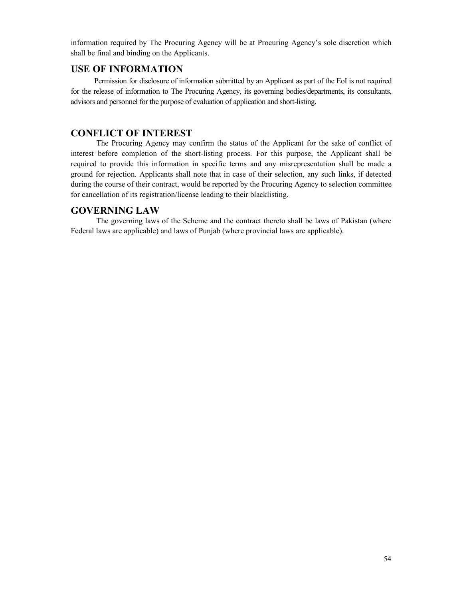information required by The Procuring Agency will be at Procuring Agency's sole discretion which shall be final and binding on the Applicants.

#### **USE OF INFORMATION**

Permission for disclosure of information submitted by an Applicant as part of the EoI is not required for the release of information to The Procuring Agency, its governing bodies/departments, its consultants, advisors and personnel for the purpose of evaluation of application and short-listing.

#### **CONFLICT OF INTEREST**

The Procuring Agency may confirm the status of the Applicant for the sake of conflict of interest before completion of the short-listing process. For this purpose, the Applicant shall be required to provide this information in specific terms and any misrepresentation shall be made a ground for rejection. Applicants shall note that in case of their selection, any such links, if detected during the course of their contract, would be reported by the Procuring Agency to selection committee for cancellation of its registration/license leading to their blacklisting.

#### **GOVERNING LAW**

The governing laws of the Scheme and the contract thereto shall be laws of Pakistan (where Federal laws are applicable) and laws of Punjab (where provincial laws are applicable).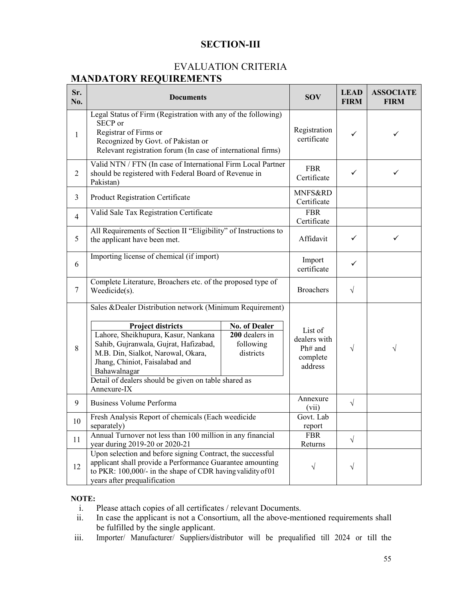## **SECTION-III**

### EVALUATION CRITERIA **MANDATORY REQUIREMENTS**

| Sr.<br>No.     | <b>Documents</b>                                                                                                                                                                                                                                                                                                                                                                                         | <b>SOV</b> | <b>LEAD</b><br><b>FIRM</b>                                | <b>ASSOCIATE</b><br><b>FIRM</b> |   |
|----------------|----------------------------------------------------------------------------------------------------------------------------------------------------------------------------------------------------------------------------------------------------------------------------------------------------------------------------------------------------------------------------------------------------------|------------|-----------------------------------------------------------|---------------------------------|---|
| 1              | Legal Status of Firm (Registration with any of the following)<br>SECP or<br>Registrar of Firms or<br>Recognized by Govt. of Pakistan or<br>Relevant registration forum (In case of international firms)                                                                                                                                                                                                  |            | Registration<br>certificate                               | ✓                               | ✓ |
| 2              | Valid NTN / FTN (In case of International Firm Local Partner<br>should be registered with Federal Board of Revenue in<br>Pakistan)                                                                                                                                                                                                                                                                       |            | <b>FBR</b><br>Certificate                                 | ✓                               | ✓ |
| 3              | Product Registration Certificate                                                                                                                                                                                                                                                                                                                                                                         |            | MNFS&RD<br>Certificate                                    |                                 |   |
| $\overline{4}$ | Valid Sale Tax Registration Certificate                                                                                                                                                                                                                                                                                                                                                                  |            | <b>FBR</b><br>Certificate                                 |                                 |   |
| 5              | All Requirements of Section II "Eligibility" of Instructions to<br>the applicant have been met.                                                                                                                                                                                                                                                                                                          |            | Affidavit                                                 | $\checkmark$                    | ✓ |
| 6              | Importing license of chemical (if import)                                                                                                                                                                                                                                                                                                                                                                |            | Import<br>certificate                                     | ✓                               |   |
| $\tau$         | Complete Literature, Broachers etc. of the proposed type of<br>Weedicide(s).                                                                                                                                                                                                                                                                                                                             |            | <b>Broachers</b>                                          | $\sqrt{}$                       |   |
| 8              | Sales & Dealer Distribution network (Minimum Requirement)<br><b>No. of Dealer</b><br><b>Project districts</b><br>Lahore, Sheikhupura, Kasur, Nankana<br>200 dealers in<br>Sahib, Gujranwala, Gujrat, Hafizabad,<br>following<br>M.B. Din, Sialkot, Narowal, Okara,<br>districts<br>Jhang, Chiniot, Faisalabad and<br>Bahawalnagar<br>Detail of dealers should be given on table shared as<br>Annexure-IX |            | List of<br>dealers with<br>Ph# and<br>complete<br>address | V                               | V |
| 9              | <b>Business Volume Performa</b>                                                                                                                                                                                                                                                                                                                                                                          |            | Annexure<br>(vii)                                         | $\sqrt{}$                       |   |
| 10             | Fresh Analysis Report of chemicals (Each weedicide<br>separately)                                                                                                                                                                                                                                                                                                                                        |            | Govt. Lab<br>report                                       |                                 |   |
| 11             | Annual Turnover not less than 100 million in any financial<br>year during 2019-20 or 2020-21                                                                                                                                                                                                                                                                                                             |            | <b>FBR</b><br>Returns                                     | $\sqrt{}$                       |   |
| 12             | Upon selection and before signing Contract, the successful<br>applicant shall provide a Performance Guarantee amounting<br>to PKR: 100,000/- in the shape of CDR having validity of 01<br>years after prequalification                                                                                                                                                                                   |            | $\sqrt{}$                                                 | √                               |   |

#### **NOTE:**

- i. Please attach copies of all certificates / relevant Documents.<br>ii. In case the applicant is not a Consortium, all the above-men
- In case the applicant is not a Consortium, all the above-mentioned requirements shall be fulfilled by the single applicant.
- iii. Importer/ Manufacturer/ Suppliers/distributor will be prequalified till 2024 or till the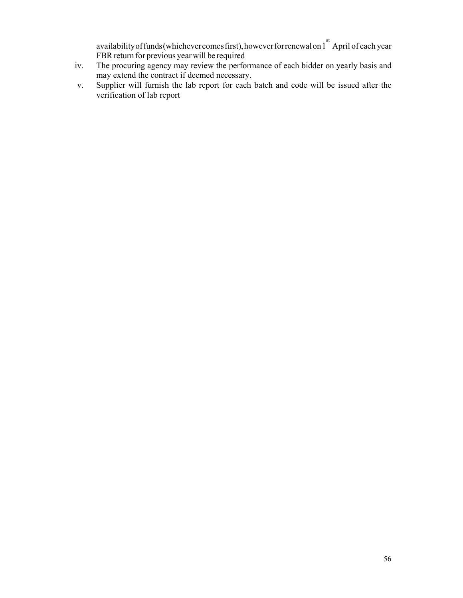availability of funds (whichever comes first), however for renewal on 1<sup>st</sup> April of each year FBR return for previous year will be required

- iv. The procuring agency may review the performance of each bidder on yearly basis and may extend the contract if deemed necessary.
- v. Supplier will furnish the lab report for each batch and code will be issued after the verification of lab report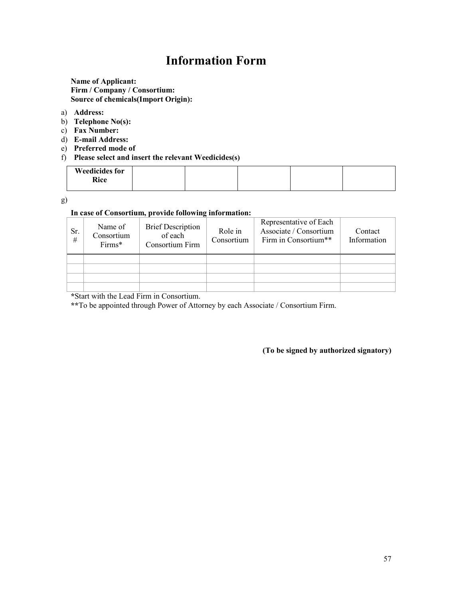## **Information Form**

**Name of Applicant: Firm / Company / Consortium: Source of chemicals(Import Origin):** 

- a) **Address:**
- b) **Telephone No(s):**
- c) **Fax Number:**
- d) **E-mail Address:**
- e) **Preferred mode of**
- f) **Please select and insert the relevant Weedicides(s)**

| <b>Weedicides for</b> |  |  |  |
|-----------------------|--|--|--|
| Rice                  |  |  |  |
|                       |  |  |  |

g)

#### **In case of Consortium, provide following information:**

| Sr.<br># | Name of<br>Consortium<br>Firms* | <b>Brief Description</b><br>of each<br>Consortium Firm | Role in<br>Consortium | Representative of Each<br>Associate / Consortium<br>Firm in Consortium** | Contact<br>Information |
|----------|---------------------------------|--------------------------------------------------------|-----------------------|--------------------------------------------------------------------------|------------------------|
|          |                                 |                                                        |                       |                                                                          |                        |
|          |                                 |                                                        |                       |                                                                          |                        |
|          |                                 |                                                        |                       |                                                                          |                        |
|          |                                 |                                                        |                       |                                                                          |                        |

**\***Start with the Lead Firm in Consortium.

**\*\***To be appointed through Power of Attorney by each Associate / Consortium Firm.

**(To be signed by authorized signatory)**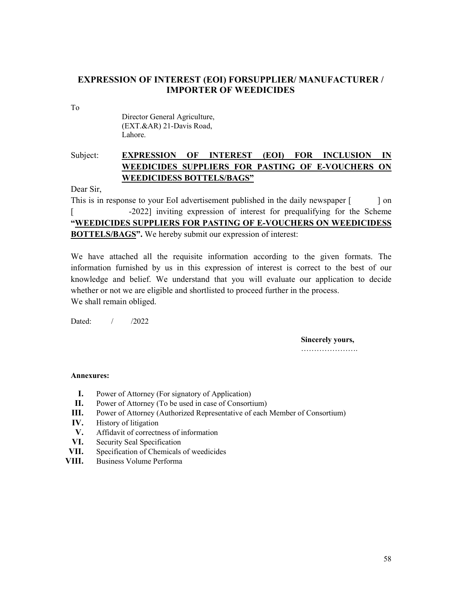#### **EXPRESSION OF INTEREST (EOI) FORSUPPLIER/ MANUFACTURER / IMPORTER OF WEEDICIDES**

To

 Director General Agriculture, (EXT.&AR) 21-Davis Road, Lahore.

## Subject: **EXPRESSION OF INTEREST (EOI) FOR INCLUSION IN WEEDICIDES SUPPLIERS FOR PASTING OF E-VOUCHERS ON WEEDICIDESS BOTTELS/BAGS"**

Dear Sir,

This is in response to your EoI advertisement published in the daily newspaper [ ] on [ -2022] inviting expression of interest for prequalifying for the Scheme **"WEEDICIDES SUPPLIERS FOR PASTING OF E-VOUCHERS ON WEEDICIDESS BOTTELS/BAGS".** We hereby submit our expression of interest:

We have attached all the requisite information according to the given formats. The information furnished by us in this expression of interest is correct to the best of our knowledge and belief. We understand that you will evaluate our application to decide whether or not we are eligible and shortlisted to proceed further in the process. We shall remain obliged.

Dated: / /2022

**Sincerely yours,** ………………………

#### **Annexures:**

- **I.** Power of Attorney (For signatory of Application)
- **II.** Power of Attorney (To be used in case of Consortium)
- **III.** Power of Attorney (Authorized Representative of each Member of Consortium)
- **IV.** History of litigation
- **V.** Affidavit of correctness of information
- **VI.** Security Seal Specification
- **VII.** Specification of Chemicals of weedicides
- **VIII.** Business Volume Performa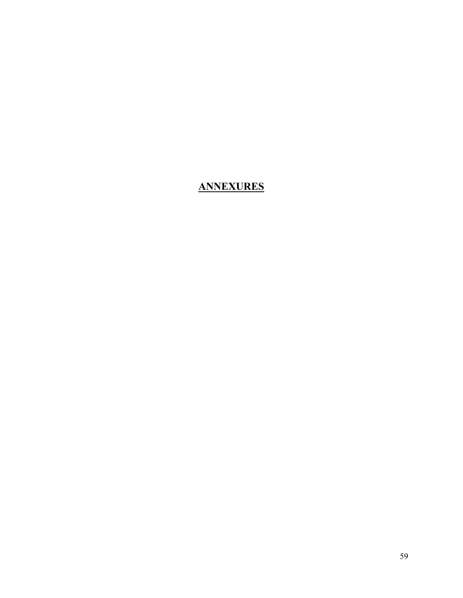## **ANNEXURES**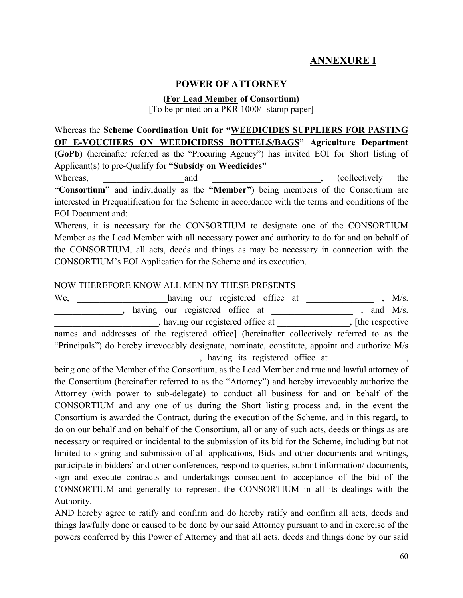## **ANNEXURE I**

### **POWER OF ATTORNEY**

#### **(For Lead Member of Consortium)**

[To be printed on a PKR 1000/- stamp paper]

Whereas the **Scheme Coordination Unit for "WEEDICIDES SUPPLIERS FOR PASTING OF E-VOUCHERS ON WEEDICIDESS BOTTELS/BAGS" Agriculture Department (GoPb)** (hereinafter referred as the "Procuring Agency") has invited EOI for Short listing of Applicant(s) to pre-Qualify for **"Subsidy on Weedicides"** Whereas, and and the collectively the Mereas,  $\Box$ **"Consortium"** and individually as the **"Member"**) being members of the Consortium are interested in Prequalification for the Scheme in accordance with the terms and conditions of the EOI Document and:

Whereas, it is necessary for the CONSORTIUM to designate one of the CONSORTIUM Member as the Lead Member with all necessary power and authority to do for and on behalf of the CONSORTIUM, all acts, deeds and things as may be necessary in connection with the CONSORTIUM's EOI Application for the Scheme and its execution.

#### NOW THEREFORE KNOW ALL MEN BY THESE PRESENTS

We, having our registered office at \_\_\_\_\_\_\_\_\_\_\_\_\_ , M/s. all the same state of the state of the state of the state of the state of the state of the state of the state of the state of the state of the state of the state of the state of the state of the state of the state of the s , having our registered office at  $\qquad \qquad$ , [the respective names and addresses of the registered office] (hereinafter collectively referred to as the "Principals") do hereby irrevocably designate, nominate, constitute, appoint and authorize M/s  $\lambda$ , having its registered office at  $\lambda$ ,

being one of the Member of the Consortium, as the Lead Member and true and lawful attorney of the Consortium (hereinafter referred to as the "Attorney") and hereby irrevocably authorize the Attorney (with power to sub-delegate) to conduct all business for and on behalf of the CONSORTIUM and any one of us during the Short listing process and, in the event the Consortium is awarded the Contract, during the execution of the Scheme, and in this regard, to do on our behalf and on behalf of the Consortium, all or any of such acts, deeds or things as are necessary or required or incidental to the submission of its bid for the Scheme, including but not limited to signing and submission of all applications, Bids and other documents and writings, participate in bidders' and other conferences, respond to queries, submit information/ documents, sign and execute contracts and undertakings consequent to acceptance of the bid of the CONSORTIUM and generally to represent the CONSORTIUM in all its dealings with the Authority.

AND hereby agree to ratify and confirm and do hereby ratify and confirm all acts, deeds and things lawfully done or caused to be done by our said Attorney pursuant to and in exercise of the powers conferred by this Power of Attorney and that all acts, deeds and things done by our said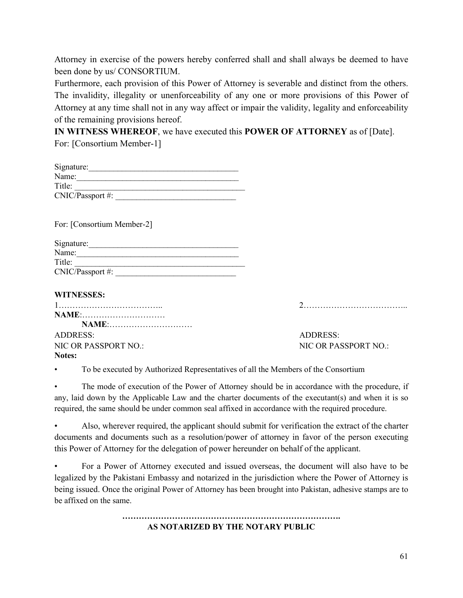Attorney in exercise of the powers hereby conferred shall and shall always be deemed to have been done by us/ CONSORTIUM.

Furthermore, each provision of this Power of Attorney is severable and distinct from the others. The invalidity, illegality or unenforceability of any one or more provisions of this Power of Attorney at any time shall not in any way affect or impair the validity, legality and enforceability of the remaining provisions hereof.

**IN WITNESS WHEREOF**, we have executed this **POWER OF ATTORNEY** as of [Date]. For: [Consortium Member-1]

| Signature:       |  |
|------------------|--|
| Name:            |  |
| Title:           |  |
| CNIC/Passport #: |  |

For: [Consortium Member-2]

| Signature:       |  |
|------------------|--|
| Name:            |  |
| Title:           |  |
| CNIC/Passport #: |  |

### **WITNESSES:**

| NAME:                |                      |
|----------------------|----------------------|
| NAME:                |                      |
| ADDRESS:             | ADDRESS:             |
| NIC OR PASSPORT NO.: | NIC OR PASSPORT NO.: |
| Notes:               |                      |

• To be executed by Authorized Representatives of all the Members of the Consortium

The mode of execution of the Power of Attorney should be in accordance with the procedure, if any, laid down by the Applicable Law and the charter documents of the executant(s) and when it is so required, the same should be under common seal affixed in accordance with the required procedure.

• Also, wherever required, the applicant should submit for verification the extract of the charter documents and documents such as a resolution/power of attorney in favor of the person executing this Power of Attorney for the delegation of power hereunder on behalf of the applicant.

• For a Power of Attorney executed and issued overseas, the document will also have to be legalized by the Pakistani Embassy and notarized in the jurisdiction where the Power of Attorney is being issued. Once the original Power of Attorney has been brought into Pakistan, adhesive stamps are to be affixed on the same.

> **……………………………………………………………………. AS NOTARIZED BY THE NOTARY PUBLIC**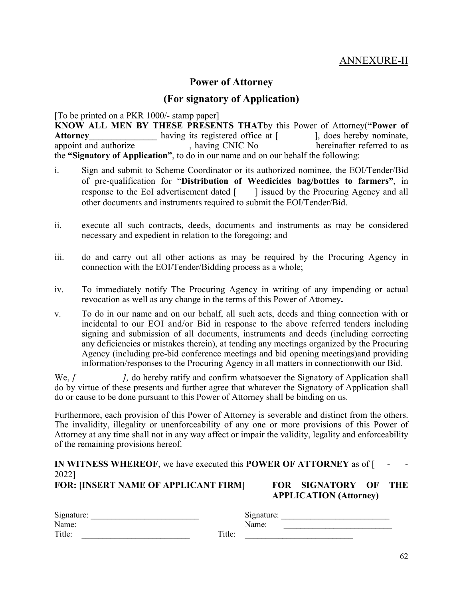## ANNEXURE-II

## **Power of Attorney**

### **(For signatory of Application)**

[To be printed on a PKR 1000/- stamp paper] **KNOW ALL MEN BY THESE PRESENTS THAT**by this Power of Attorney(**"Power of**  Attorney<br> **Attorney**<br> **Attorney**<br> **Attorney**<br> **Attorney**<br> **Attorney**<br> **Attorney**<br> **Attorney**<br> **Attorney**<br> **Attarney in the attack of the precinal<br>
<b>Attarney in the attack of the precinal precinal<br>
<b>Attarney in the precinal**  $\overline{\phantom{a}}$ , having CNIC No the **"Signatory of Application"**, to do in our name and on our behalf the following:

- i. Sign and submit to Scheme Coordinator or its authorized nominee, the EOI/Tender/Bid of pre-qualification for "**Distribution of Weedicides bag/bottles to farmers"**, in response to the EoI advertisement dated [ ] issued by the Procuring Agency and all other documents and instruments required to submit the EOI/Tender/Bid.
- ii. execute all such contracts, deeds, documents and instruments as may be considered necessary and expedient in relation to the foregoing; and
- iii. do and carry out all other actions as may be required by the Procuring Agency in connection with the EOI/Tender/Bidding process as a whole;
- iv. To immediately notify The Procuring Agency in writing of any impending or actual revocation as well as any change in the terms of this Power of Attorney**.**
- v. To do in our name and on our behalf, all such acts, deeds and thing connection with or incidental to our EOI and/or Bid in response to the above referred tenders including signing and submission of all documents, instruments and deeds (including correcting any deficiencies or mistakes therein), at tending any meetings organized by the Procuring Agency (including pre-bid conference meetings and bid opening meetings)and providing information/responses to the Procuring Agency in all matters in connectionwith our Bid.

We, *[*  $\blacksquare$  *]*, do hereby ratify and confirm whatsoever the Signatory of Application shall do by virtue of these presents and further agree that whatever the Signatory of Application shall do or cause to be done pursuant to this Power of Attorney shall be binding on us.

Furthermore, each provision of this Power of Attorney is severable and distinct from the others. The invalidity, illegality or unenforceability of any one or more provisions of this Power of Attorney at any time shall not in any way affect or impair the validity, legality and enforceability of the remaining provisions hereof.

## IN WITNESS WHEREOF, we have executed this POWER OF ATTORNEY as of [ 2022]

**FOR: [INSERT NAME OF APPLICANT FIRM]** 

| FOR SIGNATORY OF THE          |  |
|-------------------------------|--|
| <b>APPLICATION</b> (Attorney) |  |

| Signature: |        | $\sim \cdot$<br>Signature: |  |
|------------|--------|----------------------------|--|
| Name:      |        | Name:                      |  |
| Title:     | Title: |                            |  |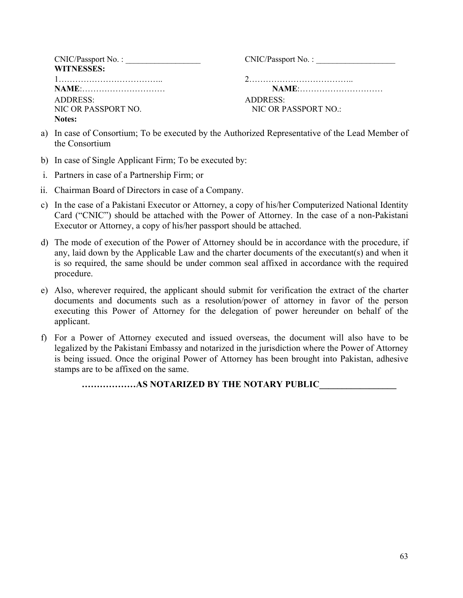| CNIC/Passport No. : | CNIC/Passport No.:   |
|---------------------|----------------------|
| <b>WITNESSES:</b>   |                      |
|                     |                      |
| <b>NAME</b> :       | <b>NAME:</b>         |
| ADDRESS:            | ADDRESS:             |
| NIC OR PASSPORT NO. | NIC OR PASSPORT NO.: |
| Notes:              |                      |

- a) In case of Consortium; To be executed by the Authorized Representative of the Lead Member of the Consortium
- b) In case of Single Applicant Firm; To be executed by:
- i. Partners in case of a Partnership Firm; or
- ii. Chairman Board of Directors in case of a Company.
- c) In the case of a Pakistani Executor or Attorney, a copy of his/her Computerized National Identity Card ("CNIC") should be attached with the Power of Attorney. In the case of a non-Pakistani Executor or Attorney, a copy of his/her passport should be attached.
- d) The mode of execution of the Power of Attorney should be in accordance with the procedure, if any, laid down by the Applicable Law and the charter documents of the executant(s) and when it is so required, the same should be under common seal affixed in accordance with the required procedure.
- e) Also, wherever required, the applicant should submit for verification the extract of the charter documents and documents such as a resolution/power of attorney in favor of the person executing this Power of Attorney for the delegation of power hereunder on behalf of the applicant.
- f) For a Power of Attorney executed and issued overseas, the document will also have to be legalized by the Pakistani Embassy and notarized in the jurisdiction where the Power of Attorney is being issued. Once the original Power of Attorney has been brought into Pakistan, adhesive stamps are to be affixed on the same.

**………………AS NOTARIZED BY THE NOTARY PUBLIC\_\_\_\_\_\_\_\_\_\_\_\_\_\_\_\_\_**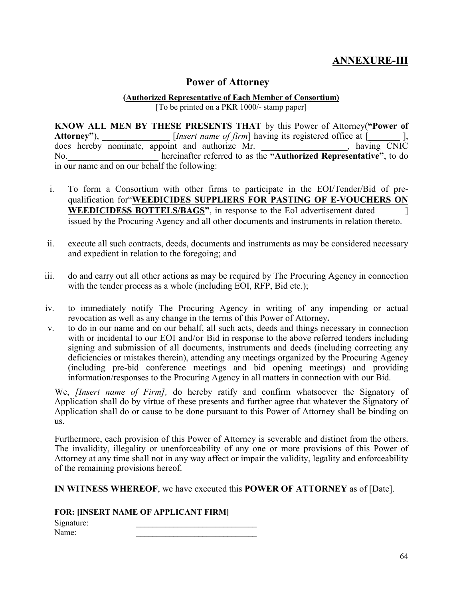## **ANNEXURE-III**

## **Power of Attorney**

#### **(Authorized Representative of Each Member of Consortium)**

[To be printed on a PKR 1000/- stamp paper]

**KNOW ALL MEN BY THESE PRESENTS THAT** by this Power of Attorney(**"Power of**  Attorney"),  $[Insert name of firm] having its registered office at [$ does hereby nominate, appoint and authorize Mr. \_\_\_\_\_\_\_\_\_\_\_\_\_\_\_\_\_\_\_, having CNIC No.\_\_\_\_\_\_\_\_\_\_\_\_\_\_\_\_\_\_\_\_ hereinafter referred to as the **"Authorized Representative"**, to do in our name and on our behalf the following:

- i. To form a Consortium with other firms to participate in the EOI/Tender/Bid of prequalification for"**WEEDICIDES SUPPLIERS FOR PASTING OF E-VOUCHERS ON WEEDICIDESS BOTTELS/BAGS"**, in response to the EoI advertisement dated \_\_\_\_\_\_] issued by the Procuring Agency and all other documents and instruments in relation thereto.
- ii. execute all such contracts, deeds, documents and instruments as may be considered necessary and expedient in relation to the foregoing; and
- iii. do and carry out all other actions as may be required by The Procuring Agency in connection with the tender process as a whole (including EOI, RFP, Bid etc.);
- iv. to immediately notify The Procuring Agency in writing of any impending or actual revocation as well as any change in the terms of this Power of Attorney**.**
- v. to do in our name and on our behalf, all such acts, deeds and things necessary in connection with or incidental to our EOI and/or Bid in response to the above referred tenders including signing and submission of all documents, instruments and deeds (including correcting any deficiencies or mistakes therein), attending any meetings organized by the Procuring Agency (including pre-bid conference meetings and bid opening meetings) and providing information/responses to the Procuring Agency in all matters in connection with our Bid.

We, *[Insert name of Firm],* do hereby ratify and confirm whatsoever the Signatory of Application shall do by virtue of these presents and further agree that whatever the Signatory of Application shall do or cause to be done pursuant to this Power of Attorney shall be binding on us.

Furthermore, each provision of this Power of Attorney is severable and distinct from the others. The invalidity, illegality or unenforceability of any one or more provisions of this Power of Attorney at any time shall not in any way affect or impair the validity, legality and enforceability of the remaining provisions hereof.

**IN WITNESS WHEREOF**, we have executed this **POWER OF ATTORNEY** as of [Date].

**FOR: [INSERT NAME OF APPLICANT FIRM]**

Signature:<br>Name: Name: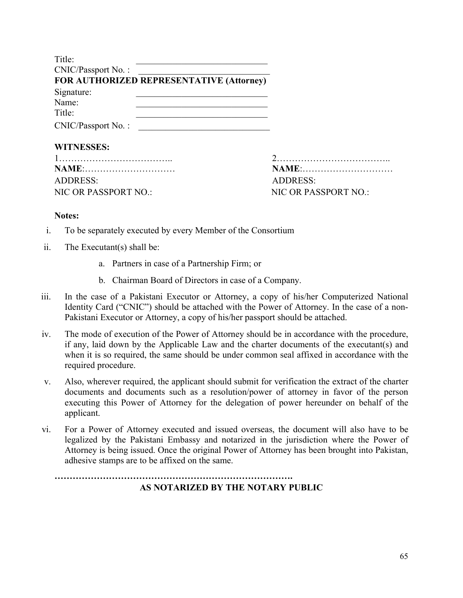| Title:             |                                          |
|--------------------|------------------------------------------|
| CNIC/Passport No.: |                                          |
|                    | FOR AUTHORIZED REPRESENTATIVE (Attorney) |
| Signature:         |                                          |
| Name:              |                                          |
| Title:             |                                          |
| CNIC/Passport No.: |                                          |

#### **WITNESSES:**

| NAME:                | NAME:                      |
|----------------------|----------------------------|
| ADDRESS:             | ADDRESS                    |
| NIC OR PASSPORT NO.: | NIC OR PASSPORT NO $\cdot$ |

#### **Notes:**

- i. To be separately executed by every Member of the Consortium
- ii. The Executant(s) shall be:
	- a. Partners in case of a Partnership Firm; or
	- b. Chairman Board of Directors in case of a Company.
- iii. In the case of a Pakistani Executor or Attorney, a copy of his/her Computerized National Identity Card ("CNIC") should be attached with the Power of Attorney. In the case of a non-Pakistani Executor or Attorney, a copy of his/her passport should be attached.
- iv. The mode of execution of the Power of Attorney should be in accordance with the procedure, if any, laid down by the Applicable Law and the charter documents of the executant(s) and when it is so required, the same should be under common seal affixed in accordance with the required procedure.
- v. Also, wherever required, the applicant should submit for verification the extract of the charter documents and documents such as a resolution/power of attorney in favor of the person executing this Power of Attorney for the delegation of power hereunder on behalf of the applicant.
- vi. For a Power of Attorney executed and issued overseas, the document will also have to be legalized by the Pakistani Embassy and notarized in the jurisdiction where the Power of Attorney is being issued. Once the original Power of Attorney has been brought into Pakistan, adhesive stamps are to be affixed on the same.

**AS NOTARIZED BY THE NOTARY PUBLIC**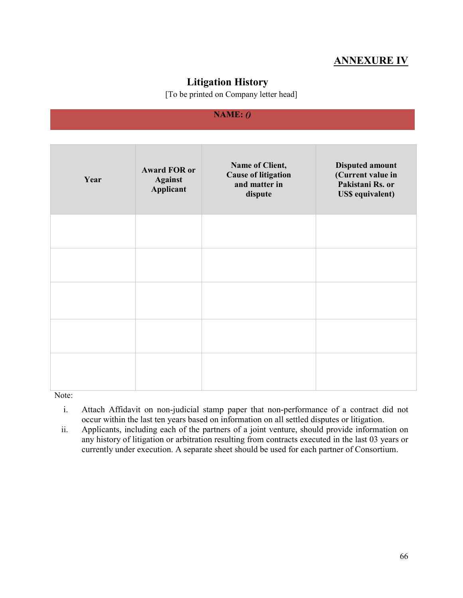## **ANNEXURE IV**

## **Litigation History**

[To be printed on Company letter head]

### **NAME:** *()*

| Year | <b>Award FOR or</b><br><b>Against</b><br>Applicant | Name of Client,<br><b>Cause of litigation</b><br>and matter in<br>dispute | <b>Disputed amount</b><br>(Current value in<br>Pakistani Rs. or<br><b>US\$</b> equivalent) |
|------|----------------------------------------------------|---------------------------------------------------------------------------|--------------------------------------------------------------------------------------------|
|      |                                                    |                                                                           |                                                                                            |
|      |                                                    |                                                                           |                                                                                            |
|      |                                                    |                                                                           |                                                                                            |
|      |                                                    |                                                                           |                                                                                            |
|      |                                                    |                                                                           |                                                                                            |

Note:

- i. Attach Affidavit on non-judicial stamp paper that non-performance of a contract did not occur within the last ten years based on information on all settled disputes or litigation.
- ii. Applicants, including each of the partners of a joint venture, should provide information on any history of litigation or arbitration resulting from contracts executed in the last 03 years or currently under execution. A separate sheet should be used for each partner of Consortium.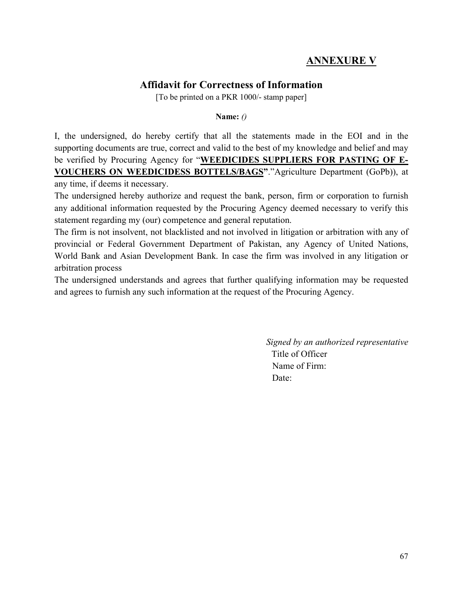## **ANNEXURE V**

## **Affidavit for Correctness of Information**

[To be printed on a PKR 1000/- stamp paper]

**Name:** *()*

I, the undersigned, do hereby certify that all the statements made in the EOI and in the supporting documents are true, correct and valid to the best of my knowledge and belief and may be verified by Procuring Agency for "**WEEDICIDES SUPPLIERS FOR PASTING OF E-VOUCHERS ON WEEDICIDESS BOTTELS/BAGS"**."Agriculture Department (GoPb)), at any time, if deems it necessary.

The undersigned hereby authorize and request the bank, person, firm or corporation to furnish any additional information requested by the Procuring Agency deemed necessary to verify this statement regarding my (our) competence and general reputation.

The firm is not insolvent, not blacklisted and not involved in litigation or arbitration with any of provincial or Federal Government Department of Pakistan, any Agency of United Nations, World Bank and Asian Development Bank. In case the firm was involved in any litigation or arbitration process

The undersigned understands and agrees that further qualifying information may be requested and agrees to furnish any such information at the request of the Procuring Agency.

> *Signed by an authorized representative*  Title of Officer Name of Firm: Date: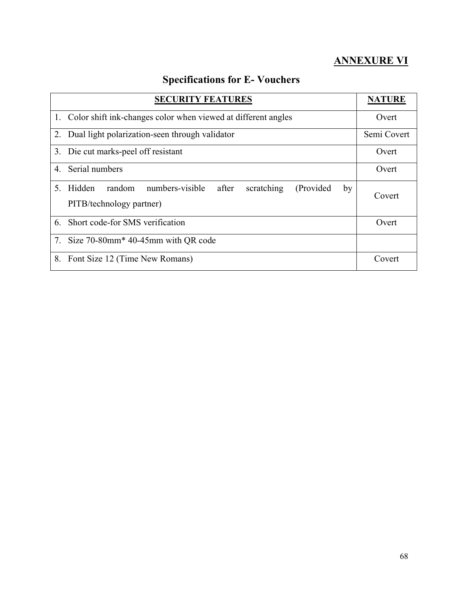## **ANNEXURE VI**

## **Specifications for E- Vouchers**

| <b>SECURITY FEATURES</b>                                                                                         |    | <b>NATURE</b> |
|------------------------------------------------------------------------------------------------------------------|----|---------------|
| 1. Color shift ink-changes color when viewed at different angles                                                 |    | Overt         |
| Dual light polarization-seen through validator<br>2.                                                             |    | Semi Covert   |
| 3. Die cut marks-peel off resistant                                                                              |    | Overt         |
| 4. Serial numbers                                                                                                |    | Overt         |
| numbers-visible after<br>random<br>$5^{\circ}$<br>Hidden<br>scratching<br>(Provided)<br>PITB/technology partner) | by | Covert        |
| Short code-for SMS verification<br>6.                                                                            |    | Overt         |
| 7. Size 70-80mm <sup>*</sup> 40-45mm with QR code                                                                |    |               |
| Font Size 12 (Time New Romans)<br>8.                                                                             |    | Covert        |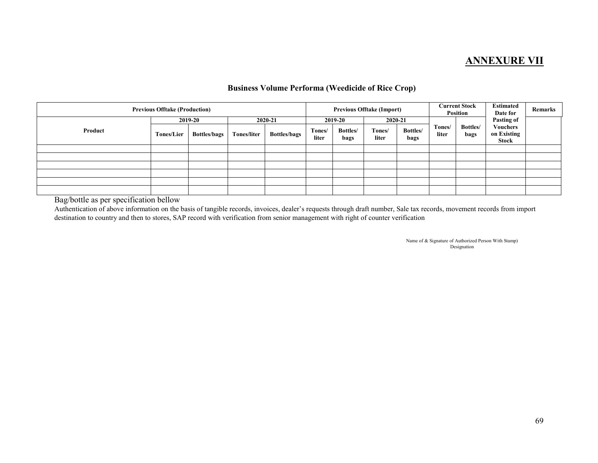## **ANNEXURE VII**

#### **Business Volume Performa (Weedicide of Rice Crop)**

| <b>Previous Offtake (Production)</b> |                   |                                |                    | <b>Previous Offtake (Import)</b> |                 | Current Stock<br>Position   |                            | <b>Estimated</b><br>Date for | <b>Remarks</b>  |                  |                                                              |  |
|--------------------------------------|-------------------|--------------------------------|--------------------|----------------------------------|-----------------|-----------------------------|----------------------------|------------------------------|-----------------|------------------|--------------------------------------------------------------|--|
| Product                              | <b>Tones/Lier</b> | 2019-20<br><b>Bottles/bags</b> | <b>Tones/liter</b> | 2020-21<br><b>Bottles/bags</b>   | Tones/<br>liter | 2019-20<br>Bottles/<br>bags | 2020-21<br>Tones/<br>liter | Bottles/<br>bags             | Tones/<br>liter | Bottles/<br>bags | <b>Pasting of</b><br><b>Vouchers</b><br>on Existing<br>Stock |  |
|                                      |                   |                                |                    |                                  |                 |                             |                            |                              |                 |                  |                                                              |  |
|                                      |                   |                                |                    |                                  |                 |                             |                            |                              |                 |                  |                                                              |  |
|                                      |                   |                                |                    |                                  |                 |                             |                            |                              |                 |                  |                                                              |  |
|                                      |                   |                                |                    |                                  |                 |                             |                            |                              |                 |                  |                                                              |  |
|                                      |                   |                                |                    |                                  |                 |                             |                            |                              |                 |                  |                                                              |  |
|                                      |                   |                                |                    |                                  |                 |                             |                            |                              |                 |                  |                                                              |  |

Bag/bottle as per specification bellow

 Authentication of above information on the basis of tangible records, invoices, dealer's requests through draft number, Sale tax records, movement records from import destination to country and then to stores, SAP record with verification from senior management with right of counter verification

> Name of & Signature of Authorized Person With Stamp) Designation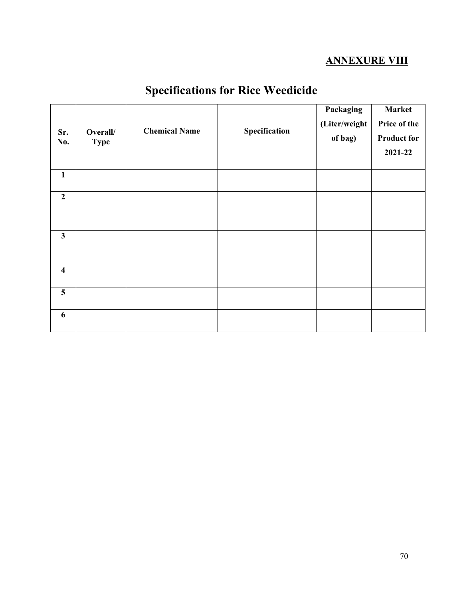## **ANNEXURE VIII**

| Sr.<br>No.              | Overall/<br><b>Type</b> | <b>Chemical Name</b> | Specification | Packaging<br>(Liter/weight<br>of bag) | <b>Market</b><br>Price of the<br><b>Product for</b><br>2021-22 |
|-------------------------|-------------------------|----------------------|---------------|---------------------------------------|----------------------------------------------------------------|
| $\mathbf{1}$            |                         |                      |               |                                       |                                                                |
| $\overline{2}$          |                         |                      |               |                                       |                                                                |
| $\mathbf{3}$            |                         |                      |               |                                       |                                                                |
| $\overline{\mathbf{4}}$ |                         |                      |               |                                       |                                                                |
| $5\overline{)}$         |                         |                      |               |                                       |                                                                |
| 6                       |                         |                      |               |                                       |                                                                |

# **Specifications for Rice Weedicide**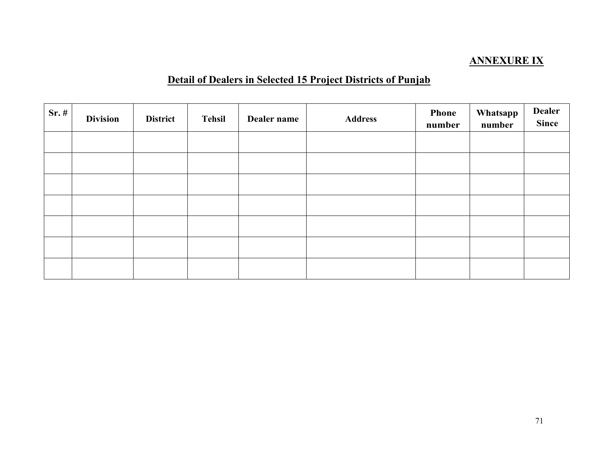## **ANNEXURE IX**

## **Detail of Dealers in Selected 15 Project Districts of Punjab**

| $Sr.$ # | <b>Division</b> | <b>District</b> | <b>Tehsil</b> | Dealer name | <b>Phone</b><br><b>Address</b><br>number |  | Whatsapp<br>number | <b>Dealer</b><br><b>Since</b> |
|---------|-----------------|-----------------|---------------|-------------|------------------------------------------|--|--------------------|-------------------------------|
|         |                 |                 |               |             |                                          |  |                    |                               |
|         |                 |                 |               |             |                                          |  |                    |                               |
|         |                 |                 |               |             |                                          |  |                    |                               |
|         |                 |                 |               |             |                                          |  |                    |                               |
|         |                 |                 |               |             |                                          |  |                    |                               |
|         |                 |                 |               |             |                                          |  |                    |                               |
|         |                 |                 |               |             |                                          |  |                    |                               |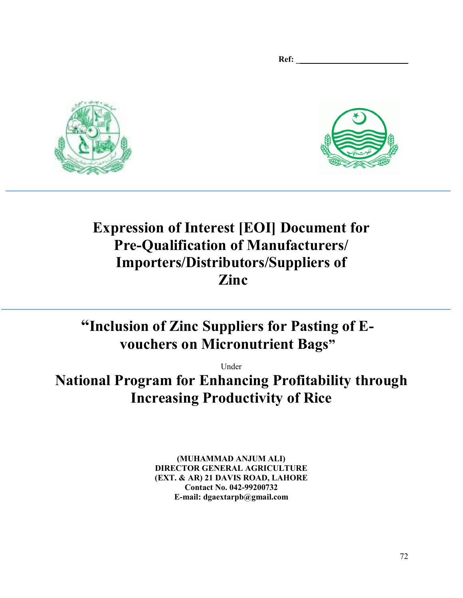Ref:





# **Expression of Interest [EOI] Document for Pre-Qualification of Manufacturers/ Importers/Distributors/Suppliers of Zinc**

# **"Inclusion of Zinc Suppliers for Pasting of Evouchers on Micronutrient Bags"**

Under

**National Program for Enhancing Profitability through Increasing Productivity of Rice** 

> **(MUHAMMAD ANJUM ALI) DIRECTOR GENERAL AGRICULTURE (EXT. & AR) 21 DAVIS ROAD, LAHORE Contact No. 042-99200732 E-mail: dgaextarpb@gmail.com**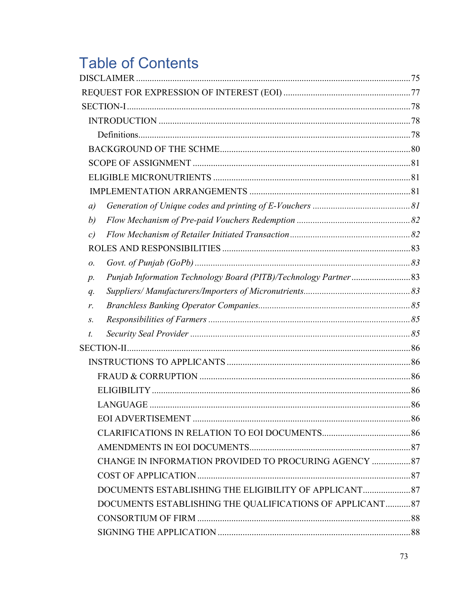# **Table of Contents**

| $\left( a\right)$                                        |  |
|----------------------------------------------------------|--|
| b)                                                       |  |
| c)                                                       |  |
|                                                          |  |
| 0.                                                       |  |
| $p$ .                                                    |  |
| $q$ .                                                    |  |
| r.                                                       |  |
| S.                                                       |  |
| t.                                                       |  |
|                                                          |  |
|                                                          |  |
|                                                          |  |
|                                                          |  |
|                                                          |  |
|                                                          |  |
|                                                          |  |
|                                                          |  |
| CHANGE IN INFORMATION PROVIDED TO PROCURING AGENCY  87   |  |
|                                                          |  |
|                                                          |  |
| DOCUMENTS ESTABLISHING THE QUALIFICATIONS OF APPLICANT87 |  |
|                                                          |  |
|                                                          |  |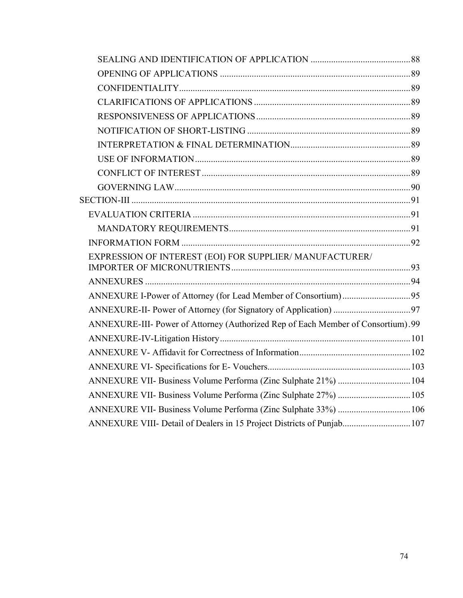| EXPRESSION OF INTEREST (EOI) FOR SUPPLIER/ MANUFACTURER/                         |  |
|----------------------------------------------------------------------------------|--|
|                                                                                  |  |
| ANNEXURE I-Power of Attorney (for Lead Member of Consortium)95                   |  |
|                                                                                  |  |
| ANNEXURE-III- Power of Attorney (Authorized Rep of Each Member of Consortium).99 |  |
|                                                                                  |  |
|                                                                                  |  |
|                                                                                  |  |
| ANNEXURE VII- Business Volume Performa (Zinc Sulphate 21%)  104                  |  |
| ANNEXURE VII- Business Volume Performa (Zinc Sulphate 27%)  105                  |  |
| ANNEXURE VII- Business Volume Performa (Zinc Sulphate 33%)  106                  |  |
| ANNEXURE VIII- Detail of Dealers in 15 Project Districts of Punjab 107           |  |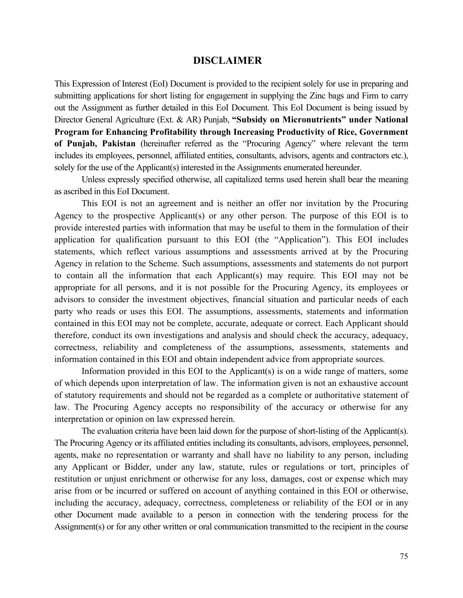#### **DISCLAIMER**

This Expression of Interest (EoI) Document is provided to the recipient solely for use in preparing and submitting applications for short listing for engagement in supplying the Zinc bags and Firm to carry out the Assignment as further detailed in this EoI Document. This EoI Document is being issued by Director General Agriculture (Ext. & AR) Punjab, **"Subsidy on Micronutrients" under National Program for Enhancing Profitability through Increasing Productivity of Rice, Government of Punjab, Pakistan** (hereinafter referred as the "Procuring Agency" where relevant the term includes its employees, personnel, affiliated entities, consultants, advisors, agents and contractors etc.), solely for the use of the Applicant(s) interested in the Assignments enumerated hereunder.

Unless expressly specified otherwise, all capitalized terms used herein shall bear the meaning as ascribed in this EoI Document.

This EOI is not an agreement and is neither an offer nor invitation by the Procuring Agency to the prospective Applicant(s) or any other person. The purpose of this EOI is to provide interested parties with information that may be useful to them in the formulation of their application for qualification pursuant to this EOI (the "Application"). This EOI includes statements, which reflect various assumptions and assessments arrived at by the Procuring Agency in relation to the Scheme. Such assumptions, assessments and statements do not purport to contain all the information that each Applicant(s) may require. This EOI may not be appropriate for all persons, and it is not possible for the Procuring Agency, its employees or advisors to consider the investment objectives, financial situation and particular needs of each party who reads or uses this EOI. The assumptions, assessments, statements and information contained in this EOI may not be complete, accurate, adequate or correct. Each Applicant should therefore, conduct its own investigations and analysis and should check the accuracy, adequacy, correctness, reliability and completeness of the assumptions, assessments, statements and information contained in this EOI and obtain independent advice from appropriate sources.

Information provided in this EOI to the Applicant(s) is on a wide range of matters, some of which depends upon interpretation of law. The information given is not an exhaustive account of statutory requirements and should not be regarded as a complete or authoritative statement of law. The Procuring Agency accepts no responsibility of the accuracy or otherwise for any interpretation or opinion on law expressed herein.

The evaluation criteria have been laid down for the purpose of short-listing of the Applicant(s). The Procuring Agency or its affiliated entities including its consultants, advisors, employees, personnel, agents, make no representation or warranty and shall have no liability to any person, including any Applicant or Bidder, under any law, statute, rules or regulations or tort, principles of restitution or unjust enrichment or otherwise for any loss, damages, cost or expense which may arise from or be incurred or suffered on account of anything contained in this EOI or otherwise, including the accuracy, adequacy, correctness, completeness or reliability of the EOI or in any other Document made available to a person in connection with the tendering process for the Assignment(s) or for any other written or oral communication transmitted to the recipient in the course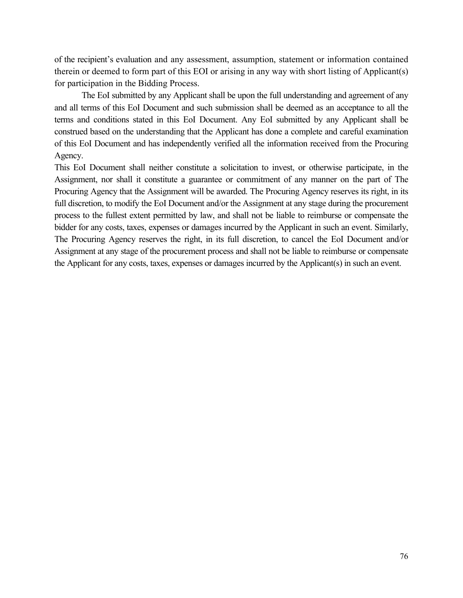of the recipient's evaluation and any assessment, assumption, statement or information contained therein or deemed to form part of this EOI or arising in any way with short listing of Applicant(s) for participation in the Bidding Process.

The EoI submitted by any Applicant shall be upon the full understanding and agreement of any and all terms of this EoI Document and such submission shall be deemed as an acceptance to all the terms and conditions stated in this EoI Document. Any EoI submitted by any Applicant shall be construed based on the understanding that the Applicant has done a complete and careful examination of this EoI Document and has independently verified all the information received from the Procuring Agency.

This EoI Document shall neither constitute a solicitation to invest, or otherwise participate, in the Assignment, nor shall it constitute a guarantee or commitment of any manner on the part of The Procuring Agency that the Assignment will be awarded. The Procuring Agency reserves its right, in its full discretion, to modify the EoI Document and/or the Assignment at any stage during the procurement process to the fullest extent permitted by law, and shall not be liable to reimburse or compensate the bidder for any costs, taxes, expenses or damages incurred by the Applicant in such an event. Similarly, The Procuring Agency reserves the right, in its full discretion, to cancel the EoI Document and/or Assignment at any stage of the procurement process and shall not be liable to reimburse or compensate the Applicant for any costs, taxes, expenses or damages incurred by the Applicant(s) in such an event.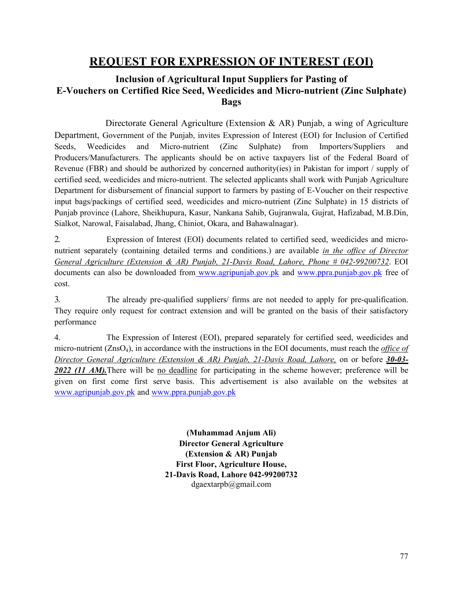# **REQUEST FOR EXPRESSION OF INTEREST (EOI)**

### **Inclusion of Agricultural Input Suppliers for Pasting of E-Vouchers on Certified Rice Seed, Weedicides and Micro-nutrient (Zinc Sulphate) Bags**

Directorate General Agriculture (Extension & AR) Punjab, a wing of Agriculture Department, Government of the Punjab, invites Expression of Interest (EOI) for Inclusion of Certified Seeds, Weedicides and Micro-nutrient (Zinc Sulphate) from Importers/Suppliers and Producers/Manufacturers. The applicants should be on active taxpayers list of the Federal Board of Revenue (FBR) and should be authorized by concerned authority(ies) in Pakistan for import / supply of certified seed, weedicides and micro-nutrient. The selected applicants shall work with Punjab Agriculture Department for disbursement of financial support to farmers by pasting of E-Voucher on their respective input bags/packings of certified seed, weedicides and micro-nutrient (Zinc Sulphate) in 15 districts of Punjab province (Lahore, Sheikhupura, Kasur, Nankana Sahib, Gujranwala, Gujrat, Hafizabad, M.B.Din, Sialkot, Narowal, Faisalabad, Jhang, Chiniot, Okara, and Bahawalnagar).

2. Expression of Interest (EOI) documents related to certified seed, weedicides and micronutrient separately (containing detailed terms and conditions.) are available *in the office of Director General Agriculture (Extension & AR) Punjab, 21-Davis Road, Lahore, Phone # 042-99200732*. EOI documents can also be downloaded from www.agripunjab.gov.pk and www.ppra.punjab.gov.pk free of cost.

3. The already pre-qualified suppliers/ firms are not needed to apply for pre-qualification. They require only request for contract extension and will be granted on the basis of their satisfactory performance

4. The Expression of Interest (EOI), prepared separately for certified seed, weedicides and micro-nutrient (ZnsO4), in accordance with the instructions in the EOI documents, must reach the *office of Director General Agriculture (Extension & AR) Punjab, 21-Davis Road, Lahore,* on or before *30-03- 2022 (11 AM).*There will be no deadline for participating in the scheme however; preference will be given on first come first serve basis. This advertisement is also available on the websites at www.agripunjab.gov.pk and www.ppra.punjab.gov.pk

> **(Muhammad Anjum Ali) Director General Agriculture (Extension & AR) Punjab First Floor, Agriculture House, 21-Davis Road, Lahore 042-99200732** dgaextarpb@gmail.com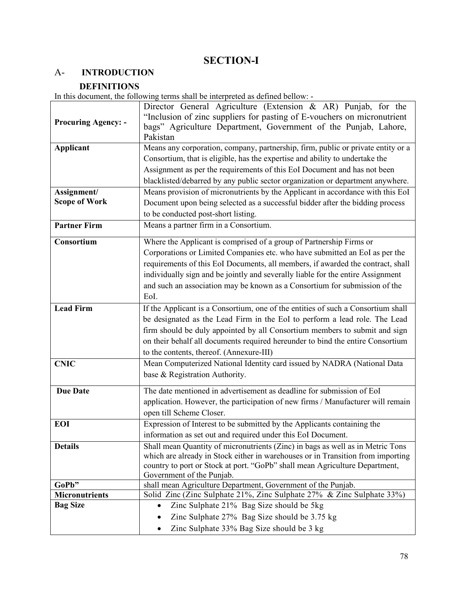# **SECTION-I**

# A- **INTRODUCTION**

### **DEFINITIONS**

In this document, the following terms shall be interpreted as defined bellow: -

|                                | Director General Agriculture (Extension & AR) Punjab, for the                                                                         |  |  |  |
|--------------------------------|---------------------------------------------------------------------------------------------------------------------------------------|--|--|--|
|                                | "Inclusion of zinc suppliers for pasting of E-vouchers on micronutrient                                                               |  |  |  |
| <b>Procuring Agency: -</b>     | bags" Agriculture Department, Government of the Punjab, Lahore,<br>Pakistan                                                           |  |  |  |
| <b>Applicant</b>               | Means any corporation, company, partnership, firm, public or private entity or a                                                      |  |  |  |
|                                | Consortium, that is eligible, has the expertise and ability to undertake the                                                          |  |  |  |
|                                | Assignment as per the requirements of this EoI Document and has not been                                                              |  |  |  |
|                                | blacklisted/debarred by any public sector organization or department anywhere.                                                        |  |  |  |
| Assignment/                    | Means provision of micronutrients by the Applicant in accordance with this EoI                                                        |  |  |  |
| <b>Scope of Work</b>           | Document upon being selected as a successful bidder after the bidding process                                                         |  |  |  |
|                                | to be conducted post-short listing.                                                                                                   |  |  |  |
| <b>Partner Firm</b>            | Means a partner firm in a Consortium.                                                                                                 |  |  |  |
| Consortium                     | Where the Applicant is comprised of a group of Partnership Firms or                                                                   |  |  |  |
|                                | Corporations or Limited Companies etc. who have submitted an EoI as per the                                                           |  |  |  |
|                                | requirements of this EoI Documents, all members, if awarded the contract, shall                                                       |  |  |  |
|                                | individually sign and be jointly and severally liable for the entire Assignment                                                       |  |  |  |
|                                | and such an association may be known as a Consortium for submission of the                                                            |  |  |  |
|                                | EoI.                                                                                                                                  |  |  |  |
| <b>Lead Firm</b>               | If the Applicant is a Consortium, one of the entities of such a Consortium shall                                                      |  |  |  |
|                                | be designated as the Lead Firm in the EoI to perform a lead role. The Lead                                                            |  |  |  |
|                                | firm should be duly appointed by all Consortium members to submit and sign                                                            |  |  |  |
|                                | on their behalf all documents required hereunder to bind the entire Consortium                                                        |  |  |  |
|                                | to the contents, thereof. (Annexure-III)                                                                                              |  |  |  |
| <b>CNIC</b>                    | Mean Computerized National Identity card issued by NADRA (National Data                                                               |  |  |  |
|                                | base & Registration Authority.                                                                                                        |  |  |  |
| <b>Due Date</b>                | The date mentioned in advertisement as deadline for submission of EoI                                                                 |  |  |  |
|                                | application. However, the participation of new firms / Manufacturer will remain                                                       |  |  |  |
|                                | open till Scheme Closer.                                                                                                              |  |  |  |
| EOI                            | Expression of Interest to be submitted by the Applicants containing the                                                               |  |  |  |
|                                | information as set out and required under this EoI Document.                                                                          |  |  |  |
| <b>Details</b>                 | Shall mean Quantity of micronutrients (Zinc) in bags as well as in Metric Tons                                                        |  |  |  |
|                                | which are already in Stock either in warehouses or in Transition from importing                                                       |  |  |  |
|                                | country to port or Stock at port. "GoPb" shall mean Agriculture Department,                                                           |  |  |  |
|                                | Government of the Punjab.                                                                                                             |  |  |  |
| GoPb"<br><b>Micronutrients</b> | shall mean Agriculture Department, Government of the Punjab.<br>Solid Zinc (Zinc Sulphate 21%, Zinc Sulphate 27% & Zinc Sulphate 33%) |  |  |  |
| <b>Bag Size</b>                | Zinc Sulphate 21% Bag Size should be 5kg<br>٠                                                                                         |  |  |  |
|                                | Zinc Sulphate 27% Bag Size should be 3.75 kg                                                                                          |  |  |  |
|                                |                                                                                                                                       |  |  |  |
|                                | Zinc Sulphate 33% Bag Size should be 3 kg<br>٠                                                                                        |  |  |  |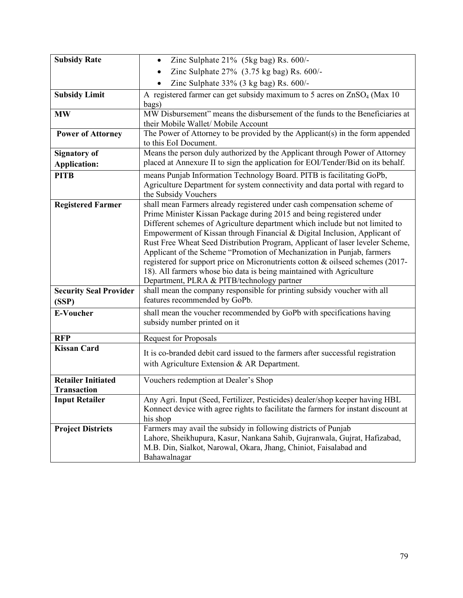| <b>Subsidy Rate</b>           | Zinc Sulphate 21% (5kg bag) Rs. 600/-<br>$\bullet$                                                                                                             |  |  |  |  |  |
|-------------------------------|----------------------------------------------------------------------------------------------------------------------------------------------------------------|--|--|--|--|--|
|                               | Zinc Sulphate 27% (3.75 kg bag) Rs. 600/-                                                                                                                      |  |  |  |  |  |
|                               | Zinc Sulphate 33% (3 kg bag) Rs. 600/-                                                                                                                         |  |  |  |  |  |
| <b>Subsidy Limit</b>          | A registered farmer can get subsidy maximum to 5 acres on ZnSO <sub>4</sub> (Max 10)                                                                           |  |  |  |  |  |
|                               | bags)                                                                                                                                                          |  |  |  |  |  |
| <b>MW</b>                     | MW Disbursement" means the disbursement of the funds to the Beneficiaries at                                                                                   |  |  |  |  |  |
|                               | their Mobile Wallet/ Mobile Account                                                                                                                            |  |  |  |  |  |
| <b>Power of Attorney</b>      | The Power of Attorney to be provided by the Applicant(s) in the form appended                                                                                  |  |  |  |  |  |
|                               | to this EoI Document.                                                                                                                                          |  |  |  |  |  |
| <b>Signatory of</b>           | Means the person duly authorized by the Applicant through Power of Attorney<br>placed at Annexure II to sign the application for EOI/Tender/Bid on its behalf. |  |  |  |  |  |
| <b>Application:</b>           |                                                                                                                                                                |  |  |  |  |  |
| <b>PITB</b>                   | means Punjab Information Technology Board. PITB is facilitating GoPb,                                                                                          |  |  |  |  |  |
|                               | Agriculture Department for system connectivity and data portal with regard to<br>the Subsidy Vouchers                                                          |  |  |  |  |  |
| <b>Registered Farmer</b>      | shall mean Farmers already registered under cash compensation scheme of                                                                                        |  |  |  |  |  |
|                               | Prime Minister Kissan Package during 2015 and being registered under                                                                                           |  |  |  |  |  |
|                               | Different schemes of Agriculture department which include but not limited to                                                                                   |  |  |  |  |  |
|                               | Empowerment of Kissan through Financial & Digital Inclusion, Applicant of                                                                                      |  |  |  |  |  |
|                               | Rust Free Wheat Seed Distribution Program, Applicant of laser leveler Scheme,                                                                                  |  |  |  |  |  |
|                               | Applicant of the Scheme "Promotion of Mechanization in Punjab, farmers                                                                                         |  |  |  |  |  |
|                               | registered for support price on Micronutrients cotton & oilseed schemes (2017-                                                                                 |  |  |  |  |  |
|                               | 18). All farmers whose bio data is being maintained with Agriculture                                                                                           |  |  |  |  |  |
|                               | Department, PLRA & PITB/technology partner                                                                                                                     |  |  |  |  |  |
| <b>Security Seal Provider</b> | shall mean the company responsible for printing subsidy voucher with all                                                                                       |  |  |  |  |  |
| (SSP)                         | features recommended by GoPb.                                                                                                                                  |  |  |  |  |  |
| <b>E-Voucher</b>              | shall mean the voucher recommended by GoPb with specifications having                                                                                          |  |  |  |  |  |
|                               | subsidy number printed on it                                                                                                                                   |  |  |  |  |  |
| <b>RFP</b>                    | <b>Request for Proposals</b>                                                                                                                                   |  |  |  |  |  |
| <b>Kissan Card</b>            |                                                                                                                                                                |  |  |  |  |  |
|                               | It is co-branded debit card issued to the farmers after successful registration                                                                                |  |  |  |  |  |
|                               | with Agriculture Extension & AR Department.                                                                                                                    |  |  |  |  |  |
| <b>Retailer Initiated</b>     | Vouchers redemption at Dealer's Shop                                                                                                                           |  |  |  |  |  |
| <b>Transaction</b>            |                                                                                                                                                                |  |  |  |  |  |
| <b>Input Retailer</b>         | Any Agri. Input (Seed, Fertilizer, Pesticides) dealer/shop keeper having HBL                                                                                   |  |  |  |  |  |
|                               | Konnect device with agree rights to facilitate the farmers for instant discount at                                                                             |  |  |  |  |  |
|                               | his shop                                                                                                                                                       |  |  |  |  |  |
| <b>Project Districts</b>      | Farmers may avail the subsidy in following districts of Punjab                                                                                                 |  |  |  |  |  |
|                               | Lahore, Sheikhupura, Kasur, Nankana Sahib, Gujranwala, Gujrat, Hafizabad,                                                                                      |  |  |  |  |  |
|                               | M.B. Din, Sialkot, Narowal, Okara, Jhang, Chiniot, Faisalabad and                                                                                              |  |  |  |  |  |
|                               | Bahawalnagar                                                                                                                                                   |  |  |  |  |  |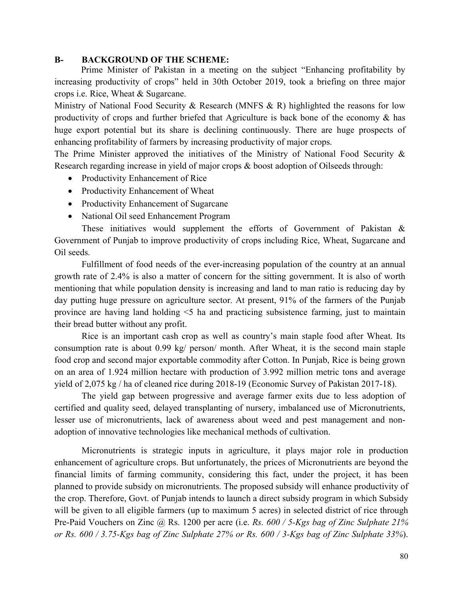#### **B- BACKGROUND OF THE SCHEME:**

Prime Minister of Pakistan in a meeting on the subject "Enhancing profitability by increasing productivity of crops" held in 30th October 2019, took a briefing on three major crops i.e. Rice, Wheat & Sugarcane.

Ministry of National Food Security & Research (MNFS & R) highlighted the reasons for low productivity of crops and further briefed that Agriculture is back bone of the economy & has huge export potential but its share is declining continuously. There are huge prospects of enhancing profitability of farmers by increasing productivity of major crops.

The Prime Minister approved the initiatives of the Ministry of National Food Security & Research regarding increase in yield of major crops & boost adoption of Oilseeds through:

- Productivity Enhancement of Rice
- Productivity Enhancement of Wheat
- Productivity Enhancement of Sugarcane
- National Oil seed Enhancement Program

 These initiatives would supplement the efforts of Government of Pakistan & Government of Punjab to improve productivity of crops including Rice, Wheat, Sugarcane and Oil seeds.

 Fulfillment of food needs of the ever-increasing population of the country at an annual growth rate of 2.4% is also a matter of concern for the sitting government. It is also of worth mentioning that while population density is increasing and land to man ratio is reducing day by day putting huge pressure on agriculture sector. At present, 91% of the farmers of the Punjab province are having land holding <5 ha and practicing subsistence farming, just to maintain their bread butter without any profit.

 Rice is an important cash crop as well as country's main staple food after Wheat. Its consumption rate is about 0.99 kg/ person/ month. After Wheat, it is the second main staple food crop and second major exportable commodity after Cotton. In Punjab, Rice is being grown on an area of 1.924 million hectare with production of 3.992 million metric tons and average yield of 2,075 kg / ha of cleaned rice during 2018-19 (Economic Survey of Pakistan 2017-18).

 The yield gap between progressive and average farmer exits due to less adoption of certified and quality seed, delayed transplanting of nursery, imbalanced use of Micronutrients, lesser use of micronutrients, lack of awareness about weed and pest management and nonadoption of innovative technologies like mechanical methods of cultivation.

Micronutrients is strategic inputs in agriculture, it plays major role in production enhancement of agriculture crops. But unfortunately, the prices of Micronutrients are beyond the financial limits of farming community, considering this fact, under the project, it has been planned to provide subsidy on micronutrients. The proposed subsidy will enhance productivity of the crop. Therefore, Govt. of Punjab intends to launch a direct subsidy program in which Subsidy will be given to all eligible farmers (up to maximum 5 acres) in selected district of rice through Pre-Paid Vouchers on Zinc @ Rs. 1200 per acre (i.e. *Rs. 600 / 5-Kgs bag of Zinc Sulphate 21% or Rs. 600 / 3.75-Kgs bag of Zinc Sulphate 27% or Rs. 600 / 3-Kgs bag of Zinc Sulphate 33%*).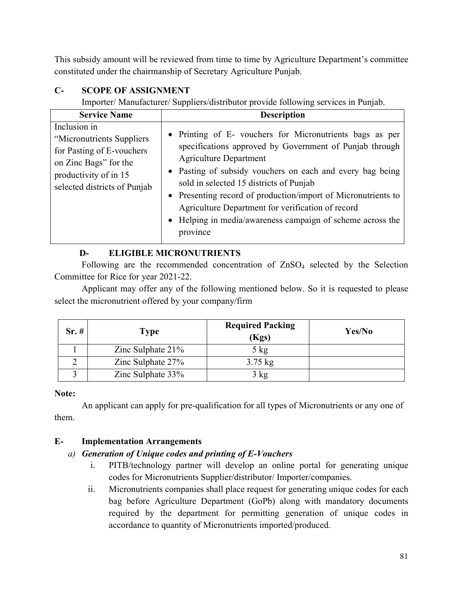This subsidy amount will be reviewed from time to time by Agriculture Department's committee constituted under the chairmanship of Secretary Agriculture Punjab.

### **C- SCOPE OF ASSIGNMENT**

Importer/ Manufacturer/ Suppliers/distributor provide following services in Punjab.

| <b>Service Name</b>                                                                                                                                      | <b>Description</b>                                                                                                                                                                                                                                                                                                                                                                                                                                           |
|----------------------------------------------------------------------------------------------------------------------------------------------------------|--------------------------------------------------------------------------------------------------------------------------------------------------------------------------------------------------------------------------------------------------------------------------------------------------------------------------------------------------------------------------------------------------------------------------------------------------------------|
| Inclusion in<br>"Micronutrients Suppliers<br>for Pasting of E-vouchers<br>on Zinc Bags" for the<br>productivity of in 15<br>selected districts of Punjab | • Printing of E- vouchers for Micronutrients bags as per<br>specifications approved by Government of Punjab through<br><b>Agriculture Department</b><br>• Pasting of subsidy vouchers on each and every bag being<br>sold in selected 15 districts of Punjab<br>• Presenting record of production/import of Micronutrients to<br>Agriculture Department for verification of record<br>• Helping in media/awareness campaign of scheme across the<br>province |

### **D- ELIGIBLE MICRONUTRIENTS**

Following are the recommended concentration of  $ZnSO<sub>4</sub>$  selected by the Selection Committee for Rice for year 2021-22.

Applicant may offer any of the following mentioned below. So it is requested to please select the micronutrient offered by your company/firm

| Sr.# | <b>Type</b>          | <b>Required Packing</b><br>(Kgs) | Yes/No |
|------|----------------------|----------------------------------|--------|
|      | Zinc Sulphate $21\%$ | $5 \text{ kg}$                   |        |
|      | Zinc Sulphate 27%    | $3.75 \text{ kg}$                |        |
|      | Zinc Sulphate 33%    | 3 kg                             |        |

### **Note:**

An applicant can apply for pre-qualification for all types of Micronutrients or any one of them.

### **E- Implementation Arrangements**

### *a) Generation of Unique codes and printing of E-Vouchers*

- i. PITB/technology partner will develop an online portal for generating unique codes for Micronutrients Supplier/distributor/ Importer/companies.
- ii. Micronutrients companies shall place request for generating unique codes for each bag before Agriculture Department (GoPb) along with mandatory documents required by the department for permitting generation of unique codes in accordance to quantity of Micronutrients imported/produced.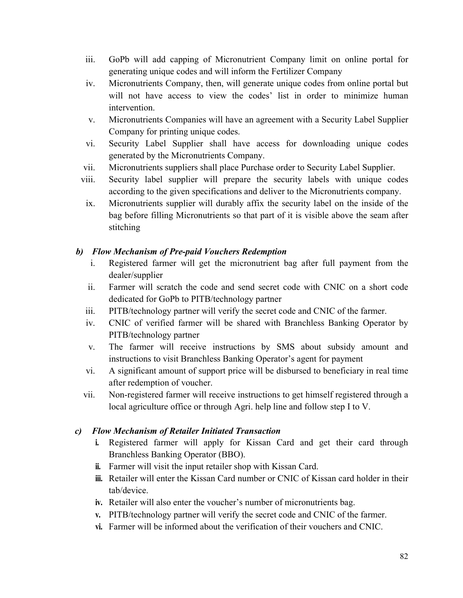- iii. GoPb will add capping of Micronutrient Company limit on online portal for generating unique codes and will inform the Fertilizer Company
- iv. Micronutrients Company, then, will generate unique codes from online portal but will not have access to view the codes' list in order to minimize human intervention.
- v. Micronutrients Companies will have an agreement with a Security Label Supplier Company for printing unique codes.
- vi. Security Label Supplier shall have access for downloading unique codes generated by the Micronutrients Company.
- vii. Micronutrients suppliers shall place Purchase order to Security Label Supplier.
- viii. Security label supplier will prepare the security labels with unique codes according to the given specifications and deliver to the Micronutrients company.
- ix. Micronutrients supplier will durably affix the security label on the inside of the bag before filling Micronutrients so that part of it is visible above the seam after stitching

### *b) Flow Mechanism of Pre-paid Vouchers Redemption*

- i. Registered farmer will get the micronutrient bag after full payment from the dealer/supplier
- ii. Farmer will scratch the code and send secret code with CNIC on a short code dedicated for GoPb to PITB/technology partner
- iii. PITB/technology partner will verify the secret code and CNIC of the farmer.
- iv. CNIC of verified farmer will be shared with Branchless Banking Operator by PITB/technology partner
- v. The farmer will receive instructions by SMS about subsidy amount and instructions to visit Branchless Banking Operator's agent for payment
- vi. A significant amount of support price will be disbursed to beneficiary in real time after redemption of voucher.
- vii. Non-registered farmer will receive instructions to get himself registered through a local agriculture office or through Agri. help line and follow step I to V.

### *c) Flow Mechanism of Retailer Initiated Transaction*

- **i.** Registered farmer will apply for Kissan Card and get their card through Branchless Banking Operator (BBO).
- **ii.** Farmer will visit the input retailer shop with Kissan Card.
- **iii.** Retailer will enter the Kissan Card number or CNIC of Kissan card holder in their tab/device.
- **iv.** Retailer will also enter the voucher's number of micronutrients bag.
- **v.** PITB/technology partner will verify the secret code and CNIC of the farmer.
- **vi.** Farmer will be informed about the verification of their vouchers and CNIC.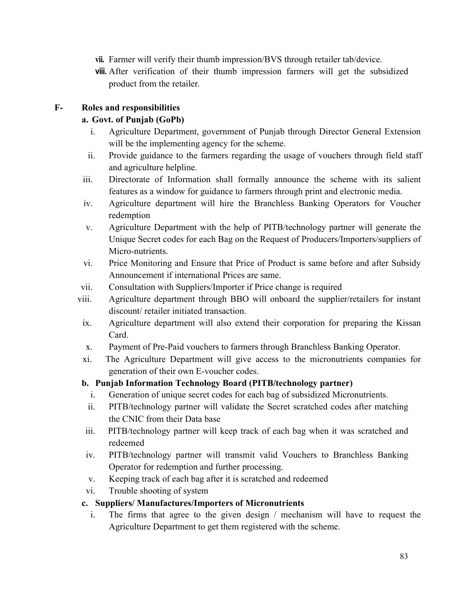- **vii.** Farmer will verify their thumb impression/BVS through retailer tab/device.
- **viii.** After verification of their thumb impression farmers will get the subsidized product from the retailer.

### **F- Roles and responsibilities**

### **a. Govt. of Punjab (GoPb)**

- i. Agriculture Department, government of Punjab through Director General Extension will be the implementing agency for the scheme.
- ii. Provide guidance to the farmers regarding the usage of vouchers through field staff and agriculture helpline.
- iii. Directorate of Information shall formally announce the scheme with its salient features as a window for guidance to farmers through print and electronic media.
- iv. Agriculture department will hire the Branchless Banking Operators for Voucher redemption
- v. Agriculture Department with the help of PITB/technology partner will generate the Unique Secret codes for each Bag on the Request of Producers/Importers/suppliers of Micro-nutrients.
- vi. Price Monitoring and Ensure that Price of Product is same before and after Subsidy Announcement if international Prices are same.
- vii. Consultation with Suppliers/Importer if Price change is required
- viii. Agriculture department through BBO will onboard the supplier/retailers for instant discount/ retailer initiated transaction.
- ix. Agriculture department will also extend their corporation for preparing the Kissan Card.
- x. Payment of Pre-Paid vouchers to farmers through Branchless Banking Operator.
- xi. The Agriculture Department will give access to the micronutrients companies for generation of their own E-voucher codes.

### **b. Punjab Information Technology Board (PITB/technology partner)**

- i. Generation of unique secret codes for each bag of subsidized Micronutrients.
- ii. PITB/technology partner will validate the Secret scratched codes after matching the CNIC from their Data base
- iii. PITB/technology partner will keep track of each bag when it was scratched and redeemed
- iv. PITB/technology partner will transmit valid Vouchers to Branchless Banking Operator for redemption and further processing.
- v. Keeping track of each bag after it is scratched and redeemed
- vi. Trouble shooting of system

#### **c. Suppliers/ Manufactures/Importers of Micronutrients**

i. The firms that agree to the given design / mechanism will have to request the Agriculture Department to get them registered with the scheme.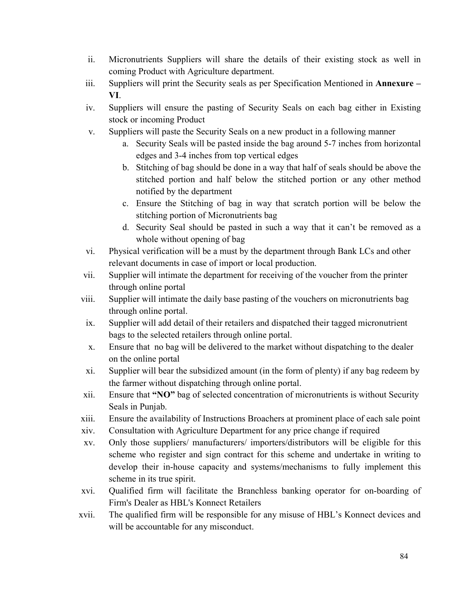- ii. Micronutrients Suppliers will share the details of their existing stock as well in coming Product with Agriculture department.
- iii. Suppliers will print the Security seals as per Specification Mentioned in **Annexure – VI**.
- iv. Suppliers will ensure the pasting of Security Seals on each bag either in Existing stock or incoming Product
- v. Suppliers will paste the Security Seals on a new product in a following manner
	- a. Security Seals will be pasted inside the bag around 5-7 inches from horizontal edges and 3-4 inches from top vertical edges
	- b. Stitching of bag should be done in a way that half of seals should be above the stitched portion and half below the stitched portion or any other method notified by the department
	- c. Ensure the Stitching of bag in way that scratch portion will be below the stitching portion of Micronutrients bag
	- d. Security Seal should be pasted in such a way that it can't be removed as a whole without opening of bag
- vi. Physical verification will be a must by the department through Bank LCs and other relevant documents in case of import or local production.
- vii. Supplier will intimate the department for receiving of the voucher from the printer through online portal
- viii. Supplier will intimate the daily base pasting of the vouchers on micronutrients bag through online portal.
- ix. Supplier will add detail of their retailers and dispatched their tagged micronutrient bags to the selected retailers through online portal.
- x. Ensure that no bag will be delivered to the market without dispatching to the dealer on the online portal
- xi. Supplier will bear the subsidized amount (in the form of plenty) if any bag redeem by the farmer without dispatching through online portal.
- xii. Ensure that **"NO"** bag of selected concentration of micronutrients is without Security Seals in Punjab.
- xiii. Ensure the availability of Instructions Broachers at prominent place of each sale point
- xiv. Consultation with Agriculture Department for any price change if required
- xv. Only those suppliers/ manufacturers/ importers/distributors will be eligible for this scheme who register and sign contract for this scheme and undertake in writing to develop their in-house capacity and systems/mechanisms to fully implement this scheme in its true spirit.
- xvi. Qualified firm will facilitate the Branchless banking operator for on-boarding of Firm's Dealer as HBL's Konnect Retailers
- xvii. The qualified firm will be responsible for any misuse of HBL's Konnect devices and will be accountable for any misconduct.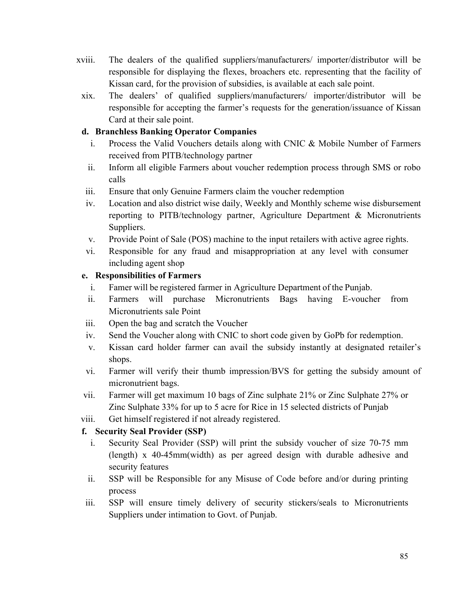- xviii. The dealers of the qualified suppliers/manufacturers/ importer/distributor will be responsible for displaying the flexes, broachers etc. representing that the facility of Kissan card, for the provision of subsidies, is available at each sale point.
- xix. The dealers' of qualified suppliers/manufacturers/ importer/distributor will be responsible for accepting the farmer's requests for the generation/issuance of Kissan Card at their sale point.

### **d. Branchless Banking Operator Companies**

- i. Process the Valid Vouchers details along with CNIC & Mobile Number of Farmers received from PITB/technology partner
- ii. Inform all eligible Farmers about voucher redemption process through SMS or robo calls
- iii. Ensure that only Genuine Farmers claim the voucher redemption
- iv. Location and also district wise daily, Weekly and Monthly scheme wise disbursement reporting to PITB/technology partner, Agriculture Department & Micronutrients Suppliers.
- v. Provide Point of Sale (POS) machine to the input retailers with active agree rights.
- vi. Responsible for any fraud and misappropriation at any level with consumer including agent shop

### **e. Responsibilities of Farmers**

- i. Famer will be registered farmer in Agriculture Department of the Punjab.
- ii. Farmers will purchase Micronutrients Bags having E-voucher from Micronutrients sale Point
- iii. Open the bag and scratch the Voucher
- iv. Send the Voucher along with CNIC to short code given by GoPb for redemption.
- v. Kissan card holder farmer can avail the subsidy instantly at designated retailer's shops.
- vi. Farmer will verify their thumb impression/BVS for getting the subsidy amount of micronutrient bags.
- vii. Farmer will get maximum 10 bags of Zinc sulphate 21% or Zinc Sulphate 27% or Zinc Sulphate 33% for up to 5 acre for Rice in 15 selected districts of Punjab
- viii. Get himself registered if not already registered.

### **f. Security Seal Provider (SSP)**

- i. Security Seal Provider (SSP) will print the subsidy voucher of size 70-75 mm (length) x 40-45mm(width) as per agreed design with durable adhesive and security features
- ii. SSP will be Responsible for any Misuse of Code before and/or during printing process
- iii. SSP will ensure timely delivery of security stickers/seals to Micronutrients Suppliers under intimation to Govt. of Punjab.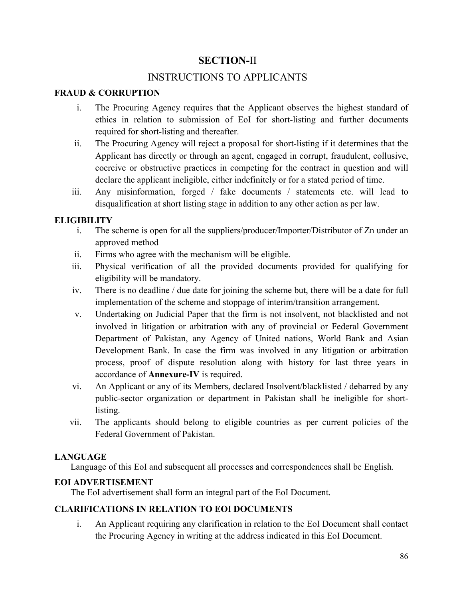### **SECTION-**II

### INSTRUCTIONS TO APPLICANTS

### **FRAUD & CORRUPTION**

- i. The Procuring Agency requires that the Applicant observes the highest standard of ethics in relation to submission of EoI for short-listing and further documents required for short-listing and thereafter.
- ii. The Procuring Agency will reject a proposal for short-listing if it determines that the Applicant has directly or through an agent, engaged in corrupt, fraudulent, collusive, coercive or obstructive practices in competing for the contract in question and will declare the applicant ineligible, either indefinitely or for a stated period of time.
- iii. Any misinformation, forged / fake documents / statements etc. will lead to disqualification at short listing stage in addition to any other action as per law.

### **ELIGIBILITY**

- i. The scheme is open for all the suppliers/producer/Importer/Distributor of Zn under an approved method
- ii. Firms who agree with the mechanism will be eligible.
- iii. Physical verification of all the provided documents provided for qualifying for eligibility will be mandatory.
- iv. There is no deadline / due date for joining the scheme but, there will be a date for full implementation of the scheme and stoppage of interim/transition arrangement.
- v. Undertaking on Judicial Paper that the firm is not insolvent, not blacklisted and not involved in litigation or arbitration with any of provincial or Federal Government Department of Pakistan, any Agency of United nations, World Bank and Asian Development Bank. In case the firm was involved in any litigation or arbitration process, proof of dispute resolution along with history for last three years in accordance of **Annexure-IV** is required.
- vi. An Applicant or any of its Members, declared Insolvent/blacklisted / debarred by any public-sector organization or department in Pakistan shall be ineligible for shortlisting.
- vii. The applicants should belong to eligible countries as per current policies of the Federal Government of Pakistan.

### **LANGUAGE**

Language of this EoI and subsequent all processes and correspondences shall be English.

### **EOI ADVERTISEMENT**

The EoI advertisement shall form an integral part of the EoI Document.

#### **CLARIFICATIONS IN RELATION TO EOI DOCUMENTS**

i. An Applicant requiring any clarification in relation to the EoI Document shall contact the Procuring Agency in writing at the address indicated in this EoI Document.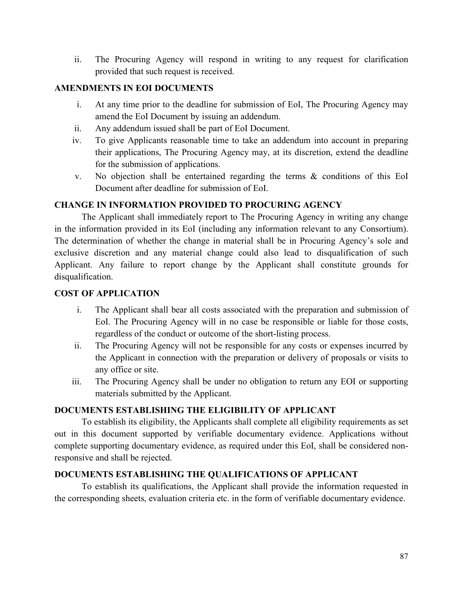ii. The Procuring Agency will respond in writing to any request for clarification provided that such request is received.

### **AMENDMENTS IN EOI DOCUMENTS**

- i. At any time prior to the deadline for submission of EoI, The Procuring Agency may amend the EoI Document by issuing an addendum.
- ii. Any addendum issued shall be part of EoI Document.
- iv. To give Applicants reasonable time to take an addendum into account in preparing their applications, The Procuring Agency may, at its discretion, extend the deadline for the submission of applications.
- v. No objection shall be entertained regarding the terms & conditions of this EoI Document after deadline for submission of EoI.

### **CHANGE IN INFORMATION PROVIDED TO PROCURING AGENCY**

The Applicant shall immediately report to The Procuring Agency in writing any change in the information provided in its EoI (including any information relevant to any Consortium). The determination of whether the change in material shall be in Procuring Agency's sole and exclusive discretion and any material change could also lead to disqualification of such Applicant. Any failure to report change by the Applicant shall constitute grounds for disqualification.

#### **COST OF APPLICATION**

- i. The Applicant shall bear all costs associated with the preparation and submission of EoI. The Procuring Agency will in no case be responsible or liable for those costs, regardless of the conduct or outcome of the short-listing process.
- ii. The Procuring Agency will not be responsible for any costs or expenses incurred by the Applicant in connection with the preparation or delivery of proposals or visits to any office or site.
- iii. The Procuring Agency shall be under no obligation to return any EOI or supporting materials submitted by the Applicant.

#### **DOCUMENTS ESTABLISHING THE ELIGIBILITY OF APPLICANT**

To establish its eligibility, the Applicants shall complete all eligibility requirements as set out in this document supported by verifiable documentary evidence. Applications without complete supporting documentary evidence, as required under this EoI, shall be considered nonresponsive and shall be rejected.

#### **DOCUMENTS ESTABLISHING THE QUALIFICATIONS OF APPLICANT**

To establish its qualifications, the Applicant shall provide the information requested in the corresponding sheets, evaluation criteria etc. in the form of verifiable documentary evidence.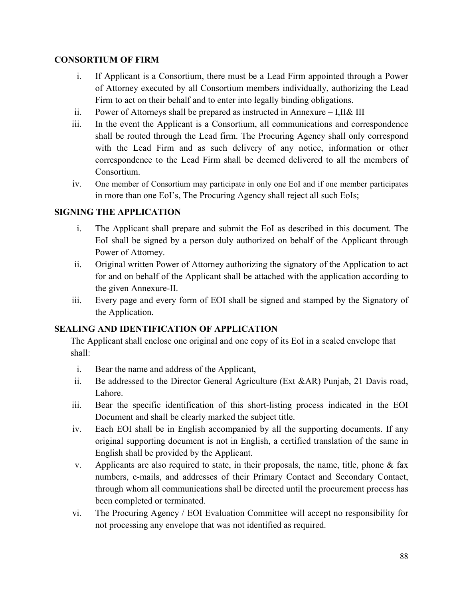#### **CONSORTIUM OF FIRM**

- i. If Applicant is a Consortium, there must be a Lead Firm appointed through a Power of Attorney executed by all Consortium members individually, authorizing the Lead Firm to act on their behalf and to enter into legally binding obligations.
- ii. Power of Attorneys shall be prepared as instructed in Annexure I,II& III
- iii. In the event the Applicant is a Consortium, all communications and correspondence shall be routed through the Lead firm. The Procuring Agency shall only correspond with the Lead Firm and as such delivery of any notice, information or other correspondence to the Lead Firm shall be deemed delivered to all the members of Consortium.
- iv. One member of Consortium may participate in only one EoI and if one member participates in more than one EoI's, The Procuring Agency shall reject all such EoIs;

### **SIGNING THE APPLICATION**

- i. The Applicant shall prepare and submit the EoI as described in this document. The EoI shall be signed by a person duly authorized on behalf of the Applicant through Power of Attorney.
- ii. Original written Power of Attorney authorizing the signatory of the Application to act for and on behalf of the Applicant shall be attached with the application according to the given Annexure-II.
- iii. Every page and every form of EOI shall be signed and stamped by the Signatory of the Application.

#### **SEALING AND IDENTIFICATION OF APPLICATION**

The Applicant shall enclose one original and one copy of its EoI in a sealed envelope that shall:

- i. Bear the name and address of the Applicant,
- ii. Be addressed to the Director General Agriculture (Ext &AR) Punjab, 21 Davis road, Lahore.
- iii. Bear the specific identification of this short-listing process indicated in the EOI Document and shall be clearly marked the subject title.
- iv. Each EOI shall be in English accompanied by all the supporting documents. If any original supporting document is not in English, a certified translation of the same in English shall be provided by the Applicant.
- v. Applicants are also required to state, in their proposals, the name, title, phone & fax numbers, e-mails, and addresses of their Primary Contact and Secondary Contact, through whom all communications shall be directed until the procurement process has been completed or terminated.
- vi. The Procuring Agency / EOI Evaluation Committee will accept no responsibility for not processing any envelope that was not identified as required.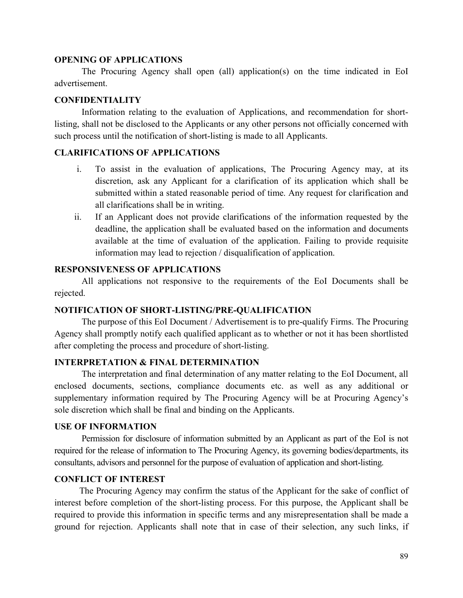#### **OPENING OF APPLICATIONS**

The Procuring Agency shall open (all) application(s) on the time indicated in EoI advertisement.

#### **CONFIDENTIALITY**

Information relating to the evaluation of Applications, and recommendation for shortlisting, shall not be disclosed to the Applicants or any other persons not officially concerned with such process until the notification of short-listing is made to all Applicants.

#### **CLARIFICATIONS OF APPLICATIONS**

- i. To assist in the evaluation of applications, The Procuring Agency may, at its discretion, ask any Applicant for a clarification of its application which shall be submitted within a stated reasonable period of time. Any request for clarification and all clarifications shall be in writing.
- ii. If an Applicant does not provide clarifications of the information requested by the deadline, the application shall be evaluated based on the information and documents available at the time of evaluation of the application. Failing to provide requisite information may lead to rejection / disqualification of application.

#### **RESPONSIVENESS OF APPLICATIONS**

All applications not responsive to the requirements of the EoI Documents shall be rejected.

#### **NOTIFICATION OF SHORT-LISTING/PRE-QUALIFICATION**

The purpose of this EoI Document / Advertisement is to pre-qualify Firms. The Procuring Agency shall promptly notify each qualified applicant as to whether or not it has been shortlisted after completing the process and procedure of short-listing.

#### **INTERPRETATION & FINAL DETERMINATION**

The interpretation and final determination of any matter relating to the EoI Document, all enclosed documents, sections, compliance documents etc. as well as any additional or supplementary information required by The Procuring Agency will be at Procuring Agency's sole discretion which shall be final and binding on the Applicants.

#### **USE OF INFORMATION**

Permission for disclosure of information submitted by an Applicant as part of the EoI is not required for the release of information to The Procuring Agency, its governing bodies/departments, its consultants, advisors and personnel for the purpose of evaluation of application and short-listing.

#### **CONFLICT OF INTEREST**

The Procuring Agency may confirm the status of the Applicant for the sake of conflict of interest before completion of the short-listing process. For this purpose, the Applicant shall be required to provide this information in specific terms and any misrepresentation shall be made a ground for rejection. Applicants shall note that in case of their selection, any such links, if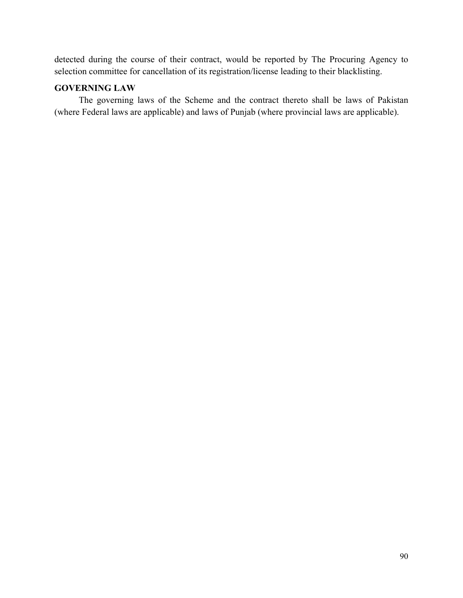detected during the course of their contract, would be reported by The Procuring Agency to selection committee for cancellation of its registration/license leading to their blacklisting.

### **GOVERNING LAW**

The governing laws of the Scheme and the contract thereto shall be laws of Pakistan (where Federal laws are applicable) and laws of Punjab (where provincial laws are applicable).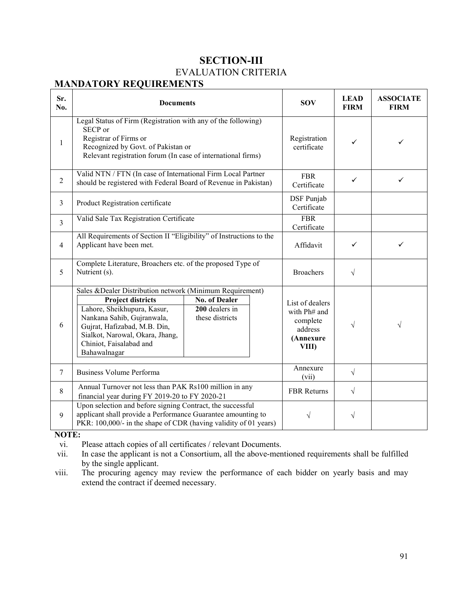### **SECTION-III**  EVALUATION CRITERIA

### **MANDATORY REQUIREMENTS**

| Sr.<br>No.     | <b>Documents</b>                                                                                                                                                                                                                                                 | <b>SOV</b>                                                | <b>LEAD</b><br><b>FIRM</b>                                                   | <b>ASSOCIATE</b><br><b>FIRM</b> |           |
|----------------|------------------------------------------------------------------------------------------------------------------------------------------------------------------------------------------------------------------------------------------------------------------|-----------------------------------------------------------|------------------------------------------------------------------------------|---------------------------------|-----------|
| 1              | Legal Status of Firm (Registration with any of the following)<br>SECP or<br>Registrar of Firms or<br>Recognized by Govt. of Pakistan or<br>Relevant registration forum (In case of international firms)                                                          |                                                           | Registration<br>certificate                                                  | ✓                               | ✓         |
| $\overline{2}$ | Valid NTN / FTN (In case of International Firm Local Partner<br>should be registered with Federal Board of Revenue in Pakistan)                                                                                                                                  |                                                           | <b>FBR</b><br>Certificate                                                    | ✓                               | ✓         |
| 3              | Product Registration certificate                                                                                                                                                                                                                                 |                                                           | DSF Punjab<br>Certificate                                                    |                                 |           |
| $\overline{3}$ | Valid Sale Tax Registration Certificate                                                                                                                                                                                                                          |                                                           | <b>FBR</b><br>Certificate                                                    |                                 |           |
| $\overline{4}$ | All Requirements of Section II "Eligibility" of Instructions to the<br>Applicant have been met.                                                                                                                                                                  |                                                           | Affidavit                                                                    | ✓                               | ✓         |
| 5              | Complete Literature, Broachers etc. of the proposed Type of<br>Nutrient (s).                                                                                                                                                                                     |                                                           | <b>Broachers</b>                                                             | $\sqrt{}$                       |           |
| 6              | Sales & Dealer Distribution network (Minimum Requirement)<br><b>Project districts</b><br>Lahore, Sheikhupura, Kasur,<br>Nankana Sahib, Gujranwala,<br>Gujrat, Hafizabad, M.B. Din,<br>Sialkot, Narowal, Okara, Jhang,<br>Chiniot, Faisalabad and<br>Bahawalnagar | <b>No. of Dealer</b><br>200 dealers in<br>these districts | List of dealers<br>with Ph# and<br>complete<br>address<br>(Annexure<br>VIII) | V                               | $\sqrt{}$ |
| $\tau$         | <b>Business Volume Performa</b>                                                                                                                                                                                                                                  |                                                           | Annexure<br>(vii)                                                            | $\sqrt{}$                       |           |
| 8              | Annual Turnover not less than PAK Rs100 million in any<br>financial year during FY 2019-20 to FY 2020-21                                                                                                                                                         |                                                           | FBR Returns                                                                  | $\sqrt{}$                       |           |
| 9              | Upon selection and before signing Contract, the successful<br>applicant shall provide a Performance Guarantee amounting to<br>PKR: 100,000/- in the shape of CDR (having validity of 01 years)                                                                   |                                                           | V                                                                            | V                               |           |

**NOTE:**<br>vi. ]

vi. Please attach copies of all certificates / relevant Documents.<br>vii. In case the applicant is not a Consortium, all the above-men

In case the applicant is not a Consortium, all the above-mentioned requirements shall be fulfilled by the single applicant.

viii. The procuring agency may review the performance of each bidder on yearly basis and may extend the contract if deemed necessary.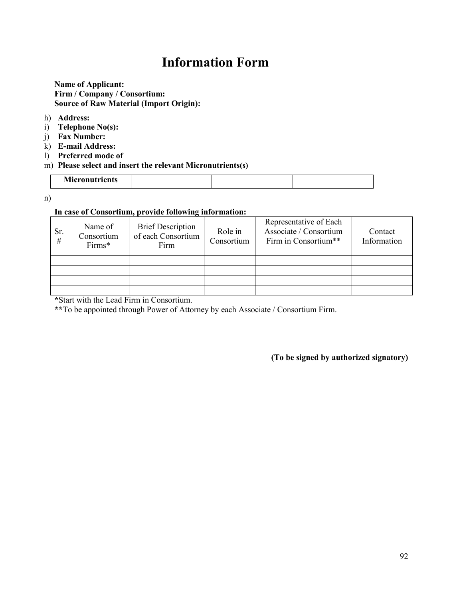# **Information Form**

#### **Name of Applicant: Firm / Company / Consortium: Source of Raw Material (Import Origin):**

#### h) **Address:**

- i) **Telephone No(s):**
- j) **Fax Number:**
- k) **E-mail Address:**
- l) **Preferred mode of**

#### m) **Please select and insert the relevant Micronutrients(s)**

| <b>Micronutrients</b> |  |  |
|-----------------------|--|--|
|                       |  |  |

n)

#### **In case of Consortium, provide following information:**

| Sr.<br># | Name of<br>Consortium<br>Firms* | <b>Brief Description</b><br>of each Consortium<br>Firm | Role in<br>Consortium | Representative of Each<br>Associate / Consortium<br>Firm in Consortium** | Contact<br>Information |
|----------|---------------------------------|--------------------------------------------------------|-----------------------|--------------------------------------------------------------------------|------------------------|
|          |                                 |                                                        |                       |                                                                          |                        |
|          |                                 |                                                        |                       |                                                                          |                        |
|          |                                 |                                                        |                       |                                                                          |                        |
|          |                                 |                                                        |                       |                                                                          |                        |

**\***Start with the Lead Firm in Consortium.

**\*\***To be appointed through Power of Attorney by each Associate / Consortium Firm.

**(To be signed by authorized signatory)**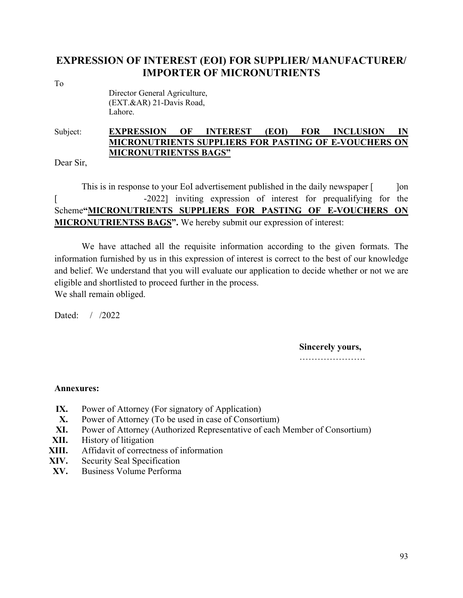### **EXPRESSION OF INTEREST (EOI) FOR SUPPLIER/ MANUFACTURER/ IMPORTER OF MICRONUTRIENTS**

To

 Director General Agriculture, (EXT.&AR) 21-Davis Road, Lahore.

### Subject: **EXPRESSION OF INTEREST (EOI) FOR INCLUSION IN MICRONUTRIENTS SUPPLIERS FOR PASTING OF E-VOUCHERS ON MICRONUTRIENTSS BAGS"**

Dear Sir,

This is in response to your EoI advertisement published in the daily newspaper [ ] [on [ -2022] inviting expression of interest for prequalifying for the Scheme**"MICRONUTRIENTS SUPPLIERS FOR PASTING OF E-VOUCHERS ON MICRONUTRIENTSS BAGS".** We hereby submit our expression of interest:

We have attached all the requisite information according to the given formats. The information furnished by us in this expression of interest is correct to the best of our knowledge and belief. We understand that you will evaluate our application to decide whether or not we are eligible and shortlisted to proceed further in the process. We shall remain obliged.

Dated: / /2022

**Sincerely yours,**

………………………

#### **Annexures:**

- **IX.** Power of Attorney (For signatory of Application)
- **X.** Power of Attorney (To be used in case of Consortium)
- **XI.** Power of Attorney (Authorized Representative of each Member of Consortium)
- **XII.** History of litigation
- **XIII.** Affidavit of correctness of information
- **XIV.** Security Seal Specification
- **XV.** Business Volume Performa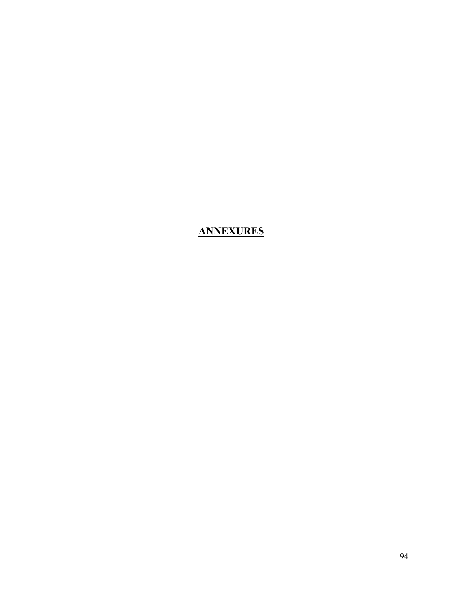**ANNEXURES**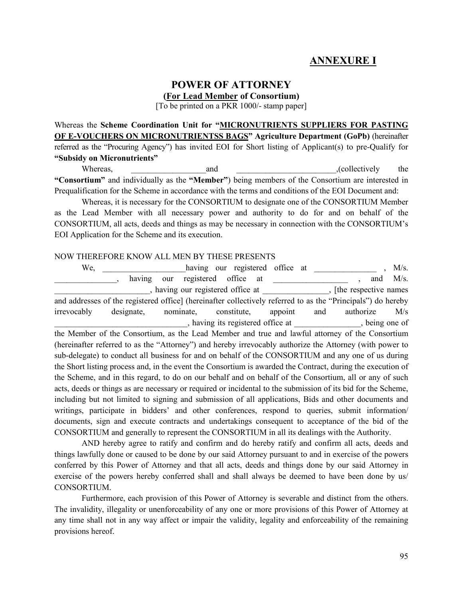## **ANNEXURE I**

#### **POWER OF ATTORNEY (For Lead Member of Consortium)**

[To be printed on a PKR 1000/- stamp paper]

Whereas the **Scheme Coordination Unit for "MICRONUTRIENTS SUPPLIERS FOR PASTING OF E-VOUCHERS ON MICRONUTRIENTSS BAGS" Agriculture Department (GoPb)** (hereinafter referred as the "Procuring Agency") has invited EOI for Short listing of Applicant(s) to pre-Qualify for **"Subsidy on Micronutrients"**

Whereas, and and the collectively the setting of the setting and the setting of the setting of the setting of the setting of the setting of the setting of the setting of the setting of the setting of the setting of the set **"Consortium"** and individually as the **"Member"**) being members of the Consortium are interested in Prequalification for the Scheme in accordance with the terms and conditions of the EOI Document and:

Whereas, it is necessary for the CONSORTIUM to designate one of the CONSORTIUM Member as the Lead Member with all necessary power and authority to do for and on behalf of the CONSORTIUM, all acts, deeds and things as may be necessary in connection with the CONSORTIUM's EOI Application for the Scheme and its execution.

#### NOW THEREFORE KNOW ALL MEN BY THESE PRESENTS

| We,                                                                                                           |            |           | having our registered office at                                       |         |     |           | M/s. |
|---------------------------------------------------------------------------------------------------------------|------------|-----------|-----------------------------------------------------------------------|---------|-----|-----------|------|
|                                                                                                               | having     | our       | registered office<br>at                                               |         |     | and       | M/s. |
|                                                                                                               |            |           | having our registered office at ______________, [the respective names |         |     |           |      |
| and addresses of the registered office] (hereinafter collectively referred to as the "Principals") do hereby  |            |           |                                                                       |         |     |           |      |
| irrevocably                                                                                                   | designate, | nominate, | constitute,                                                           | appoint | and | authorize | M/s  |
|                                                                                                               |            |           | having its registered office at _____________, being one of           |         |     |           |      |
| the Member of the Consortium, as the Lead Member and true and lawful attorney of the Consortium               |            |           |                                                                       |         |     |           |      |
| (hereinafter referred to as the "Attorney") and hereby irrevocably authorize the Attorney (with power to      |            |           |                                                                       |         |     |           |      |
| sub-delegate) to conduct all business for and on behalf of the CONSORTIUM and any one of us during            |            |           |                                                                       |         |     |           |      |
| the Short listing process and, in the event the Consortium is awarded the Contract, during the execution of   |            |           |                                                                       |         |     |           |      |
| the Scheme, and in this regard, to do on our behalf and on behalf of the Consortium, all or any of such       |            |           |                                                                       |         |     |           |      |
| acts, deeds or things as are necessary or required or incidental to the submission of its bid for the Scheme, |            |           |                                                                       |         |     |           |      |
| including but not limited to signing and submission of all applications, Bids and other documents and         |            |           |                                                                       |         |     |           |      |
| writings, participate in bidders' and other conferences, respond to queries, submit information/              |            |           |                                                                       |         |     |           |      |
| documents, sign and execute contracts and undertakings consequent to acceptance of the bid of the             |            |           |                                                                       |         |     |           |      |
| CONSORTIUM and generally to represent the CONSORTIUM in all its dealings with the Authority.                  |            |           |                                                                       |         |     |           |      |

AND hereby agree to ratify and confirm and do hereby ratify and confirm all acts, deeds and things lawfully done or caused to be done by our said Attorney pursuant to and in exercise of the powers conferred by this Power of Attorney and that all acts, deeds and things done by our said Attorney in exercise of the powers hereby conferred shall and shall always be deemed to have been done by us/ CONSORTIUM.

Furthermore, each provision of this Power of Attorney is severable and distinct from the others. The invalidity, illegality or unenforceability of any one or more provisions of this Power of Attorney at any time shall not in any way affect or impair the validity, legality and enforceability of the remaining provisions hereof.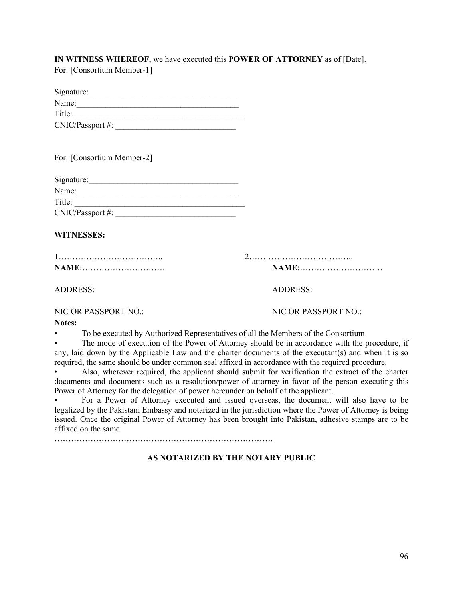#### **IN WITNESS WHEREOF**, we have executed this **POWER OF ATTORNEY** as of [Date]. For: [Consortium Member-1]

| Signature:       |  |
|------------------|--|
| Name:            |  |
| Title:           |  |
| CNIC/Passport #: |  |

For: [Consortium Member-2]

| Signature:       |  |
|------------------|--|
| Name:            |  |
| Title:           |  |
| CNIC/Passport #: |  |

#### **WITNESSES:**

| <b>NAME:</b> |  |
|--------------|--|

1……………………………….. 2………………………………..

**NAME**:………………………… **NAME**:…………………………

ADDRESS: ADDRESS:

NIC OR PASSPORT NO.: NIC OR PASSPORT NO.:

**Notes:** 

• To be executed by Authorized Representatives of all the Members of the Consortium

The mode of execution of the Power of Attorney should be in accordance with the procedure, if any, laid down by the Applicable Law and the charter documents of the executant(s) and when it is so required, the same should be under common seal affixed in accordance with the required procedure.

• Also, wherever required, the applicant should submit for verification the extract of the charter documents and documents such as a resolution/power of attorney in favor of the person executing this Power of Attorney for the delegation of power hereunder on behalf of the applicant.

• For a Power of Attorney executed and issued overseas, the document will also have to be legalized by the Pakistani Embassy and notarized in the jurisdiction where the Power of Attorney is being issued. Once the original Power of Attorney has been brought into Pakistan, adhesive stamps are to be affixed on the same.

**…………………………………………………………………….**

#### **AS NOTARIZED BY THE NOTARY PUBLIC**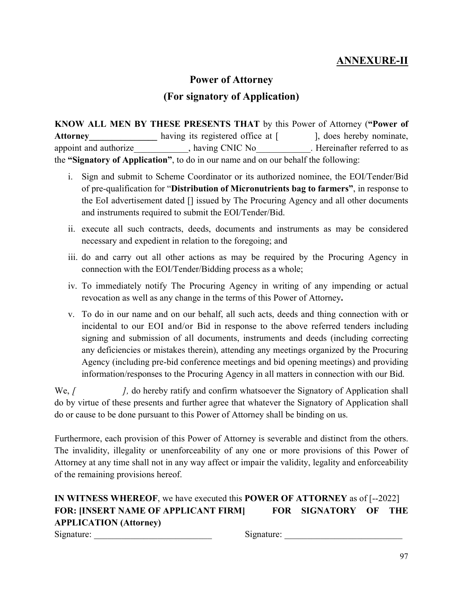## **ANNEXURE-II**

# **Power of Attorney (For signatory of Application)**

**KNOW ALL MEN BY THESE PRESENTS THAT** by this Power of Attorney (**"Power of**  Attorney having its registered office at [ ], does hereby nominate, appoint and authorize\_\_\_\_\_\_\_\_\_\_, having CNIC No\_\_\_\_\_\_\_\_\_. Hereinafter referred to as the **"Signatory of Application"**, to do in our name and on our behalf the following:

- i. Sign and submit to Scheme Coordinator or its authorized nominee, the EOI/Tender/Bid of pre-qualification for "**Distribution of Micronutrients bag to farmers"**, in response to the EoI advertisement dated [] issued by The Procuring Agency and all other documents and instruments required to submit the EOI/Tender/Bid.
- ii. execute all such contracts, deeds, documents and instruments as may be considered necessary and expedient in relation to the foregoing; and
- iii. do and carry out all other actions as may be required by the Procuring Agency in connection with the EOI/Tender/Bidding process as a whole;
- iv. To immediately notify The Procuring Agency in writing of any impending or actual revocation as well as any change in the terms of this Power of Attorney**.**
- v. To do in our name and on our behalf, all such acts, deeds and thing connection with or incidental to our EOI and/or Bid in response to the above referred tenders including signing and submission of all documents, instruments and deeds (including correcting any deficiencies or mistakes therein), attending any meetings organized by the Procuring Agency (including pre-bid conference meetings and bid opening meetings) and providing information/responses to the Procuring Agency in all matters in connection with our Bid.

We, *[*  $\blacksquare$  *]*, do hereby ratify and confirm whatsoever the Signatory of Application shall do by virtue of these presents and further agree that whatever the Signatory of Application shall do or cause to be done pursuant to this Power of Attorney shall be binding on us.

Furthermore, each provision of this Power of Attorney is severable and distinct from the others. The invalidity, illegality or unenforceability of any one or more provisions of this Power of Attorney at any time shall not in any way affect or impair the validity, legality and enforceability of the remaining provisions hereof.

### **IN WITNESS WHEREOF**, we have executed this **POWER OF ATTORNEY** as of [--2022] **FOR: [INSERT NAME OF APPLICANT FIRM] FOR SIGNATORY OF THE APPLICATION (Attorney)** Signature: \_\_\_\_\_\_\_\_\_\_\_\_\_\_\_\_\_\_\_\_\_\_\_\_\_\_ Signature: \_\_\_\_\_\_\_\_\_\_\_\_\_\_\_\_\_\_\_\_\_\_\_\_\_\_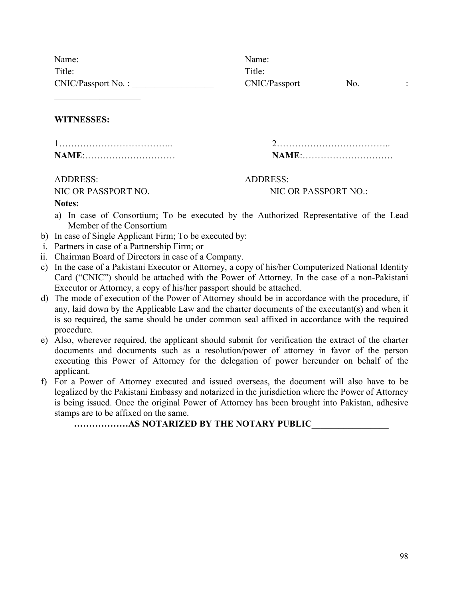| Name:              | Name:         |     |                |
|--------------------|---------------|-----|----------------|
| Title:             | Title:        |     |                |
| CNIC/Passport No.: | CNIC/Passport | No. | $\bullet$<br>٠ |

**WITNESSES:**

| <b>NAME</b> : |  |
|---------------|--|

ADDRESS: ADDRESS:

NIC OR PASSPORT NO. NIC OR PASSPORT NO.:

1……………………………….. 2……………………………….. **NAME**:………………………… **NAME**:…………………………

**Notes:** 

- a) In case of Consortium; To be executed by the Authorized Representative of the Lead Member of the Consortium
- b) In case of Single Applicant Firm; To be executed by:
- i. Partners in case of a Partnership Firm; or
- ii. Chairman Board of Directors in case of a Company.
- c) In the case of a Pakistani Executor or Attorney, a copy of his/her Computerized National Identity Card ("CNIC") should be attached with the Power of Attorney. In the case of a non-Pakistani Executor or Attorney, a copy of his/her passport should be attached.
- d) The mode of execution of the Power of Attorney should be in accordance with the procedure, if any, laid down by the Applicable Law and the charter documents of the executant(s) and when it is so required, the same should be under common seal affixed in accordance with the required procedure.
- e) Also, wherever required, the applicant should submit for verification the extract of the charter documents and documents such as a resolution/power of attorney in favor of the person executing this Power of Attorney for the delegation of power hereunder on behalf of the applicant.
- f) For a Power of Attorney executed and issued overseas, the document will also have to be legalized by the Pakistani Embassy and notarized in the jurisdiction where the Power of Attorney is being issued. Once the original Power of Attorney has been brought into Pakistan, adhesive stamps are to be affixed on the same.

**………………AS NOTARIZED BY THE NOTARY PUBLIC\_\_\_\_\_\_\_\_\_\_\_\_\_\_\_\_\_**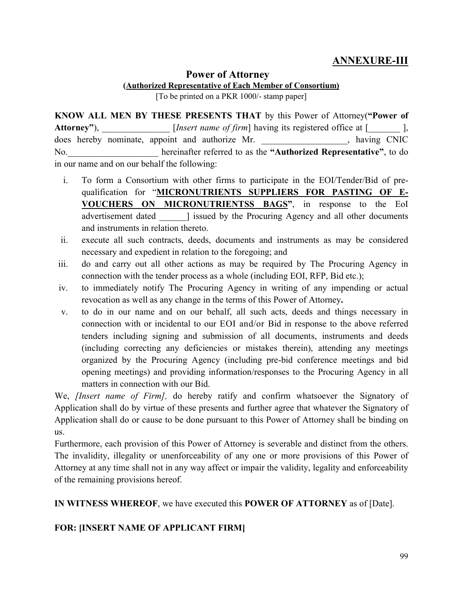### **ANNEXURE-III**

### **Power of Attorney**

**(Authorized Representative of Each Member of Consortium)**

[To be printed on a PKR 1000/- stamp paper]

**KNOW ALL MEN BY THESE PRESENTS THAT** by this Power of Attorney(**"Power of**  Attorney"),  $[Insert name of firm] having its registered office at [$ does hereby nominate, appoint and authorize Mr.  $\blacksquare$ , having CNIC No.\_\_\_\_\_\_\_\_\_\_\_\_\_\_\_\_\_\_\_\_ hereinafter referred to as the **"Authorized Representative"**, to do in our name and on our behalf the following:

- i. To form a Consortium with other firms to participate in the EOI/Tender/Bid of prequalification for "**MICRONUTRIENTS SUPPLIERS FOR PASTING OF E-VOUCHERS ON MICRONUTRIENTSS BAGS"**, in response to the EoI advertisement dated all issued by the Procuring Agency and all other documents and instruments in relation thereto.
- ii. execute all such contracts, deeds, documents and instruments as may be considered necessary and expedient in relation to the foregoing; and
- iii. do and carry out all other actions as may be required by The Procuring Agency in connection with the tender process as a whole (including EOI, RFP, Bid etc.);
- iv. to immediately notify The Procuring Agency in writing of any impending or actual revocation as well as any change in the terms of this Power of Attorney**.**
- v. to do in our name and on our behalf, all such acts, deeds and things necessary in connection with or incidental to our EOI and/or Bid in response to the above referred tenders including signing and submission of all documents, instruments and deeds (including correcting any deficiencies or mistakes therein), attending any meetings organized by the Procuring Agency (including pre-bid conference meetings and bid opening meetings) and providing information/responses to the Procuring Agency in all matters in connection with our Bid.

We, *[Insert name of Firm],* do hereby ratify and confirm whatsoever the Signatory of Application shall do by virtue of these presents and further agree that whatever the Signatory of Application shall do or cause to be done pursuant to this Power of Attorney shall be binding on us.

Furthermore, each provision of this Power of Attorney is severable and distinct from the others. The invalidity, illegality or unenforceability of any one or more provisions of this Power of Attorney at any time shall not in any way affect or impair the validity, legality and enforceability of the remaining provisions hereof.

**IN WITNESS WHEREOF**, we have executed this **POWER OF ATTORNEY** as of [Date].

#### **FOR: [INSERT NAME OF APPLICANT FIRM]**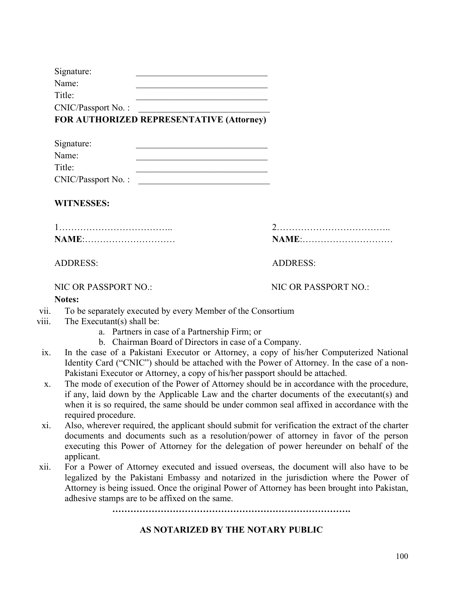| Signature:         |  |
|--------------------|--|
| Name:              |  |
| Title:             |  |
| CNIC/Passport No.: |  |

### **FOR AUTHORIZED REPRESENTATIVE (Attorney)**

| Signature:         |  |
|--------------------|--|
| Name:              |  |
| Title:             |  |
| CNIC/Passport No.: |  |

#### **WITNESSES:**

| NAME: |  |  |
|-------|--|--|

#### ADDRESS: ADDRESS:

NIC OR PASSPORT NO.: NIC OR PASSPORT NO.:

1……………………………….. 2……………………………….. **NAME**:………………………… **NAME**:…………………………

#### **Notes:**

- vii. To be separately executed by every Member of the Consortium
- viii. The Executant(s) shall be:
	- a. Partners in case of a Partnership Firm; or
	- b. Chairman Board of Directors in case of a Company.
- ix. In the case of a Pakistani Executor or Attorney, a copy of his/her Computerized National Identity Card ("CNIC") should be attached with the Power of Attorney. In the case of a non-Pakistani Executor or Attorney, a copy of his/her passport should be attached.
- x. The mode of execution of the Power of Attorney should be in accordance with the procedure, if any, laid down by the Applicable Law and the charter documents of the executant(s) and when it is so required, the same should be under common seal affixed in accordance with the required procedure.
- xi. Also, wherever required, the applicant should submit for verification the extract of the charter documents and documents such as a resolution/power of attorney in favor of the person executing this Power of Attorney for the delegation of power hereunder on behalf of the applicant.
- xii. For a Power of Attorney executed and issued overseas, the document will also have to be legalized by the Pakistani Embassy and notarized in the jurisdiction where the Power of Attorney is being issued. Once the original Power of Attorney has been brought into Pakistan, adhesive stamps are to be affixed on the same.

**…………………………………………………………………….**

#### **AS NOTARIZED BY THE NOTARY PUBLIC**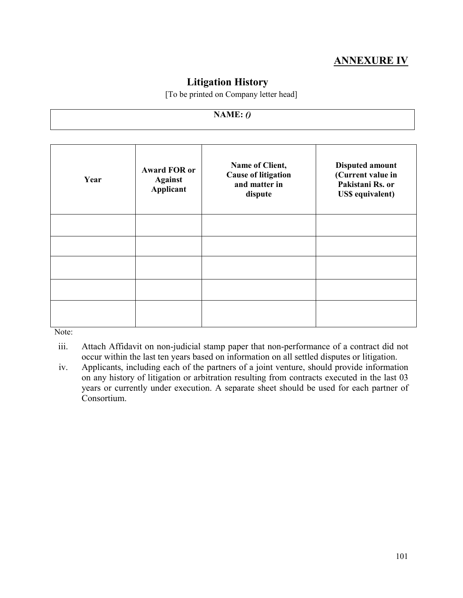# **ANNEXURE IV**

### **Litigation History**

[To be printed on Company letter head]

#### **NAME:** *()*

| Year | <b>Award FOR or</b><br><b>Against</b><br><b>Applicant</b> | Name of Client,<br><b>Cause of litigation</b><br>and matter in<br>dispute | <b>Disputed amount</b><br>(Current value in<br>Pakistani Rs. or<br><b>US\$</b> equivalent) |
|------|-----------------------------------------------------------|---------------------------------------------------------------------------|--------------------------------------------------------------------------------------------|
|      |                                                           |                                                                           |                                                                                            |
|      |                                                           |                                                                           |                                                                                            |
|      |                                                           |                                                                           |                                                                                            |
|      |                                                           |                                                                           |                                                                                            |
|      |                                                           |                                                                           |                                                                                            |

Note:

- iii. Attach Affidavit on non-judicial stamp paper that non-performance of a contract did not occur within the last ten years based on information on all settled disputes or litigation.
- iv. Applicants, including each of the partners of a joint venture, should provide information on any history of litigation or arbitration resulting from contracts executed in the last 03 years or currently under execution. A separate sheet should be used for each partner of Consortium.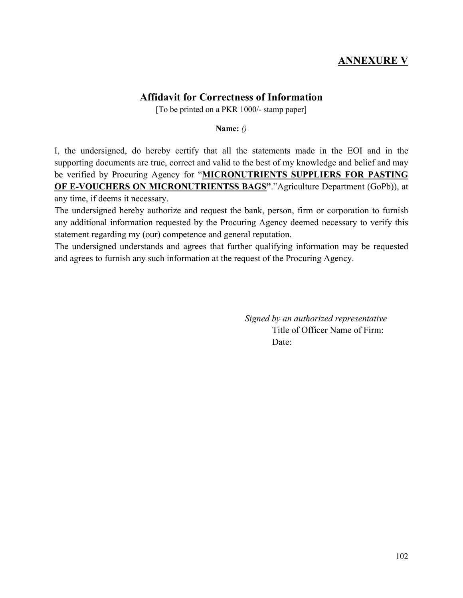## **ANNEXURE V**

### **Affidavit for Correctness of Information**

[To be printed on a PKR 1000/- stamp paper]

**Name:** *()*

I, the undersigned, do hereby certify that all the statements made in the EOI and in the supporting documents are true, correct and valid to the best of my knowledge and belief and may be verified by Procuring Agency for "**MICRONUTRIENTS SUPPLIERS FOR PASTING OF E-VOUCHERS ON MICRONUTRIENTSS BAGS"**."Agriculture Department (GoPb)), at any time, if deems it necessary.

The undersigned hereby authorize and request the bank, person, firm or corporation to furnish any additional information requested by the Procuring Agency deemed necessary to verify this statement regarding my (our) competence and general reputation.

The undersigned understands and agrees that further qualifying information may be requested and agrees to furnish any such information at the request of the Procuring Agency.

> *Signed by an authorized representative*  Title of Officer Name of Firm: Date: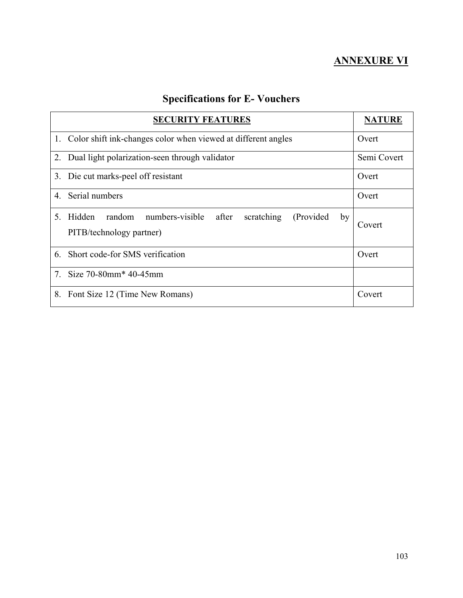# **ANNEXURE VI**

| <b>SECURITY FEATURES</b>                                                                                                  | <b>NATURE</b> |  |
|---------------------------------------------------------------------------------------------------------------------------|---------------|--|
| 1. Color shift ink-changes color when viewed at different angles                                                          | Overt         |  |
| 2. Dual light polarization-seen through validator                                                                         | Semi Covert   |  |
| 3. Die cut marks-peel off resistant                                                                                       | Overt         |  |
| Serial numbers<br>4.                                                                                                      | Overt         |  |
| Hidden<br>random<br>numbers-visible after<br>5 <sub>1</sub><br>scratching<br>(Provided)<br>by<br>PITB/technology partner) | Covert        |  |
| Short code-for SMS verification<br>6.                                                                                     | Overt         |  |
| 7. Size 70-80mm <sup>*</sup> 40-45mm                                                                                      |               |  |
| 8.<br>Font Size 12 (Time New Romans)                                                                                      | Covert        |  |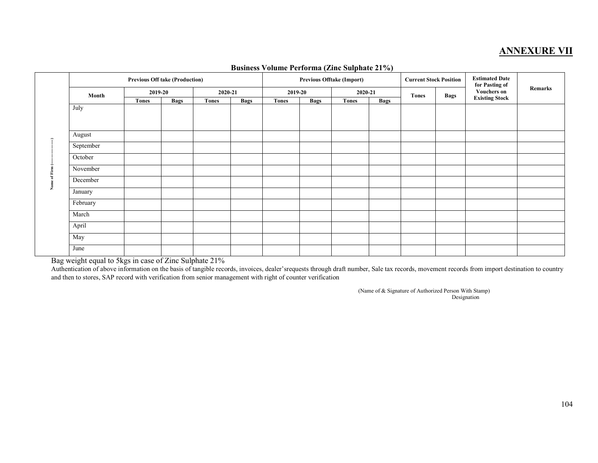### **ANNEXURE VII**

|    | <b>Previous Off take (Production)</b> |              |             |              |             |              |             | Previous Offtake (Import) | $\overline{\phantom{a}}$ | <b>Current Stock Position</b> |             | <b>Estimated Date</b><br>for Pasting of |         |
|----|---------------------------------------|--------------|-------------|--------------|-------------|--------------|-------------|---------------------------|--------------------------|-------------------------------|-------------|-----------------------------------------|---------|
|    | Month                                 | 2019-20      |             | 2020-21      |             | 2019-20      |             | 2020-21                   |                          | <b>Tones</b>                  | <b>Bags</b> | <b>Vouchers on</b>                      | Remarks |
|    |                                       | <b>Tones</b> | <b>Bags</b> | <b>Tones</b> | <b>Bags</b> | <b>Tones</b> | <b>Bags</b> | <b>Tones</b>              | <b>Bags</b>              |                               |             | <b>Existing Stock</b>                   |         |
|    | July                                  |              |             |              |             |              |             |                           |                          |                               |             |                                         |         |
|    | August                                |              |             |              |             |              |             |                           |                          |                               |             |                                         |         |
|    | September                             |              |             |              |             |              |             |                           |                          |                               |             |                                         |         |
|    | October                               |              |             |              |             |              |             |                           |                          |                               |             |                                         |         |
|    | November                              |              |             |              |             |              |             |                           |                          |                               |             |                                         |         |
|    | December                              |              |             |              |             |              |             |                           |                          |                               |             |                                         |         |
| ž. | January                               |              |             |              |             |              |             |                           |                          |                               |             |                                         |         |
|    | February                              |              |             |              |             |              |             |                           |                          |                               |             |                                         |         |
|    | March                                 |              |             |              |             |              |             |                           |                          |                               |             |                                         |         |
|    | April                                 |              |             |              |             |              |             |                           |                          |                               |             |                                         |         |
|    | May                                   |              |             |              |             |              |             |                           |                          |                               |             |                                         |         |
|    | June                                  |              |             |              |             |              |             |                           |                          |                               |             |                                         |         |

#### **Business Volume Performa (Zinc Sulphate 21%)**

Bag weight equal to 5kgs in case of Zinc Sulphate 21%

 Authentication of above information on the basis of tangible records, invoices, dealer'srequests through draft number, Sale tax records, movement records from import destination to country and then to stores, SAP record with verification from senior management with right of counter verification

> (Name of & Signature of Authorized Person With Stamp) Designation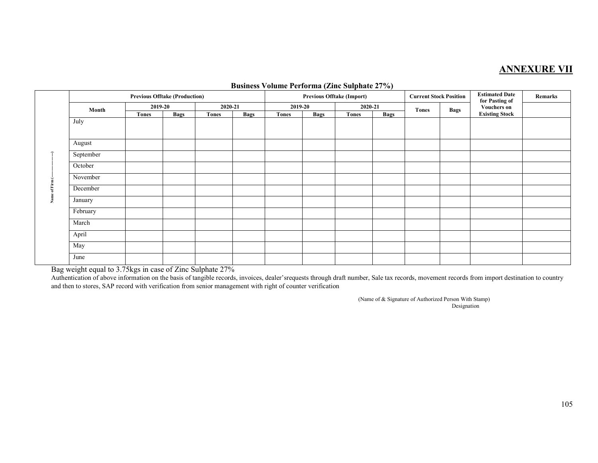### **ANNEXURE VII**

|   |           |         |             | <b>Previous Offtake (Import)</b> |             | <b>Current Stock Position</b> |             | <b>Estimated Date</b><br>for Pasting of | Remarks     |              |             |                       |  |
|---|-----------|---------|-------------|----------------------------------|-------------|-------------------------------|-------------|-----------------------------------------|-------------|--------------|-------------|-----------------------|--|
|   | Month     | 2019-20 |             | 2020-21                          |             | 2019-20                       |             | 2020-21                                 |             | <b>Tones</b> | <b>Bags</b> | <b>Vouchers on</b>    |  |
|   |           | Tones   | <b>Bags</b> | <b>Tones</b>                     | <b>Bags</b> | <b>Tones</b>                  | <b>Bags</b> | <b>Tones</b>                            | <b>Bags</b> |              |             | <b>Existing Stock</b> |  |
|   | July      |         |             |                                  |             |                               |             |                                         |             |              |             |                       |  |
|   | August    |         |             |                                  |             |                               |             |                                         |             |              |             |                       |  |
|   | September |         |             |                                  |             |                               |             |                                         |             |              |             |                       |  |
|   | October   |         |             |                                  |             |                               |             |                                         |             |              |             |                       |  |
|   | November  |         |             |                                  |             |                               |             |                                         |             |              |             |                       |  |
|   | December  |         |             |                                  |             |                               |             |                                         |             |              |             |                       |  |
| ž | January   |         |             |                                  |             |                               |             |                                         |             |              |             |                       |  |
|   | February  |         |             |                                  |             |                               |             |                                         |             |              |             |                       |  |
|   | March     |         |             |                                  |             |                               |             |                                         |             |              |             |                       |  |
|   | April     |         |             |                                  |             |                               |             |                                         |             |              |             |                       |  |
|   | May       |         |             |                                  |             |                               |             |                                         |             |              |             |                       |  |
|   | June      |         |             |                                  |             |                               |             |                                         |             |              |             |                       |  |

#### **Business Volume Performa (Zinc Sulphate 27%)**

Bag weight equal to 3.75kgs in case of Zinc Sulphate 27%

 Authentication of above information on the basis of tangible records, invoices, dealer'srequests through draft number, Sale tax records, movement records from import destination to country and then to stores, SAP record with verification from senior management with right of counter verification

> (Name of & Signature of Authorized Person With Stamp) Designation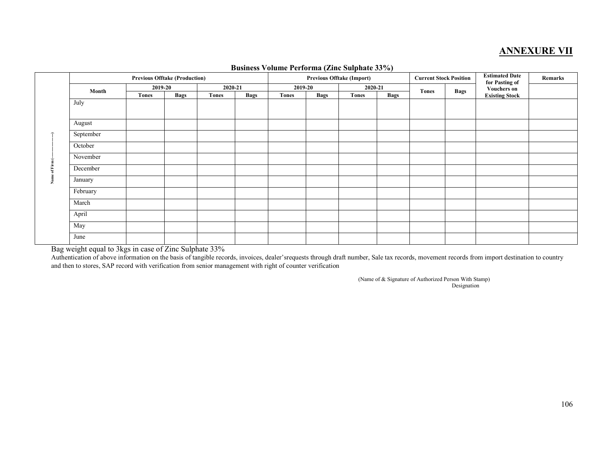### **ANNEXURE VII**

|    |           | <b>Previous Offtake (Production)</b> |             |              |             | <b>Previous Offtake (Import)</b> |             |              |             | <b>Current Stock Position</b> |             | <b>Estimated Date</b><br>for Pasting of | Remarks |
|----|-----------|--------------------------------------|-------------|--------------|-------------|----------------------------------|-------------|--------------|-------------|-------------------------------|-------------|-----------------------------------------|---------|
|    | Month     | 2019-20                              |             |              | 2020-21     |                                  | 2019-20     | 2020-21      |             | <b>Tones</b>                  | <b>Bags</b> | <b>Vouchers on</b>                      |         |
|    |           | <b>Tones</b>                         | <b>Bags</b> | <b>Tones</b> | <b>Bags</b> | <b>Tones</b>                     | <b>Bags</b> | <b>Tones</b> | <b>Bags</b> |                               |             | <b>Existing Stock</b>                   |         |
|    | July      |                                      |             |              |             |                                  |             |              |             |                               |             |                                         |         |
|    |           |                                      |             |              |             |                                  |             |              |             |                               |             |                                         |         |
|    | August    |                                      |             |              |             |                                  |             |              |             |                               |             |                                         |         |
|    | September |                                      |             |              |             |                                  |             |              |             |                               |             |                                         |         |
|    | October   |                                      |             |              |             |                                  |             |              |             |                               |             |                                         |         |
|    | November  |                                      |             |              |             |                                  |             |              |             |                               |             |                                         |         |
|    | December  |                                      |             |              |             |                                  |             |              |             |                               |             |                                         |         |
| Ź. | January   |                                      |             |              |             |                                  |             |              |             |                               |             |                                         |         |
|    | February  |                                      |             |              |             |                                  |             |              |             |                               |             |                                         |         |
|    | March     |                                      |             |              |             |                                  |             |              |             |                               |             |                                         |         |
|    | April     |                                      |             |              |             |                                  |             |              |             |                               |             |                                         |         |
|    | May       |                                      |             |              |             |                                  |             |              |             |                               |             |                                         |         |
|    | June      |                                      |             |              |             |                                  |             |              |             |                               |             |                                         |         |

#### **Business Volume Performa (Zinc Sulphate 33%)**

Bag weight equal to 3kgs in case of Zinc Sulphate 33%

 Authentication of above information on the basis of tangible records, invoices, dealer'srequests through draft number, Sale tax records, movement records from import destination to country and then to stores, SAP record with verification from senior management with right of counter verification

> (Name of & Signature of Authorized Person With Stamp) Designation